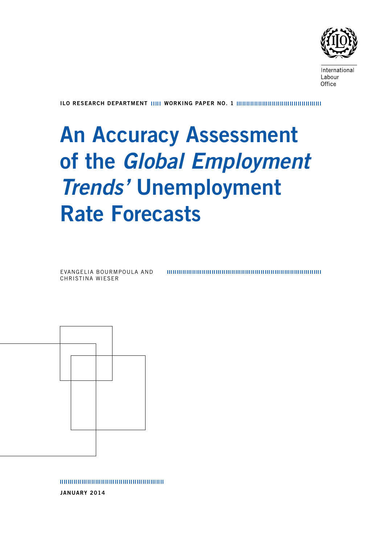

International Labour Office

ILO RESEARCH DEPARTMENT IIIII WORKING PAPER NO. 1

# An Accuracy Assessment of the *Global Employment Trends'* Unemployment Rate Forecasts

Evangelia Bourmpoula and Christina Wieser



January 2014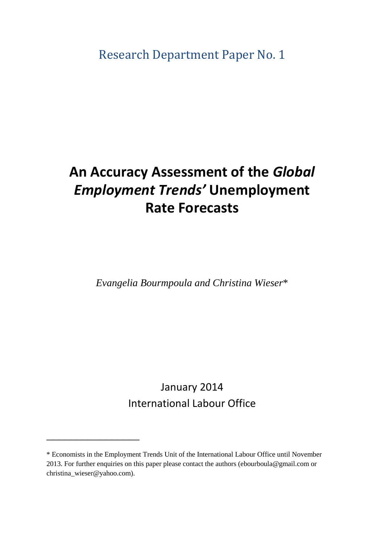Research Department Paper No. 1

## **An Accuracy Assessment of the** *Global Employment Trends'* **Unemployment Rate Forecasts**

*Evangelia Bourmpoula and Christina Wieser*\*

January 2014 International Labour Office

\_\_\_\_\_\_\_\_\_\_\_\_\_\_\_\_

<sup>\*</sup> Economists in the Employment Trends Unit of the International Labour Office until November 2013. For further enquiries on this paper please contact the authors (ebourboula@gmail.com or christina\_wieser@yahoo.com).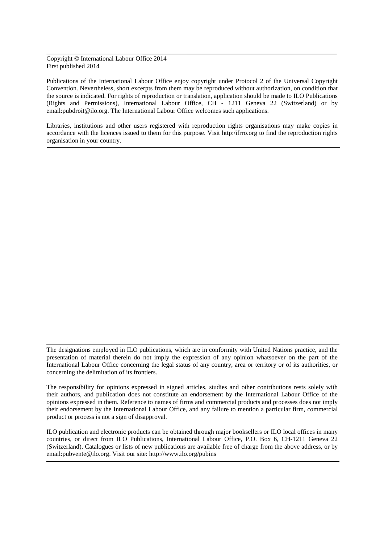Copyright © International Labour Office 2014 First published 2014

Publications of the International Labour Office enjoy copyright under Protocol 2 of the Universal Copyright Convention. Nevertheless, short excerpts from them may be reproduced without authorization, on condition that the source is indicated. For rights of reproduction or translation, application should be made to ILO Publications (Rights and Permissions), International Labour Office, CH - 1211 Geneva 22 (Switzerland) or by email:pubdroit@ilo.org. The International Labour Office welcomes such applications.

Libraries, institutions and other users registered with reproduction rights organisations may make copies in accordance with the licences issued to them for this purpose. Visit http:/ifrro.org to find the reproduction rights organisation in your country.

ILO publication and electronic products can be obtained through major booksellers or ILO local offices in many countries, or direct from ILO Publications, International Labour Office, P.O. Box 6, CH-1211 Geneva 22 (Switzerland). Catalogues or lists of new publications are available free of charge from the above address, or by email:pubvente@ilo.org. Visit our site: http://www.ilo.org/pubins

The designations employed in ILO publications, which are in conformity with United Nations practice, and the presentation of material therein do not imply the expression of any opinion whatsoever on the part of the International Labour Office concerning the legal status of any country, area or territory or of its authorities, or concerning the delimitation of its frontiers.

The responsibility for opinions expressed in signed articles, studies and other contributions rests solely with their authors, and publication does not constitute an endorsement by the International Labour Office of the opinions expressed in them. Reference to names of firms and commercial products and processes does not imply their endorsement by the International Labour Office, and any failure to mention a particular firm, commercial product or process is not a sign of disapproval.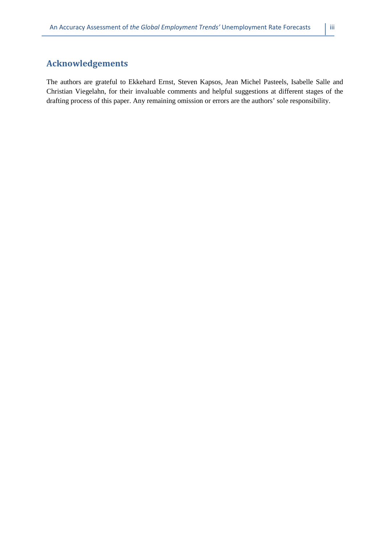## **Acknowledgements**

The authors are grateful to Ekkehard Ernst, Steven Kapsos, Jean Michel Pasteels, Isabelle Salle and Christian Viegelahn, for their invaluable comments and helpful suggestions at different stages of the drafting process of this paper. Any remaining omission or errors are the authors' sole responsibility.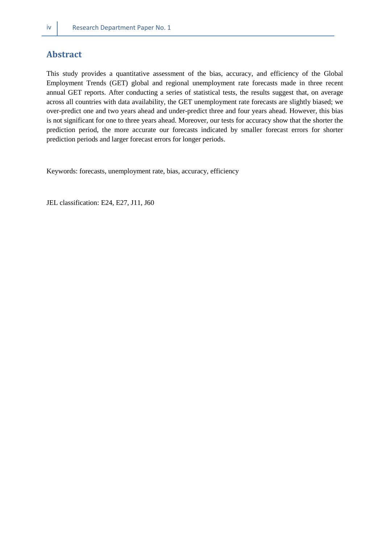## **Abstract**

This study provides a quantitative assessment of the bias, accuracy, and efficiency of the Global Employment Trends (GET) global and regional unemployment rate forecasts made in three recent annual GET reports. After conducting a series of statistical tests, the results suggest that, on average across all countries with data availability, the GET unemployment rate forecasts are slightly biased; we over-predict one and two years ahead and under-predict three and four years ahead. However, this bias is not significant for one to three years ahead. Moreover, our tests for accuracy show that the shorter the prediction period, the more accurate our forecasts indicated by smaller forecast errors for shorter prediction periods and larger forecast errors for longer periods.

Keywords: forecasts, unemployment rate, bias, accuracy, efficiency

JEL classification: E24, E27, J11, J60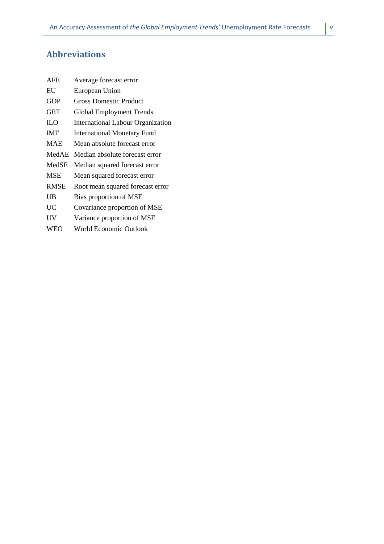## **Abbreviations**

| <b>AFE</b>  | Average forecast error             |
|-------------|------------------------------------|
| EU          | European Union                     |
| <b>GDP</b>  | <b>Gross Domestic Product</b>      |
| <b>GET</b>  | <b>Global Employment Trends</b>    |
| ILO         | International Labour Organization  |
| <b>IMF</b>  | <b>International Monetary Fund</b> |
| <b>MAE</b>  | Mean absolute forecast error       |
| MedAE       | Median absolute forecast error     |
| MedSE       | Median squared forecast error      |
| <b>MSE</b>  | Mean squared forecast error        |
| <b>RMSE</b> | Root mean squared forecast error   |
| UB          | Bias proportion of MSE             |
| UC          | Covariance proportion of MSE       |
| UV          | Variance proportion of MSE         |
| <b>WEO</b>  | <b>World Economic Outlook</b>      |
|             |                                    |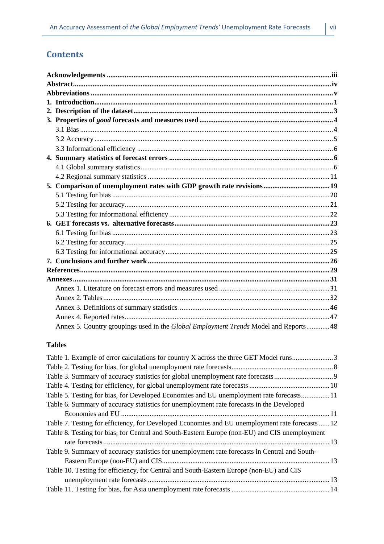## **Contents**

| Annex 5. Country groupings used in the Global Employment Trends Model and Reports 48 |  |
|--------------------------------------------------------------------------------------|--|

#### **Tables**

| Table 1. Example of error calculations for country X across the three GET Model runs3           |  |
|-------------------------------------------------------------------------------------------------|--|
|                                                                                                 |  |
|                                                                                                 |  |
|                                                                                                 |  |
| Table 5. Testing for bias, for Developed Economies and EU unemployment rate forecasts 11        |  |
| Table 6. Summary of accuracy statistics for unemployment rate forecasts in the Developed        |  |
|                                                                                                 |  |
| Table 7. Testing for efficiency, for Developed Economies and EU unemployment rate forecasts  12 |  |
| Table 8. Testing for bias, for Central and South-Eastern Europe (non-EU) and CIS unemployment   |  |
|                                                                                                 |  |
| Table 9. Summary of accuracy statistics for unemployment rate forecasts in Central and South-   |  |
|                                                                                                 |  |
| Table 10. Testing for efficiency, for Central and South-Eastern Europe (non-EU) and CIS         |  |
|                                                                                                 |  |
|                                                                                                 |  |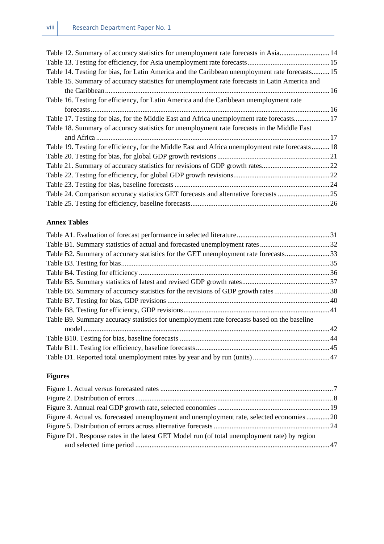| Table 12. Summary of accuracy statistics for unemployment rate forecasts in Asia 14             |
|-------------------------------------------------------------------------------------------------|
|                                                                                                 |
| Table 14. Testing for bias, for Latin America and the Caribbean unemployment rate forecasts 15  |
|                                                                                                 |
|                                                                                                 |
|                                                                                                 |
|                                                                                                 |
| Table 17. Testing for bias, for the Middle East and Africa unemployment rate forecasts17        |
|                                                                                                 |
|                                                                                                 |
| Table 19. Testing for efficiency, for the Middle East and Africa unemployment rate forecasts 18 |
|                                                                                                 |
|                                                                                                 |
|                                                                                                 |
|                                                                                                 |
| Table 24. Comparison accuracy statistics GET forecasts and alternative forecasts 25             |
|                                                                                                 |
|                                                                                                 |

#### **Annex Tables**

| Table B2. Summary of accuracy statistics for the GET unemployment rate forecasts33          |  |
|---------------------------------------------------------------------------------------------|--|
|                                                                                             |  |
|                                                                                             |  |
|                                                                                             |  |
|                                                                                             |  |
|                                                                                             |  |
|                                                                                             |  |
| Table B9. Summary accuracy statistics for unemployment rate forecasts based on the baseline |  |
|                                                                                             |  |
|                                                                                             |  |
|                                                                                             |  |
|                                                                                             |  |

## **Figures**

| Figure 4. Actual vs. forecasted unemployment and unemployment rate, selected economies 20    |  |
|----------------------------------------------------------------------------------------------|--|
|                                                                                              |  |
| Figure D1. Response rates in the latest GET Model run (of total unemployment rate) by region |  |
|                                                                                              |  |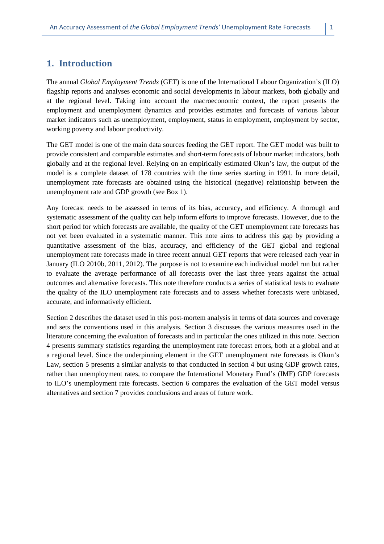## **1. Introduction**

The annual *Global Employment Trends* (GET) is one of the International Labour Organization's (ILO) flagship reports and analyses economic and social developments in labour markets, both globally and at the regional level. Taking into account the macroeconomic context, the report presents the employment and unemployment dynamics and provides estimates and forecasts of various labour market indicators such as unemployment, employment, status in employment, employment by sector, working poverty and labour productivity.

The GET model is one of the main data sources feeding the GET report. The GET model was built to provide consistent and comparable estimates and short-term forecasts of labour market indicators, both globally and at the regional level. Relying on an empirically estimated Okun's law, the output of the model is a complete dataset of 178 countries with the time series starting in 1991. In more detail, unemployment rate forecasts are obtained using the historical (negative) relationship between the unemployment rate and GDP growth (see Box 1).

Any forecast needs to be assessed in terms of its bias, accuracy, and efficiency. A thorough and systematic assessment of the quality can help inform efforts to improve forecasts. However, due to the short period for which forecasts are available, the quality of the GET unemployment rate forecasts has not yet been evaluated in a systematic manner. This note aims to address this gap by providing a quantitative assessment of the bias, accuracy, and efficiency of the GET global and regional unemployment rate forecasts made in three recent annual GET reports that were released each year in January (ILO 2010b, 2011, 2012). The purpose is not to examine each individual model run but rather to evaluate the average performance of all forecasts over the last three years against the actual outcomes and alternative forecasts. This note therefore conducts a series of statistical tests to evaluate the quality of the ILO unemployment rate forecasts and to assess whether forecasts were unbiased, accurate, and informatively efficient.

Section 2 describes the dataset used in this post-mortem analysis in terms of data sources and coverage and sets the conventions used in this analysis. Section 3 discusses the various measures used in the literature concerning the evaluation of forecasts and in particular the ones utilized in this note. Section 4 presents summary statistics regarding the unemployment rate forecast errors, both at a global and at a regional level. Since the underpinning element in the GET unemployment rate forecasts is Okun's Law, section 5 presents a similar analysis to that conducted in section 4 but using GDP growth rates, rather than unemployment rates, to compare the International Monetary Fund's (IMF) GDP forecasts to ILO's unemployment rate forecasts. Section 6 compares the evaluation of the GET model versus alternatives and section 7 provides conclusions and areas of future work.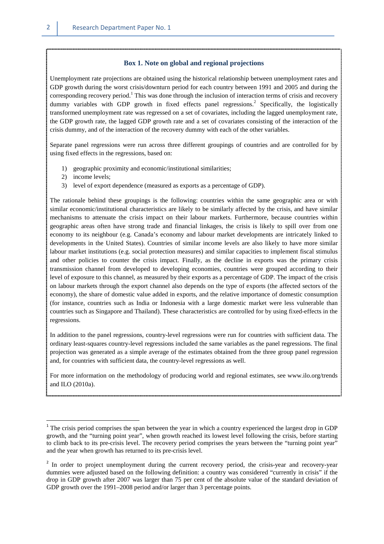#### **Box 1. Note on global and regional projections**

Unemployment rate projections are obtained using the historical relationship between unemployment rates and GDP growth during the worst crisis/downturn period for each country between 1991 and 2005 and during the corresponding recovery period.<sup>1</sup> This was done through the inclusion of interaction terms of crisis and recovery dummy variables with GDP growth in fixed effects panel regressions.<sup>2</sup> Specifically, the logistically transformed unemployment rate was regressed on a set of covariates, including the lagged unemployment rate, the GDP growth rate, the lagged GDP growth rate and a set of covariates consisting of the interaction of the crisis dummy, and of the interaction of the recovery dummy with each of the other variables.

Separate panel regressions were run across three different groupings of countries and are controlled for by using fixed effects in the regressions, based on:

- 1) geographic proximity and economic/institutional similarities;
- 2) income levels;
- 3) level of export dependence (measured as exports as a percentage of GDP).

The rationale behind these groupings is the following: countries within the same geographic area or with similar economic/institutional characteristics are likely to be similarly affected by the crisis, and have similar mechanisms to attenuate the crisis impact on their labour markets. Furthermore, because countries within geographic areas often have strong trade and financial linkages, the crisis is likely to spill over from one economy to its neighbour (e.g. Canada's economy and labour market developments are intricately linked to developments in the United States). Countries of similar income levels are also likely to have more similar labour market institutions (e.g. social protection measures) and similar capacities to implement fiscal stimulus and other policies to counter the crisis impact. Finally, as the decline in exports was the primary crisis transmission channel from developed to developing economies, countries were grouped according to their level of exposure to this channel, as measured by their exports as a percentage of GDP. The impact of the crisis on labour markets through the export channel also depends on the type of exports (the affected sectors of the economy), the share of domestic value added in exports, and the relative importance of domestic consumption (for instance, countries such as India or Indonesia with a large domestic market were less vulnerable than countries such as Singapore and Thailand). These characteristics are controlled for by using fixed-effects in the regressions.

In addition to the panel regressions, country-level regressions were run for countries with sufficient data. The ordinary least-squares country-level regressions included the same variables as the panel regressions. The final projection was generated as a simple average of the estimates obtained from the three group panel regression and, for countries with sufficient data, the country-level regressions as well.

For more information on the methodology of producing world and regional estimates, see www.ilo.org/trends and ILO (2010a).

 $\overline{\phantom{0}}$ 

<sup>&</sup>lt;sup>1</sup> The crisis period comprises the span between the year in which a country experienced the largest drop in GDP growth, and the "turning point year", when growth reached its lowest level following the crisis, before starting to climb back to its pre-crisis level. The recovery period comprises the years between the "turning point year" and the year when growth has returned to its pre-crisis level.

<sup>&</sup>lt;sup>2</sup> In order to project unemployment during the current recovery period, the crisis-year and recovery-year dummies were adjusted based on the following definition: a country was considered "currently in crisis" if the drop in GDP growth after 2007 was larger than 75 per cent of the absolute value of the standard deviation of GDP growth over the 1991–2008 period and/or larger than 3 percentage points.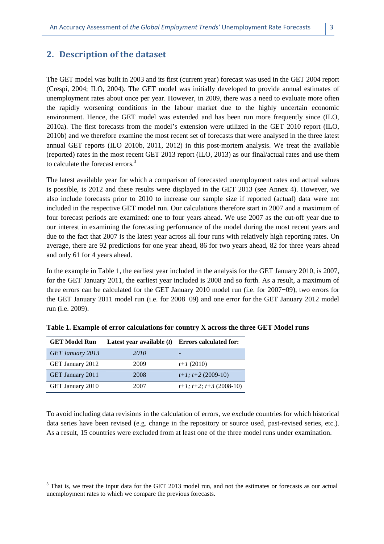## **2. Description of the dataset**

The GET model was built in 2003 and its first (current year) forecast was used in the GET 2004 report (Crespi, 2004; ILO, 2004). The GET model was initially developed to provide annual estimates of unemployment rates about once per year. However, in 2009, there was a need to evaluate more often the rapidly worsening conditions in the labour market due to the highly uncertain economic environment. Hence, the GET model was extended and has been run more frequently since (ILO, 2010a). The first forecasts from the model's extension were utilized in the GET 2010 report (ILO, 2010b) and we therefore examine the most recent set of forecasts that were analysed in the three latest annual GET reports (ILO 2010b, 2011, 2012) in this post-mortem analysis. We treat the available (reported) rates in the most recent GET 2013 report (ILO, 2013) as our final/actual rates and use them to calculate the forecast errors.<sup>3</sup>

The latest available year for which a comparison of forecasted unemployment rates and actual values is possible, is 2012 and these results were displayed in the GET 2013 (see Annex 4). However, we also include forecasts prior to 2010 to increase our sample size if reported (actual) data were not included in the respective GET model run. Our calculations therefore start in 2007 and a maximum of four forecast periods are examined: one to four years ahead. We use 2007 as the cut-off year due to our interest in examining the forecasting performance of the model during the most recent years and due to the fact that 2007 is the latest year across all four runs with relatively high reporting rates. On average, there are 92 predictions for one year ahead, 86 for two years ahead, 82 for three years ahead and only 61 for 4 years ahead.

In the example in Table 1, the earliest year included in the analysis for the GET January 2010, is 2007, for the GET January 2011, the earliest year included is 2008 and so forth. As a result, a maximum of three errors can be calculated for the GET January 2010 model run (i.e. for 2007−09), two errors for the GET January 2011 model run (i.e. for 2008−09) and one error for the GET January 2012 model run (i.e. 2009).

| <b>GET Model Run</b> | Latest year available $(t)$ | <b>Errors calculated for:</b>   |
|----------------------|-----------------------------|---------------------------------|
| GET January 2013     | 2010                        |                                 |
| GET January 2012     | 2009                        | $t+1(2010)$                     |
| GET January 2011     | 2008                        | $t+1$ ; $t+2$ (2009-10)         |
| GET January 2010     | 2007                        | $t+1$ ; $t+2$ ; $t+3$ (2008-10) |

 $\overline{\phantom{0}}$ 

**Table 1. Example of error calculations for country X across the three GET Model runs** 

To avoid including data revisions in the calculation of errors, we exclude countries for which historical data series have been revised (e.g. change in the repository or source used, past-revised series, etc.). As a result, 15 countries were excluded from at least one of the three model runs under examination.

 $3$  That is, we treat the input data for the GET 2013 model run, and not the estimates or forecasts as our actual unemployment rates to which we compare the previous forecasts.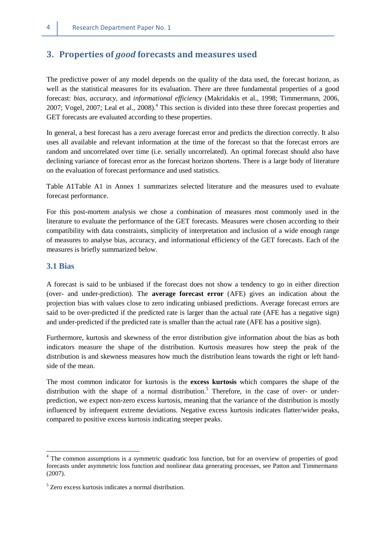#### **3. Properties of** *good* **forecasts and measures used**

The predictive power of any model depends on the quality of the data used, the forecast horizon, as well as the statistical measures for its evaluation. There are three fundamental properties of a good forecast: *bias, accuracy*, and *informational efficiency* (Makridakis et al., 1998; Timmermann, 2006, 2007; Vogel, 2007; Leal et al., 2008).<sup>4</sup> This section is divided into these three forecast properties and GET forecasts are evaluated according to these properties.

In general, a best forecast has a zero average forecast error and predicts the direction correctly. It also uses all available and relevant information at the time of the forecast so that the forecast errors are random and uncorrelated over time (i.e. serially uncorrelated). An optimal forecast should also have declining variance of forecast error as the forecast horizon shortens. There is a large body of literature on the evaluation of forecast performance and used statistics.

Table A1Table A1 in Annex 1 summarizes selected literature and the measures used to evaluate forecast performance.

For this post-mortem analysis we chose a combination of measures most commonly used in the literature to evaluate the performance of the GET forecasts. Measures were chosen according to their compatibility with data constraints, simplicity of interpretation and inclusion of a wide enough range of measures to analyse bias, accuracy, and informational efficiency of the GET forecasts. Each of the measures is briefly summarized below.

#### **3.1 Bias**

l

A forecast is said to be unbiased if the forecast does not show a tendency to go in either direction (over- and under-prediction). The **average forecast error** (AFE) gives an indication about the projection bias with values close to zero indicating unbiased predictions. Average forecast errors are said to be over-predicted if the predicted rate is larger than the actual rate (AFE has a negative sign) and under-predicted if the predicted rate is smaller than the actual rate (AFE has a positive sign).

Furthermore, kurtosis and skewness of the error distribution give information about the bias as both indicators measure the shape of the distribution. Kurtosis measures how steep the peak of the distribution is and skewness measures how much the distribution leans towards the right or left handside of the mean.

The most common indicator for kurtosis is the **excess kurtosis** which compares the shape of the distribution with the shape of a normal distribution.<sup>5</sup> Therefore, in the case of over- or underprediction, we expect non-zero excess kurtosis, meaning that the variance of the distribution is mostly influenced by infrequent extreme deviations. Negative excess kurtosis indicates flatter/wider peaks, compared to positive excess kurtosis indicating steeper peaks.

<sup>&</sup>lt;sup>4</sup> The common assumptions is a symmetric quadratic loss function, but for an overview of properties of good forecasts under asymmetric loss function and nonlinear data generating processes, see Patton and Timmermann (2007).

<sup>5</sup> Zero excess kurtosis indicates a normal distribution.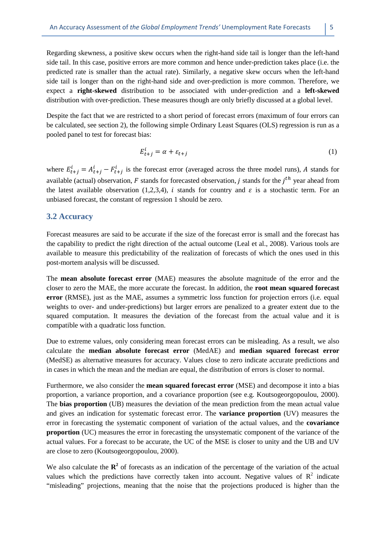Regarding skewness, a positive skew occurs when the right-hand side tail is longer than the left-hand side tail. In this case, positive errors are more common and hence under-prediction takes place (i.e. the predicted rate is smaller than the actual rate). Similarly, a negative skew occurs when the left-hand side tail is longer than on the right-hand side and over-prediction is more common. Therefore, we expect a **right-skewed** distribution to be associated with under-prediction and a **left-skewed** distribution with over-prediction. These measures though are only briefly discussed at a global level.

Despite the fact that we are restricted to a short period of forecast errors (maximum of four errors can be calculated, see section 2), the following simple Ordinary Least Squares (OLS) regression is run as a pooled panel to test for forecast bias:

$$
E_{t+j}^i = \alpha + \varepsilon_{t+j} \tag{1}
$$

where  $E_{t+j}^i = A_{t+j}^i - F_{t+j}^i$  is the forecast error (averaged across the three model runs), A stands for available (actual) observation,  $F$  stands for forecasted observation,  $j$  stands for the  $j<sup>th</sup>$  year ahead from the latest available observation (1,2,3,4), *i* stands for country and  $\varepsilon$  is a stochastic term. For an unbiased forecast, the constant of regression 1 should be zero.

#### **3.2 Accuracy**

Forecast measures are said to be accurate if the size of the forecast error is small and the forecast has the capability to predict the right direction of the actual outcome (Leal et al., 2008). Various tools are available to measure this predictability of the realization of forecasts of which the ones used in this post-mortem analysis will be discussed.

The **mean absolute forecast error** (MAE) measures the absolute magnitude of the error and the closer to zero the MAE, the more accurate the forecast. In addition, the **root mean squared forecast error** (RMSE), just as the MAE, assumes a symmetric loss function for projection errors (i.e. equal weights to over- and under-predictions) but larger errors are penalized to a greater extent due to the squared computation. It measures the deviation of the forecast from the actual value and it is compatible with a quadratic loss function.

Due to extreme values, only considering mean forecast errors can be misleading. As a result, we also calculate the **median absolute forecast error** (MedAE) and **median squared forecast error** (MedSE) as alternative measures for accuracy. Values close to zero indicate accurate predictions and in cases in which the mean and the median are equal, the distribution of errors is closer to normal.

Furthermore, we also consider the **mean squared forecast error** (MSE) and decompose it into a bias proportion, a variance proportion, and a covariance proportion (see e.g. Koutsogeorgopoulou, 2000). The **bias proportion** (UB) measures the deviation of the mean prediction from the mean actual value and gives an indication for systematic forecast error. The **variance proportion** (UV) measures the error in forecasting the systematic component of variation of the actual values, and the **covariance proportion** (UC) measures the error in forecasting the unsystematic component of the variance of the actual values. For a forecast to be accurate, the UC of the MSE is closer to unity and the UB and UV are close to zero (Koutsogeorgopoulou, 2000).

We also calculate the  $\mathbb{R}^2$  of forecasts as an indication of the percentage of the variation of the actual values which the predictions have correctly taken into account. Negative values of  $\mathbb{R}^2$  indicate "misleading" projections, meaning that the noise that the projections produced is higher than the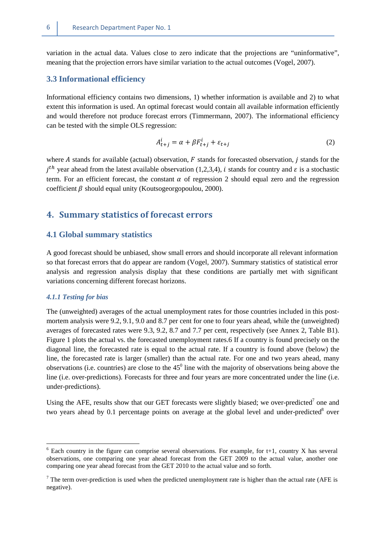variation in the actual data. Values close to zero indicate that the projections are "uninformative", meaning that the projection errors have similar variation to the actual outcomes (Vogel, 2007).

#### **3.3 Informational efficiency**

Informational efficiency contains two dimensions, 1) whether information is available and 2) to what extent this information is used. An optimal forecast would contain all available information efficiently and would therefore not produce forecast errors (Timmermann, 2007). The informational efficiency can be tested with the simple OLS regression:

$$
A_{t+j}^l = \alpha + \beta F_{t+j}^l + \varepsilon_{t+j}
$$
 (2)

where  $A$  stands for available (actual) observation,  $F$  stands for forecasted observation,  $j$  stands for the  $j<sup>th</sup>$  year ahead from the latest available observation (1,2,3,4), *i* stands for country and  $\varepsilon$  is a stochastic term. For an efficient forecast, the constant  $\alpha$  of regression 2 should equal zero and the regression coefficient  $\beta$  should equal unity (Koutsogeorgopoulou, 2000).

## **4. Summary statistics of forecast errors**

#### **4.1 Global summary statistics**

A good forecast should be unbiased, show small errors and should incorporate all relevant information so that forecast errors that do appear are random (Vogel, 2007). Summary statistics of statistical error analysis and regression analysis display that these conditions are partially met with significant variations concerning different forecast horizons.

#### *4.1.1 Testing for bias*

 $\overline{a}$ 

The (unweighted) averages of the actual unemployment rates for those countries included in this postmortem analysis were 9.2, 9.1, 9.0 and 8.7 per cent for one to four years ahead, while the (unweighted) averages of forecasted rates were 9.3, 9.2, 8.7 and 7.7 per cent, respectively (see Annex 2, Table B1). Figure 1 plots the actual vs. the forecasted unemployment rates.6 If a country is found precisely on the diagonal line, the forecasted rate is equal to the actual rate. If a country is found above (below) the line, the forecasted rate is larger (smaller) than the actual rate. For one and two years ahead, many observations (i.e. countries) are close to the  $45^{\circ}$  line with the majority of observations being above the line (i.e. over-predictions). Forecasts for three and four years are more concentrated under the line (i.e. under-predictions).

Using the AFE, results show that our GET forecasts were slightly biased; we over-predicted<sup>7</sup> one and two years ahead by 0.1 percentage points on average at the global level and under-predicted $8$  over

 $6$  Each country in the figure can comprise several observations. For example, for t+1, country X has several observations, one comparing one year ahead forecast from the GET 2009 to the actual value, another one comparing one year ahead forecast from the GET 2010 to the actual value and so forth.

The term over-prediction is used when the predicted unemployment rate is higher than the actual rate (AFE is negative).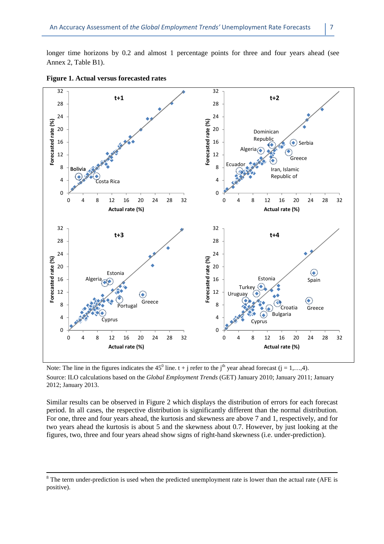longer time horizons by 0.2 and almost 1 percentage points for three and four years ahead (see Annex 2, Table B1).



#### **Figure 1. Actual versus forecasted rates**

l

Note: The line in the figures indicates the 45<sup>0</sup> line.  $t + j$  refer to the j<sup>th</sup> year ahead forecast ( $j = 1,...,4$ ). Source: ILO calculations based on the *Global Employment Trends* (GET) January 2010; January 2011; January 2012; January 2013.

Similar results can be observed in Figure 2 which displays the distribution of errors for each forecast period. In all cases, the respective distribution is significantly different than the normal distribution. For one, three and four years ahead, the kurtosis and skewness are above 7 and 1, respectively, and for two years ahead the kurtosis is about 5 and the skewness about 0.7. However, by just looking at the figures, two, three and four years ahead show signs of right-hand skewness (i.e. under-prediction).

 $8$  The term under-prediction is used when the predicted unemployment rate is lower than the actual rate (AFE is positive).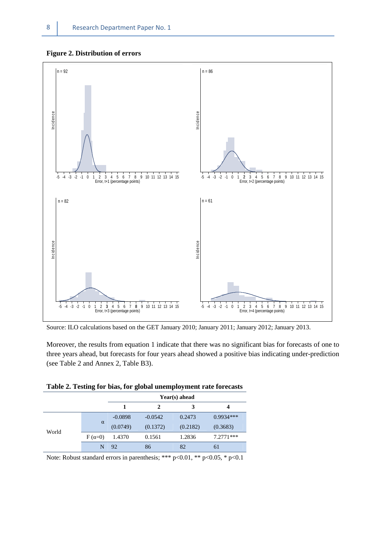#### **Figure 2. Distribution of errors**



Source: ILO calculations based on the GET January 2010; January 2011; January 2012; January 2013.

Moreover, the results from equation 1 indicate that there was no significant bias for forecasts of one to three years ahead, but forecasts for four years ahead showed a positive bias indicating under-prediction (see Table 2 and Annex 2, Table B3).

|  |  |  |  |  | Table 2. Testing for bias, for global unemployment rate forecasts |
|--|--|--|--|--|-------------------------------------------------------------------|
|--|--|--|--|--|-------------------------------------------------------------------|

|       |               | Year(s) ahead |           |          |             |  |  |  |  |
|-------|---------------|---------------|-----------|----------|-------------|--|--|--|--|
|       |               |               | 2         | 3        |             |  |  |  |  |
|       |               | $-0.0898$     | $-0.0542$ | 0.2473   | $0.9934***$ |  |  |  |  |
| World | $\alpha$      | (0.0749)      | (0.1372)  | (0.2182) | (0.3683)    |  |  |  |  |
|       | $F(\alpha=0)$ | 1.4370        | 0.1561    | 1.2836   | $7.2771***$ |  |  |  |  |
|       | N             | 92            | 86        | 82       | 61          |  |  |  |  |

Note: Robust standard errors in parenthesis; \*\*\* p<0.01, \*\* p<0.05, \* p<0.1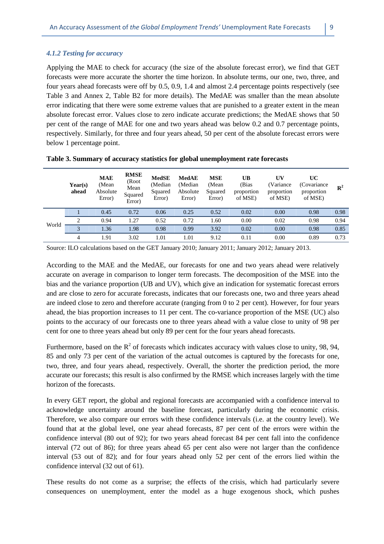Applying the MAE to check for accuracy (the size of the absolute forecast error), we find that GET forecasts were more accurate the shorter the time horizon. In absolute terms, our one, two, three, and four years ahead forecasts were off by 0.5, 0.9, 1.4 and almost 2.4 percentage points respectively (see Table 3 and Annex 2, Table B2 for more details). The MedAE was smaller than the mean absolute error indicating that there were some extreme values that are punished to a greater extent in the mean absolute forecast error. Values close to zero indicate accurate predictions; the MedAE shows that 50 per cent of the range of MAE for one and two years ahead was below 0.2 and 0.7 percentage points, respectively. Similarly, for three and four years ahead, 50 per cent of the absolute forecast errors were below 1 percentage point.

|       | Year(s)<br>ahead | <b>MAE</b><br>(Mean<br>Absolute<br>Error) | <b>RMSE</b><br>(Root<br>Mean<br>Squared<br>Error) | <b>MedSE</b><br>(Median<br>Squared<br>Error) | <b>MedAE</b><br>(Median<br>Absolute<br>Error) | <b>MSE</b><br>(Mean<br>Squared<br>Error) | UB<br>(Bias<br>proportion<br>of MSE) | UV<br>(Variance<br>proportion<br>of MSE) | UC<br>(Covariance)<br>proportion<br>of MSE) | $\mathbb{R}^2$ |
|-------|------------------|-------------------------------------------|---------------------------------------------------|----------------------------------------------|-----------------------------------------------|------------------------------------------|--------------------------------------|------------------------------------------|---------------------------------------------|----------------|
| World |                  | 0.45                                      | 0.72                                              | 0.06                                         | 0.25                                          | 0.52                                     | 0.02                                 | 0.00                                     | 0.98                                        | 0.98           |
|       |                  | 0.94                                      | 1.27                                              | 0.52                                         | 0.72                                          | 1.60                                     | 0.00                                 | 0.02                                     | 0.98                                        | 0.94           |
|       | 3                | 1.36                                      | 1.98                                              | 0.98                                         | 0.99                                          | 3.92                                     | 0.02                                 | 0.00                                     | 0.98                                        | 0.85           |
|       | 4                | 1.91                                      | 3.02                                              | 1.01                                         | l.01                                          | 9.12                                     | 0.11                                 | 0.00                                     | 0.89                                        | 0.73           |

|  |  |  | Table 3. Summary of accuracy statistics for global unemployment rate forecasts |
|--|--|--|--------------------------------------------------------------------------------|
|  |  |  |                                                                                |

Source: ILO calculations based on the GET January 2010; January 2011; January 2012; January 2013.

According to the MAE and the MedAE, our forecasts for one and two years ahead were relatively accurate on average in comparison to longer term forecasts. The decomposition of the MSE into the bias and the variance proportion (UB and UV), which give an indication for systematic forecast errors and are close to zero for accurate forecasts, indicates that our forecasts one, two and three years ahead are indeed close to zero and therefore accurate (ranging from 0 to 2 per cent). However, for four years ahead, the bias proportion increases to 11 per cent. The co-variance proportion of the MSE (UC) also points to the accuracy of our forecasts one to three years ahead with a value close to unity of 98 per cent for one to three years ahead but only 89 per cent for the four years ahead forecasts.

Furthermore, based on the  $R^2$  of forecasts which indicates accuracy with values close to unity, 98, 94, 85 and only 73 per cent of the variation of the actual outcomes is captured by the forecasts for one, two, three, and four years ahead, respectively. Overall, the shorter the prediction period, the more accurate our forecasts; this result is also confirmed by the RMSE which increases largely with the time horizon of the forecasts.

In every GET report, the global and regional forecasts are accompanied with a confidence interval to acknowledge uncertainty around the baseline forecast, particularly during the economic crisis. Therefore, we also compare our errors with these confidence intervals (i.e. at the country level). We found that at the global level, one year ahead forecasts, 87 per cent of the errors were within the confidence interval (80 out of 92); for two years ahead forecast 84 per cent fall into the confidence interval (72 out of 86); for three years ahead 65 per cent also were not larger than the confidence interval (53 out of 82); and for four years ahead only 52 per cent of the errors lied within the confidence interval (32 out of 61).

These results do not come as a surprise; the effects of the crisis, which had particularly severe consequences on unemployment, enter the model as a huge exogenous shock, which pushes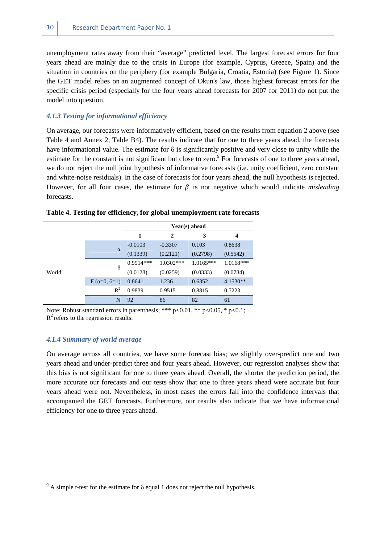unemployment rates away from their "average" predicted level. The largest forecast errors for four years ahead are mainly due to the crisis in Europe (for example, Cyprus, Greece, Spain) and the situation in countries on the periphery (for example Bulgaria, Croatia, Estonia) (see Figure 1). Since the GET model relies on an augmented concept of Okun's law, those highest forecast errors for the specific crisis period (especially for the four years ahead forecasts for 2007 for 2011) do not put the model into question.

#### *4.1.3 Testing for informational efficiency*

On average, our forecasts were informatively efficient, based on the results from equation 2 above (see Table 4 and Annex 2, Table B4). The results indicate that for one to three years ahead, the forecasts have informational value. The estimate for ϐ is significantly positive and very close to unity while the estimate for the constant is not significant but close to zero.<sup>9</sup> For forecasts of one to three years ahead, we do not reject the null joint hypothesis of informative forecasts (i.e. unity coefficient, zero constant and white-noise residuals). In the case of forecasts for four years ahead, the null hypothesis is rejected. However, for all four cases, the estimate for  $\beta$  is not negative which would indicate *misleading* forecasts.

|       |                    | Year(s) ahead                 |             |             |             |  |  |  |
|-------|--------------------|-------------------------------|-------------|-------------|-------------|--|--|--|
|       |                    | 3<br>$\overline{2}$<br>1<br>4 |             |             |             |  |  |  |
|       |                    | $-0.0103$                     | $-0.3307$   | 0.103       | 0.8638      |  |  |  |
|       | $\alpha$           | (0.1339)                      | (0.2121)    | (0.2798)    | (0.5542)    |  |  |  |
|       | $6\phantom{.}6$    | $0.9914***$                   | $1.0302***$ | $1.0165***$ | $1.0168***$ |  |  |  |
| World |                    | (0.0128)                      | (0.0259)    | (0.0333)    | (0.0784)    |  |  |  |
|       | $F(\alpha=0, 6=1)$ | 0.8641                        | 1.236       | 0.6352      | 4.1530**    |  |  |  |
|       | $R^2$              | 0.9839                        | 0.9515      | 0.8815      | 0.7223      |  |  |  |
|       | N                  | 92                            | 86          | 82          | 61          |  |  |  |

|  | Table 4. Testing for efficiency, for global unemployment rate forecasts |  |  |  |
|--|-------------------------------------------------------------------------|--|--|--|
|  |                                                                         |  |  |  |

Note: Robust standard errors in parenthesis; \*\*\*  $p<0.01$ , \*\*  $p<0.05$ , \*  $p<0.1$ ;  $R^2$  refers to the regression results.

#### *4.1.4 Summary of world average*

 $\overline{\phantom{0}}$ 

On average across all countries, we have some forecast bias; we slightly over-predict one and two years ahead and under-predict three and four years ahead. However, our regression analyses show that this bias is not significant for one to three years ahead. Overall, the shorter the prediction period, the more accurate our forecasts and our tests show that one to three years ahead were accurate but four years ahead were not. Nevertheless, in most cases the errors fall into the confidence intervals that accompanied the GET forecasts. Furthermore, our results also indicate that we have informational efficiency for one to three years ahead.

 $9^9$  A simple t-test for the estimate for  $6$  equal 1 does not reject the null hypothesis.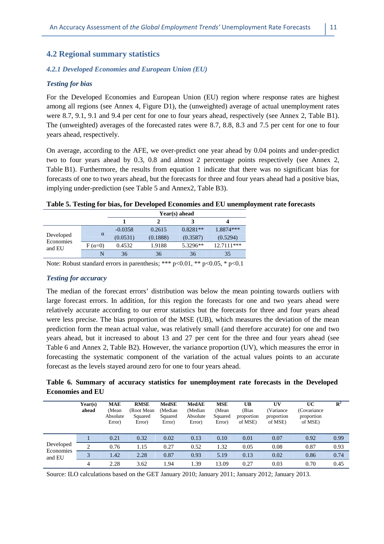#### **4.2 Regional summary statistics**

#### *4.2.1 Developed Economies and European Union (EU)*

#### *Testing for bias*

For the Developed Economies and European Union (EU) region where response rates are highest among all regions (see Annex 4, Figure D1), the (unweighted) average of actual unemployment rates were 8.7, 9.1, 9.1 and 9.4 per cent for one to four years ahead, respectively (see Annex 2, Table B1). The (unweighted) averages of the forecasted rates were 8.7, 8.8, 8.3 and 7.5 per cent for one to four years ahead, respectively.

On average, according to the AFE, we over-predict one year ahead by 0.04 points and under-predict two to four years ahead by 0.3, 0.8 and almost 2 percentage points respectively (see Annex 2, Table B1). Furthermore, the results from equation 1 indicate that there was no significant bias for forecasts of one to two years ahead, but the forecasts for three and four years ahead had a positive bias, implying under-prediction (see Table 5 and Annex2, Table B3).

#### **Table 5. Testing for bias, for Developed Economies and EU unemployment rate forecasts**

|                        |               | Year(s) ahead |          |            |              |  |  |
|------------------------|---------------|---------------|----------|------------|--------------|--|--|
|                        |               |               |          |            |              |  |  |
|                        |               | $-0.0358$     | 0.2615   | $0.8281**$ | 1.8874***    |  |  |
| Developed<br>Economies | $\alpha$      | (0.0531)      | (0.1888) | (0.3587)   | (0.5294)     |  |  |
| and EU                 | $F(\alpha=0)$ | 0.4532        | 1.9188   | 5.3296**   | $12.7111***$ |  |  |
|                        |               | 36            | 36       | 36         | 35           |  |  |

Note: Robust standard errors in parenthesis; \*\*\* p<0.01, \*\* p<0.05, \* p<0.1

#### *Testing for accuracy*

The median of the forecast errors' distribution was below the mean pointing towards outliers with large forecast errors. In addition, for this region the forecasts for one and two years ahead were relatively accurate according to our error statistics but the forecasts for three and four years ahead were less precise. The bias proportion of the MSE (UB), which measures the deviation of the mean prediction form the mean actual value, was relatively small (and therefore accurate) for one and two years ahead, but it increased to about 13 and 27 per cent for the three and four years ahead (see Table 6 and Annex 2, Table B2). However, the variance proportion (UV), which measures the error in forecasting the systematic component of the variation of the actual values points to an accurate forecast as the levels stayed around zero for one to four years ahead.

#### **Table 6. Summary of accuracy statistics for unemployment rate forecasts in the Developed Economies and EU**

|                     | Year(s)<br>ahead | <b>MAE</b><br>(Mean<br>Absolute<br>Error) | <b>RMSE</b><br>(Root Mean)<br>Squared<br>Error) | <b>MedSE</b><br>(Median<br>Squared<br>Error) | <b>MedAE</b><br>(Median<br>Absolute<br>Error) | <b>MSE</b><br>(Mean<br>Squared<br>Error) | UB<br>(Bias<br>proportion<br>of MSE) | UV<br>(Variance<br>proportion<br>of MSE) | UC<br>(Covariance)<br>proportion<br>of MSE) | $\mathbf{R}^2$ |
|---------------------|------------------|-------------------------------------------|-------------------------------------------------|----------------------------------------------|-----------------------------------------------|------------------------------------------|--------------------------------------|------------------------------------------|---------------------------------------------|----------------|
|                     |                  | 0.21                                      | 0.32                                            | 0.02                                         | 0.13                                          | 0.10                                     | 0.01                                 | 0.07                                     | 0.92                                        | 0.99           |
| Developed           | 2                | 0.76                                      | 1.15                                            | 0.27                                         | 0.52                                          | 1.32                                     | 0.05                                 | 0.08                                     | 0.87                                        | 0.93           |
| Economies<br>and EU |                  | 1.42                                      | 2.28                                            | 0.87                                         | 0.93                                          | 5.19                                     | 0.13                                 | 0.02                                     | 0.86                                        | 0.74           |
|                     | $\overline{4}$   | 2.28                                      | 3.62                                            | 1.94                                         | 1.39                                          | 13.09                                    | 0.27                                 | 0.03                                     | 0.70                                        | 0.45           |

Source: ILO calculations based on the GET January 2010; January 2011; January 2012; January 2013.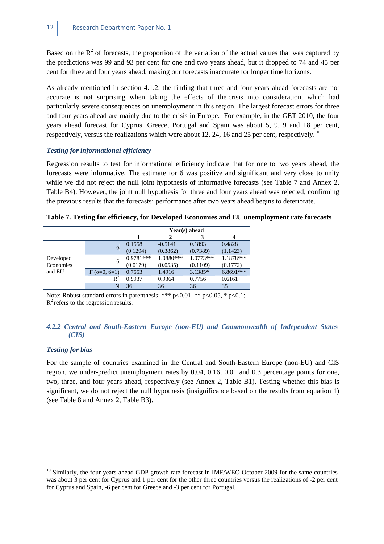Based on the  $R^2$  of forecasts, the proportion of the variation of the actual values that was captured by the predictions was 99 and 93 per cent for one and two years ahead, but it dropped to 74 and 45 per cent for three and four years ahead, making our forecasts inaccurate for longer time horizons.

As already mentioned in section 4.1.2, the finding that three and four years ahead forecasts are not accurate is not surprising when taking the effects of the crisis into consideration, which had particularly severe consequences on unemployment in this region. The largest forecast errors for three and four years ahead are mainly due to the crisis in Europe. For example, in the GET 2010, the four years ahead forecast for Cyprus, Greece, Portugal and Spain was about 5, 9, 9 and 18 per cent, respectively, versus the realizations which were about 12, 24, 16 and 25 per cent, respectively.<sup>10</sup>

#### *Testing for informational efficiency*

Regression results to test for informational efficiency indicate that for one to two years ahead, the forecasts were informative. The estimate for ϐ was positive and significant and very close to unity while we did not reject the null joint hypothesis of informative forecasts (see Table 7 and Annex 2, Table B4). However, the joint null hypothesis for three and four years ahead was rejected, confirming the previous results that the forecasts' performance after two years ahead begins to deteriorate.

|           |                    | Year(s) ahead |           |             |           |  |  |
|-----------|--------------------|---------------|-----------|-------------|-----------|--|--|
|           |                    |               |           |             |           |  |  |
| Developed |                    | 0.1558        | $-0.5141$ | 0.1893      | 0.4828    |  |  |
|           | $\alpha$           | (0.1294)      | (0.3862)  | (0.7389)    | (1.1423)  |  |  |
|           | 6                  | $0.9781***$   | 1.0880*** | $1.0773***$ | 1.1878*** |  |  |
| Economies |                    | (0.0179)      | (0.0535)  | (0.1109)    | (0.1772)  |  |  |
| and EU    | $F(\alpha=0, 6=1)$ | 0.7553        | 1.4916    | 3.1385*     | 6.8691*** |  |  |
|           | $\rm R^2$          | 0.9937        | 0.9364    | 0.7756      | 0.6161    |  |  |
|           | N                  | 36            | 36        | 36          | 35        |  |  |

|  |  | Table 7. Testing for efficiency, for Developed Economies and EU unemployment rate forecasts |  |
|--|--|---------------------------------------------------------------------------------------------|--|
|  |  |                                                                                             |  |

Note: Robust standard errors in parenthesis; \*\*\*  $p<0.01$ , \*\*  $p<0.05$ , \*  $p<0.1$ ;  $R^2$  refers to the regression results.

#### *4.2.2 Central and South-Eastern Europe (non-EU) and Commonwealth of Independent States (CIS)*

#### *Testing for bias*

 $\overline{a}$ 

For the sample of countries examined in the Central and South-Eastern Europe (non-EU) and CIS region, we under-predict unemployment rates by 0.04, 0.16, 0.01 and 0.3 percentage points for one, two, three, and four years ahead, respectively (see Annex 2, Table B1). Testing whether this bias is significant, we do not reject the null hypothesis (insignificance based on the results from equation 1) (see Table 8 and Annex 2, Table B3).

<sup>&</sup>lt;sup>10</sup> Similarly, the four years ahead GDP growth rate forecast in IMF/WEO October 2009 for the same countries was about 3 per cent for Cyprus and 1 per cent for the other three countries versus the realizations of -2 per cent for Cyprus and Spain, -6 per cent for Greece and -3 per cent for Portugal.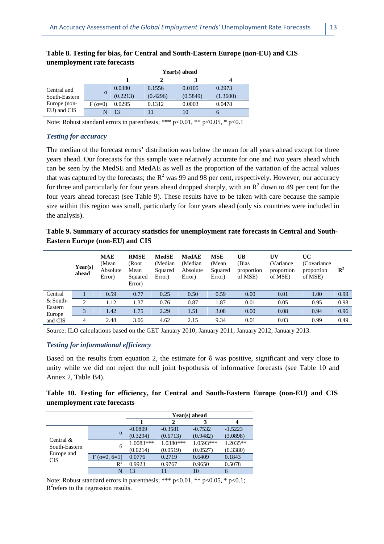|                                              |               |          | Year(s) ahead |          |          |  |  |  |  |  |
|----------------------------------------------|---------------|----------|---------------|----------|----------|--|--|--|--|--|
|                                              |               |          |               |          |          |  |  |  |  |  |
| Central and<br>South-Eastern<br>Europe (non- |               | 0.0380   | 0.1556        | 0.0105   | 0.2973   |  |  |  |  |  |
|                                              | $\alpha$      | (0.2213) | (0.4296)      | (0.5849) | (1.3600) |  |  |  |  |  |
|                                              | $F(\alpha=0)$ | 0.0295   | 0.1312        | 0.0003   | 0.0478   |  |  |  |  |  |
| EU) and CIS                                  |               | 13       |               |          |          |  |  |  |  |  |

| Table 8. Testing for bias, for Central and South-Eastern Europe (non-EU) and CIS |  |
|----------------------------------------------------------------------------------|--|
| unemployment rate forecasts                                                      |  |

Note: Robust standard errors in parenthesis; \*\*\*  $p<0.01$ , \*\*  $p<0.05$ , \*  $p<0.1$ 

#### *Testing for accuracy*

The median of the forecast errors' distribution was below the mean for all years ahead except for three years ahead. Our forecasts for this sample were relatively accurate for one and two years ahead which can be seen by the MedSE and MedAE as well as the proportion of the variation of the actual values that was captured by the forecasts; the  $R^2$  was 99 and 98 per cent, respectively. However, our accuracy for three and particularly for four years ahead dropped sharply, with an  $R^2$  down to 49 per cent for the four years ahead forecast (see Table 9). These results have to be taken with care because the sample size within this region was small, particularly for four years ahead (only six countries were included in the analysis).

**Table 9. Summary of accuracy statistics for unemployment rate forecasts in Central and South-Eastern Europe (non-EU) and CIS** 

|                   | Year(s)<br>ahead | <b>MAE</b><br>(Mean<br>Absolute<br>Error) | <b>RMSE</b><br>(Root<br>Mean<br>Squared<br>Error) | <b>MedSE</b><br>(Median<br>Squared<br>Error) | MedAE<br>(Median<br>Absolute<br>Error) | <b>MSE</b><br>(Mean<br>Squared<br>Error) | UB<br>(Bias<br>proportion<br>of MSE) | UV<br>(Variance)<br>proportion<br>of MSE) | UC<br>(Covariance)<br>proportion<br>of MSE) | $\mathbf{R}^2$ |
|-------------------|------------------|-------------------------------------------|---------------------------------------------------|----------------------------------------------|----------------------------------------|------------------------------------------|--------------------------------------|-------------------------------------------|---------------------------------------------|----------------|
| Central           |                  | 0.59                                      | 0.77                                              | 0.25                                         | 0.50                                   | 0.59                                     | 0.00                                 | 0.01                                      | 1.00                                        | 0.99           |
| $&$ South-        | ↑                | 1.12                                      | 1.37                                              | 0.76                                         | 0.87                                   | 1.87                                     | 0.01                                 | 0.05                                      | 0.95                                        | 0.98           |
| Eastern<br>Europe | 3                | 1.42                                      | 1.75                                              | 2.29                                         | 1.51                                   | 3.08                                     | 0.00                                 | 0.08                                      | 0.94                                        | 0.96           |
| and CIS           | 4                | 2.48                                      | 3.06                                              | 4.62                                         | 2.15                                   | 9.34                                     | 0.01                                 | 0.03                                      | 0.99                                        | 0.49           |

Source: ILO calculations based on the GET January 2010; January 2011; January 2012; January 2013.

#### *Testing for informational efficiency*

Based on the results from equation 2, the estimate for ϐ was positive, significant and very close to unity while we did not reject the null joint hypothesis of informative forecasts (see Table 10 and Annex 2, Table B4).

#### **Table 10. Testing for efficiency, for Central and South-Eastern Europe (non-EU) and CIS unemployment rate forecasts**

|                               |                    | Year(s) ahead |           |           |           |  |  |  |
|-------------------------------|--------------------|---------------|-----------|-----------|-----------|--|--|--|
|                               |                    |               | 2         | 3         |           |  |  |  |
|                               |                    | $-0.0809$     | $-0.3581$ | $-0.7532$ | $-1.5223$ |  |  |  |
|                               | $\alpha$           | (0.3294)      | (0.6713)  | (0.9482)  | (3.0898)  |  |  |  |
| Central $\&$<br>South-Eastern | 6                  | $1.0083***$   | 1.0380*** | 1.0593*** | 1.2035**  |  |  |  |
| Europe and                    |                    | (0.0214)      | (0.0519)  | (0.0527)  | (0.3380)  |  |  |  |
| <b>CIS</b>                    | $F(\alpha=0, 6=1)$ | 0.0776        | 0.2719    | 0.6409    | 0.1843    |  |  |  |
|                               | $R^2$              | 0.9923        | 0.9767    | 0.9650    | 0.5078    |  |  |  |
|                               | N                  | 13            | 11        | 10        | 6         |  |  |  |

Note: Robust standard errors in parenthesis; \*\*\*  $p<0.01$ , \*\*  $p<0.05$ , \*  $p<0.1$ ;  $R^2$  refers to the regression results.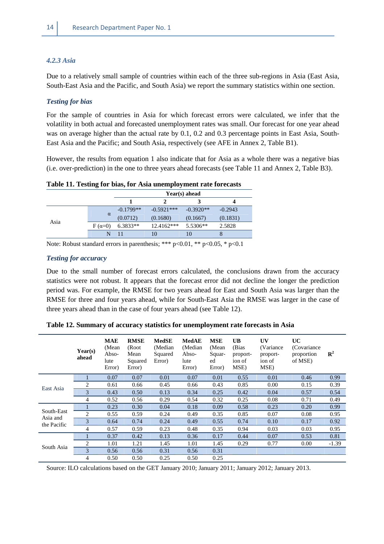#### *4.2.3 Asia*

Due to a relatively small sample of countries within each of the three sub-regions in Asia (East Asia, South-East Asia and the Pacific, and South Asia) we report the summary statistics within one section.

#### *Testing for bias*

For the sample of countries in Asia for which forecast errors were calculated, we infer that the volatility in both actual and forecasted unemployment rates was small. Our forecast for one year ahead was on average higher than the actual rate by 0.1, 0.2 and 0.3 percentage points in East Asia, South-East Asia and the Pacific; and South Asia, respectively (see AFE in Annex 2, Table B1).

However, the results from equation 1 also indicate that for Asia as a whole there was a negative bias (i.e. over-prediction) in the one to three years ahead forecasts (see Table 11 and Annex 2, Table B3).

|  | Table 11. Testing for bias, for Asia unemployment rate forecasts |
|--|------------------------------------------------------------------|
|  |                                                                  |

|      |               |             | Year(s) ahead |             |           |  |  |  |  |
|------|---------------|-------------|---------------|-------------|-----------|--|--|--|--|
|      |               |             |               |             |           |  |  |  |  |
|      |               | $-0.1799**$ | $-0.5921***$  | $-0.3920**$ | $-0.2943$ |  |  |  |  |
|      | $\alpha$      | (0.0712)    | (0.1680)      | (0.1667)    | (0.1831)  |  |  |  |  |
| Asia | $F(\alpha=0)$ | $6.3833**$  | $12.4162***$  | 5.5306**    | 2.5828    |  |  |  |  |
|      | N             |             |               | 10          | 8         |  |  |  |  |

Note: Robust standard errors in parenthesis; \*\*\* p<0.01, \*\* p<0.05, \* p<0.1

#### *Testing for accuracy*

Due to the small number of forecast errors calculated, the conclusions drawn from the accuracy statistics were not robust. It appears that the forecast error did not decline the longer the prediction period was. For example, the RMSE for two years ahead for East and South Asia was larger than the RMSE for three and four years ahead, while for South-East Asia the RMSE was larger in the case of three years ahead than in the case of four years ahead (see Table 12).

|                        | Year(s)<br>ahead              | <b>MAE</b><br>(Mean<br>Abso-<br>lute<br>Error) | <b>RMSE</b><br>(Root)<br>Mean<br>Squared<br>Error) | <b>MedSE</b><br>(Median)<br>Squared<br>Error) | <b>MedAE</b><br>(Median)<br>Abso-<br>lute<br>Error) | <b>MSE</b><br>(Mean)<br>Squar-<br>ed<br>Error) | <b>UB</b><br>(Bias<br>proport-<br>ion of<br>MSE) | <b>UV</b><br>(Variance)<br>proport-<br>ion of<br>MSE) | UC<br>(Covariance)<br>proportion<br>of MSE) | ${\bf R}^2$ |
|------------------------|-------------------------------|------------------------------------------------|----------------------------------------------------|-----------------------------------------------|-----------------------------------------------------|------------------------------------------------|--------------------------------------------------|-------------------------------------------------------|---------------------------------------------|-------------|
|                        |                               | 0.07                                           | 0.07                                               | 0.01                                          | 0.07                                                | 0.01                                           | 0.55                                             | 0.01                                                  | 0.46                                        | 0.99        |
| East Asia              | 2                             | 0.61                                           | 0.66                                               | 0.45                                          | 0.66                                                | 0.43                                           | 0.85                                             | 0.00                                                  | 0.15                                        | 0.39        |
|                        | 3                             | 0.43                                           | 0.50                                               | 0.13                                          | 0.34                                                | 0.25                                           | 0.42                                             | 0.04                                                  | 0.57                                        | 0.54        |
|                        | 4                             | 0.52                                           | 0.56                                               | 0.29                                          | 0.54                                                | 0.32                                           | 0.25                                             | 0.08                                                  | 0.71                                        | 0.49        |
|                        |                               | 0.23                                           | 0.30                                               | 0.04                                          | 0.18                                                | 0.09                                           | 0.58                                             | 0.23                                                  | 0.20                                        | 0.99        |
| South-East<br>Asia and | 2                             | 0.55                                           | 0.59                                               | 0.24                                          | 0.49                                                | 0.35                                           | 0.85                                             | 0.07                                                  | 0.08                                        | 0.95        |
| the Pacific            | 3                             | 0.64                                           | 0.74                                               | 0.24                                          | 0.49                                                | 0.55                                           | 0.74                                             | 0.10                                                  | 0.17                                        | 0.92        |
|                        | 4                             | 0.57                                           | 0.59                                               | 0.23                                          | 0.48                                                | 0.35                                           | 0.94                                             | 0.03                                                  | 0.03                                        | 0.95        |
|                        |                               | 0.37                                           | 0.42                                               | 0.13                                          | 0.36                                                | 0.17                                           | 0.44                                             | 0.07                                                  | 0.53                                        | 0.81        |
|                        | $\mathfrak{D}_{\mathfrak{p}}$ | 1.01                                           | 1.21                                               | 1.45                                          | 1.01                                                | 1.45                                           | 0.29                                             | 0.77                                                  | 0.00                                        | $-1.39$     |
| South Asia             | 3                             | 0.56                                           | 0.56                                               | 0.31                                          | 0.56                                                | 0.31                                           |                                                  |                                                       |                                             |             |
|                        | 4                             | 0.50                                           | 0.50                                               | 0.25                                          | 0.50                                                | 0.25                                           |                                                  |                                                       |                                             |             |

**Table 12. Summary of accuracy statistics for unemployment rate forecasts in Asia** 

Source: ILO calculations based on the GET January 2010; January 2011; January 2012; January 2013.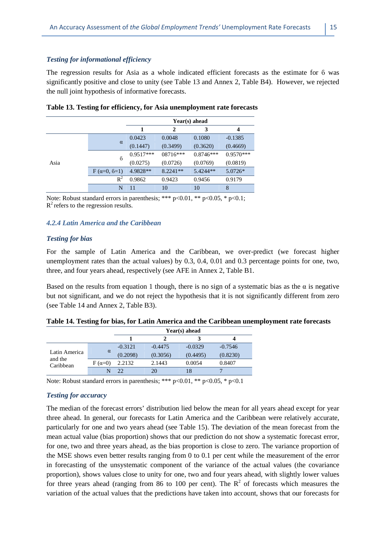#### *Testing for informational efficiency*

The regression results for Asia as a whole indicated efficient forecasts as the estimate for ϐ was significantly positive and close to unity (see Table 13 and Annex 2, Table B4). However, we rejected the null joint hypothesis of informative forecasts.

|      |                    |             |            | Year(s) ahead |             |
|------|--------------------|-------------|------------|---------------|-------------|
|      |                    |             | 2          | 3             |             |
|      |                    | 0.0423      | 0.0048     | 0.1080        | $-0.1385$   |
|      | $\alpha$           | (0.1447)    | (0.3499)   | (0.3620)      | (0.4669)    |
|      | $6\overline{6}$    | $0.9517***$ | $08716***$ | $0.8746***$   | $0.9570***$ |
| Asia |                    | (0.0275)    | (0.0726)   | (0.0769)      | (0.0819)    |
|      | $F(\alpha=0, 6=1)$ | 4.9828**    | 8.2241**   | $5.4244**$    | 5.0726*     |
|      | $R^2$              | 0.9862      | 0.9423     | 0.9456        | 0.9179      |
|      | N                  | 11          | 10         | 10            | 8           |

|  |  | Table 13. Testing for efficiency, for Asia unemployment rate forecasts |  |
|--|--|------------------------------------------------------------------------|--|
|  |  |                                                                        |  |

Note: Robust standard errors in parenthesis; \*\*\*  $p<0.01$ , \*\*  $p<0.05$ , \*  $p<0.1$ ;  $R^2$  refers to the regression results.

#### *4.2.4 Latin America and the Caribbean*

#### *Testing for bias*

For the sample of Latin America and the Caribbean, we over-predict (we forecast higher unemployment rates than the actual values) by 0.3, 0.4, 0.01 and 0.3 percentage points for one, two, three, and four years ahead, respectively (see AFE in Annex 2, Table B1.

Based on the results from equation 1 though, there is no sign of a systematic bias as the  $\alpha$  is negative but not significant, and we do not reject the hypothesis that it is not significantly different from zero (see Table 14 and Annex 2, Table B3).

|                      |               | $Year(s)$ ahead |           |           |           |  |  |
|----------------------|---------------|-----------------|-----------|-----------|-----------|--|--|
|                      |               |                 |           |           |           |  |  |
|                      |               | $-0.3121$       | $-0.4475$ | $-0.0329$ | $-0.7546$ |  |  |
| Latin America        | $\alpha$      | (0.2098)        | (0.3056)  | (0.4495)  | (0.8230)  |  |  |
| and the<br>Caribbean | $F(\alpha=0)$ | 2.2132          | 2.1443    | 0.0054    | 0.8407    |  |  |
|                      |               |                 | 20        | 18        | −         |  |  |

Note: Robust standard errors in parenthesis; \*\*\* p<0.01, \*\* p<0.05, \* p<0.1

#### *Testing for accuracy*

The median of the forecast errors' distribution lied below the mean for all years ahead except for year three ahead. In general, our forecasts for Latin America and the Caribbean were relatively accurate, particularly for one and two years ahead (see Table 15). The deviation of the mean forecast from the mean actual value (bias proportion) shows that our prediction do not show a systematic forecast error, for one, two and three years ahead, as the bias proportion is close to zero. The variance proportion of the MSE shows even better results ranging from 0 to 0.1 per cent while the measurement of the error in forecasting of the unsystematic component of the variance of the actual values (the covariance proportion), shows values close to unity for one, two and four years ahead, with slightly lower values for three years ahead (ranging from 86 to 100 per cent). The  $R^2$  of forecasts which measures the variation of the actual values that the predictions have taken into account, shows that our forecasts for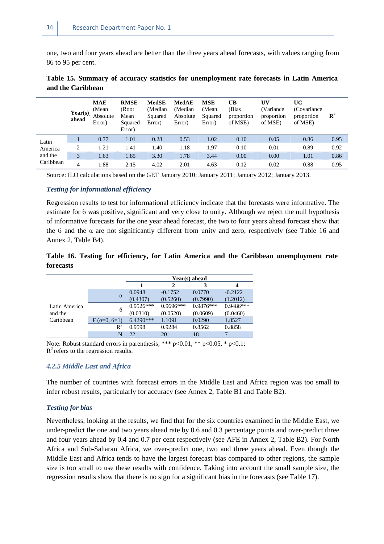one, two and four years ahead are better than the three years ahead forecasts, with values ranging from 86 to 95 per cent.

|           | Year(s)<br>ahead | <b>MAE</b><br>(Mean<br>Absolute<br>Error) | <b>RMSE</b><br>(Root<br>Mean<br>Squared<br>Error) | <b>MedSE</b><br>(Median)<br>Squared<br>Error) | <b>MedAE</b><br>(Median<br>Absolute<br>Error) | <b>MSE</b><br>(Mean<br>Squared<br>Error) | UB<br>(Bias<br>proportion<br>of MSE) | UV<br>(Variance<br>proportion<br>of MSE) | UC<br>(Covariance)<br>proportion<br>of MSE) | $\mathbf{R}^2$ |
|-----------|------------------|-------------------------------------------|---------------------------------------------------|-----------------------------------------------|-----------------------------------------------|------------------------------------------|--------------------------------------|------------------------------------------|---------------------------------------------|----------------|
| Latin     |                  | 0.77                                      | 1.01                                              | 0.28                                          | 0.53                                          | 1.02                                     | 0.10                                 | 0.05                                     | 0.86                                        | 0.95           |
| America   | 2                | 1.21                                      | 1.41                                              | 1.40                                          | 1.18                                          | 1.97                                     | 0.10                                 | 0.01                                     | 0.89                                        | 0.92           |
| and the   | 3                | 1.63                                      | 1.85                                              | 3.30                                          | 1.78                                          | 3.44                                     | 0.00                                 | 0.00                                     | 1.01                                        | 0.86           |
| Caribbean | 4                | 1.88                                      | 2.15                                              | 4.02                                          | 2.01                                          | 4.63                                     | 0.12                                 | 0.02                                     | 0.88                                        | 0.95           |

**Table 15. Summary of accuracy statistics for unemployment rate forecasts in Latin America and the Caribbean** 

Source: ILO calculations based on the GET January 2010; January 2011; January 2012; January 2013.

#### *Testing for informational efficiency*

Regression results to test for informational efficiency indicate that the forecasts were informative. The estimate for ϐ was positive, significant and very close to unity. Although we reject the null hypothesis of informative forecasts for the one year ahead forecast, the two to four years ahead forecast show that the  $6$  and the  $\alpha$  are not significantly different from unity and zero, respectively (see Table 16 and Annex 2, Table B4).

#### **Table 16. Testing for efficiency, for Latin America and the Caribbean unemployment rate forecasts**

|               |                    | Year(s) ahead |             |             |             |  |  |
|---------------|--------------------|---------------|-------------|-------------|-------------|--|--|
|               |                    |               | 2           |             | 4           |  |  |
|               |                    | 0.0948        | $-0.1752$   | 0.0770      | $-0.2122$   |  |  |
|               | $\alpha$           | (0.4307)      | (0.5260)    | (0.7990)    | (1.2012)    |  |  |
| Latin America | $6\overline{6}$    | $0.9526***$   | $0.9696***$ | $0.9876***$ | $0.9486***$ |  |  |
| and the       |                    | (0.0310)      | (0.0520)    | (0.0609)    | (0.0460)    |  |  |
| Caribbean     | $F(\alpha=0, 6=1)$ | $6.4290***$   | 1.1091      | 0.0290      | 1.8527      |  |  |
|               | $R^2$              | 0.9598        | 0.9284      | 0.8562      | 0.8858      |  |  |
|               | N                  | つつ            | 20          | 18          | 7           |  |  |

Note: Robust standard errors in parenthesis; \*\*\*  $p<0.01$ , \*\*  $p<0.05$ , \*  $p<0.1$ ;  $R^2$  refers to the regression results.

#### *4.2.5 Middle East and Africa*

The number of countries with forecast errors in the Middle East and Africa region was too small to infer robust results, particularly for accuracy (see Annex 2, Table B1 and Table B2).

#### *Testing for bias*

Nevertheless, looking at the results, we find that for the six countries examined in the Middle East, we under-predict the one and two years ahead rate by 0.6 and 0.3 percentage points and over-predict three and four years ahead by 0.4 and 0.7 per cent respectively (see AFE in Annex 2, Table B2). For North Africa and Sub-Saharan Africa, we over-predict one, two and three years ahead. Even though the Middle East and Africa tends to have the largest forecast bias compared to other regions, the sample size is too small to use these results with confidence. Taking into account the small sample size, the regression results show that there is no sign for a significant bias in the forecasts (see Table 17).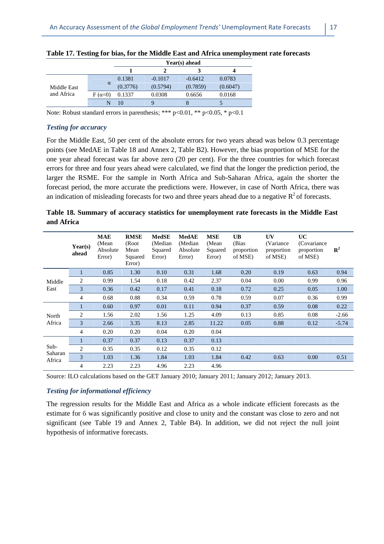|                           |               | Year(s) ahead |           |           |          |  |  |  |
|---------------------------|---------------|---------------|-----------|-----------|----------|--|--|--|
|                           |               |               |           |           |          |  |  |  |
|                           |               | 0.1381        | $-0.1017$ | $-0.6412$ | 0.0783   |  |  |  |
| Middle East<br>and Africa | $\alpha$      | (0.3776)      | (0.5794)  | (0.7859)  | (0.6047) |  |  |  |
|                           | $F(\alpha=0)$ | 0.1337        | 0.0308    | 0.6656    | 0.0168   |  |  |  |
|                           |               | 10            |           |           |          |  |  |  |

| Table 17. Testing for bias, for the Middle East and Africa unemployment rate forecasts |  |
|----------------------------------------------------------------------------------------|--|
|----------------------------------------------------------------------------------------|--|

Note: Robust standard errors in parenthesis; \*\*\*  $p<0.01$ , \*\*  $p<0.05$ , \*  $p<0.1$ 

#### *Testing for accuracy*

For the Middle East, 50 per cent of the absolute errors for two years ahead was below 0.3 percentage points (see MedAE in Table 18 and Annex 2, Table B2). However, the bias proportion of MSE for the one year ahead forecast was far above zero (20 per cent). For the three countries for which forecast errors for three and four years ahead were calculated, we find that the longer the prediction period, the larger the RSME. For the sample in North Africa and Sub-Saharan Africa, again the shorter the forecast period, the more accurate the predictions were. However, in case of North Africa, there was an indication of misleading forecasts for two and three years ahead due to a negative  $R^2$  of forecasts.

|            |  | Table 18. Summary of accuracy statistics for unemployment rate forecasts in the Middle East |  |  |  |
|------------|--|---------------------------------------------------------------------------------------------|--|--|--|
| and Africa |  |                                                                                             |  |  |  |

|                   | Year(s)<br>ahead | MAE<br>(Mean<br>Absolute<br>Error) | <b>RMSE</b><br>(Root<br>Mean<br>Squared<br>Error) | MedSE<br>(Median<br>Squared<br>Error) | <b>MedAE</b><br>(Median)<br>Absolute<br>Error) | <b>MSE</b><br>(Mean<br>Squared<br>Error) | <b>UB</b><br>(Bias<br>proportion<br>of MSE) | UV<br>(Variance)<br>proportion<br>of MSE) | UC<br>(Covariance)<br>proportion<br>of MSE) | ${\bf R}^2$ |
|-------------------|------------------|------------------------------------|---------------------------------------------------|---------------------------------------|------------------------------------------------|------------------------------------------|---------------------------------------------|-------------------------------------------|---------------------------------------------|-------------|
|                   | 1                | 0.85                               | 1.30                                              | 0.10                                  | 0.31                                           | 1.68                                     | 0.20                                        | 0.19                                      | 0.63                                        | 0.94        |
| Middle            | 2                | 0.99                               | 1.54                                              | 0.18                                  | 0.42                                           | 2.37                                     | 0.04                                        | 0.00                                      | 0.99                                        | 0.96        |
| East              | 3                | 0.36                               | 0.42                                              | 0.17                                  | 0.41                                           | 0.18                                     | 0.72                                        | 0.25                                      | 0.05                                        | 1.00        |
|                   | 4                | 0.68                               | 0.88                                              | 0.34                                  | 0.59                                           | 0.78                                     | 0.59                                        | 0.07                                      | 0.36                                        | 0.99        |
|                   | 1                | 0.60                               | 0.97                                              | 0.01                                  | 0.11                                           | 0.94                                     | 0.37                                        | 0.59                                      | 0.08                                        | 0.22        |
| North             | 2                | 1.56                               | 2.02                                              | 1.56                                  | 1.25                                           | 4.09                                     | 0.13                                        | 0.85                                      | 0.08                                        | $-2.66$     |
| Africa            | 3                | 2.66                               | 3.35                                              | 8.13                                  | 2.85                                           | 11.22                                    | 0.05                                        | 0.88                                      | 0.12                                        | $-5.74$     |
|                   | 4                | 0.20                               | 0.20                                              | 0.04                                  | 0.20                                           | 0.04                                     |                                             |                                           |                                             |             |
|                   |                  | 0.37                               | 0.37                                              | 0.13                                  | 0.37                                           | 0.13                                     |                                             |                                           |                                             |             |
| Sub-              | $\overline{c}$   | 0.35                               | 0.35                                              | 0.12                                  | 0.35                                           | 0.12                                     |                                             |                                           |                                             |             |
| Saharan<br>Africa | 3                | 1.03                               | 1.36                                              | 1.84                                  | 1.03                                           | 1.84                                     | 0.42                                        | 0.63                                      | 0.00                                        | 0.51        |
|                   | 4                | 2.23                               | 2.23                                              | 4.96                                  | 2.23                                           | 4.96                                     |                                             |                                           |                                             |             |

Source: ILO calculations based on the GET January 2010; January 2011; January 2012; January 2013.

#### *Testing for informational efficiency*

The regression results for the Middle East and Africa as a whole indicate efficient forecasts as the estimate for ϐ was significantly positive and close to unity and the constant was close to zero and not significant (see Table 19 and Annex 2, Table B4). In addition, we did not reject the null joint hypothesis of informative forecasts.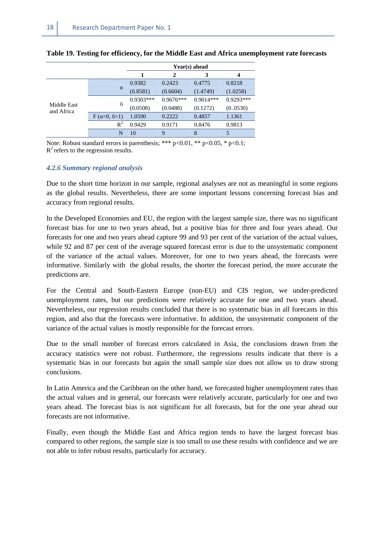|                           |                    | Year(s) ahead |             |             |             |  |  |
|---------------------------|--------------------|---------------|-------------|-------------|-------------|--|--|
|                           |                    |               | 2           |             | 4           |  |  |
|                           |                    | 0.9382        | 0.2423      | 0.4775      | 0.8218      |  |  |
|                           | $\alpha$           | (0.8581)      | (0.6604)    | (1.4749)    | (1.0258)    |  |  |
|                           | $6\overline{6}$    | $0.9303***$   | $0.9676***$ | $0.9014***$ | $0.9293***$ |  |  |
| Middle East<br>and Africa |                    | (0.0508)      | (0.0488)    | (0.1272)    | (0.0530)    |  |  |
|                           | $F(\alpha=0, 6=1)$ | 1.0590        | 0.2222      | 0.4857      | 1.1361      |  |  |
|                           | $R^2$              | 0.9429        | 0.9171      | 0.8476      | 0.9813      |  |  |
|                           | N                  | 10            | 9           | 8           |             |  |  |

#### **Table 19. Testing for efficiency, for the Middle East and Africa unemployment rate forecasts**

Note: Robust standard errors in parenthesis; \*\*\*  $p<0.01$ , \*\*  $p<0.05$ , \*  $p<0.1$ ;  $R^2$  refers to the regression results.

#### *4.2.6 Summary regional analysis*

Due to the short time horizon in our sample, regional analyses are not as meaningful in some regions as the global results. Nevertheless, there are some important lessons concerning forecast bias and accuracy from regional results.

In the Developed Economies and EU, the region with the largest sample size, there was no significant forecast bias for one to two years ahead, but a positive bias for three and four years ahead. Our forecasts for one and two years ahead capture 99 and 93 per cent of the variation of the actual values, while 92 and 87 per cent of the average squared forecast error is due to the unsystematic component of the variance of the actual values. Moreover, for one to two years ahead, the forecasts were informative. Similarly with the global results, the shorter the forecast period, the more accurate the predictions are.

For the Central and South-Eastern Europe (non-EU) and CIS region, we under-predicted unemployment rates, but our predictions were relatively accurate for one and two years ahead. Nevertheless, our regression results concluded that there is no systematic bias in all forecasts in this region, and also that the forecasts were informative. In addition, the unsystematic component of the variance of the actual values is mostly responsible for the forecast errors.

Due to the small number of forecast errors calculated in Asia, the conclusions drawn from the accuracy statistics were not robust. Furthermore, the regressions results indicate that there is a systematic bias in our forecasts but again the small sample size does not allow us to draw strong conclusions.

In Latin America and the Caribbean on the other hand, we forecasted higher unemployment rates than the actual values and in general, our forecasts were relatively accurate, particularly for one and two years ahead. The forecast bias is not significant for all forecasts, but for the one year ahead our forecasts are not informative.

Finally, even though the Middle East and Africa region tends to have the largest forecast bias compared to other regions, the sample size is too small to use these results with confidence and we are not able to infer robust results, particularly for accuracy.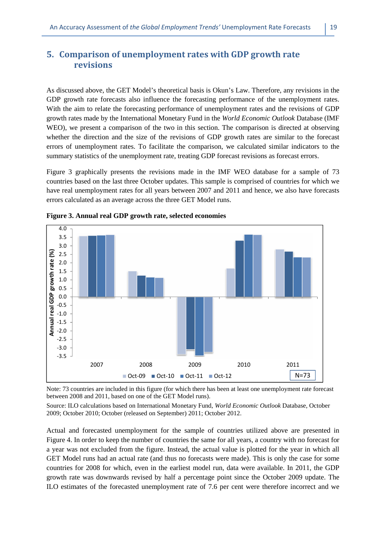## **5. Comparison of unemployment rates with GDP growth rate revisions**

As discussed above, the GET Model's theoretical basis is Okun's Law. Therefore, any revisions in the GDP growth rate forecasts also influence the forecasting performance of the unemployment rates. With the aim to relate the forecasting performance of unemployment rates and the revisions of GDP growth rates made by the International Monetary Fund in the *World Economic Outlook* Database (IMF WEO), we present a comparison of the two in this section. The comparison is directed at observing whether the direction and the size of the revisions of GDP growth rates are similar to the forecast errors of unemployment rates. To facilitate the comparison, we calculated similar indicators to the summary statistics of the unemployment rate, treating GDP forecast revisions as forecast errors.

Figure 3 graphically presents the revisions made in the IMF WEO database for a sample of 73 countries based on the last three October updates. This sample is comprised of countries for which we have real unemployment rates for all years between 2007 and 2011 and hence, we also have forecasts errors calculated as an average across the three GET Model runs.



**Figure 3. Annual real GDP growth rate, selected economies** 

Note: 73 countries are included in this figure (for which there has been at least one unemployment rate forecast between 2008 and 2011, based on one of the GET Model runs).

Source: ILO calculations based on International Monetary Fund, *World Economic Outlook* Database, October 2009; October 2010; October (released on September) 2011; October 2012.

Actual and forecasted unemployment for the sample of countries utilized above are presented in Figure 4. In order to keep the number of countries the same for all years, a country with no forecast for a year was not excluded from the figure. Instead, the actual value is plotted for the year in which all GET Model runs had an actual rate (and thus no forecasts were made). This is only the case for some countries for 2008 for which, even in the earliest model run, data were available. In 2011, the GDP growth rate was downwards revised by half a percentage point since the October 2009 update. The ILO estimates of the forecasted unemployment rate of 7.6 per cent were therefore incorrect and we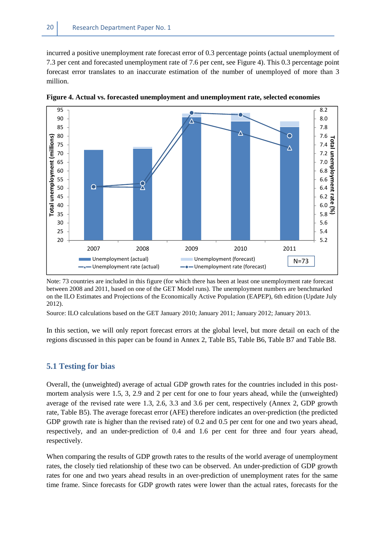incurred a positive unemployment rate forecast error of 0.3 percentage points (actual unemployment of 7.3 per cent and forecasted unemployment rate of 7.6 per cent, see Figure 4). This 0.3 percentage point forecast error translates to an inaccurate estimation of the number of unemployed of more than 3 million.



**Figure 4. Actual vs. forecasted unemployment and unemployment rate, selected economies** 

Note: 73 countries are included in this figure (for which there has been at least one unemployment rate forecast between 2008 and 2011, based on one of the GET Model runs). The unemployment numbers are benchmarked on the ILO Estimates and Projections of the Economically Active Population (EAPEP), 6th edition (Update July 2012).

Source: ILO calculations based on the GET January 2010; January 2011; January 2012; January 2013.

In this section, we will only report forecast errors at the global level, but more detail on each of the regions discussed in this paper can be found in Annex 2, Table B5, Table B6, Table B7 and Table B8.

#### **5.1 Testing for bias**

Overall, the (unweighted) average of actual GDP growth rates for the countries included in this postmortem analysis were 1.5, 3, 2.9 and 2 per cent for one to four years ahead, while the (unweighted) average of the revised rate were 1.3, 2.6, 3.3 and 3.6 per cent, respectively (Annex 2, GDP growth rate, Table B5). The average forecast error (AFE) therefore indicates an over-prediction (the predicted GDP growth rate is higher than the revised rate) of 0.2 and 0.5 per cent for one and two years ahead, respectively, and an under-prediction of 0.4 and 1.6 per cent for three and four years ahead, respectively.

When comparing the results of GDP growth rates to the results of the world average of unemployment rates, the closely tied relationship of these two can be observed. An under-prediction of GDP growth rates for one and two years ahead results in an over-prediction of unemployment rates for the same time frame. Since forecasts for GDP growth rates were lower than the actual rates, forecasts for the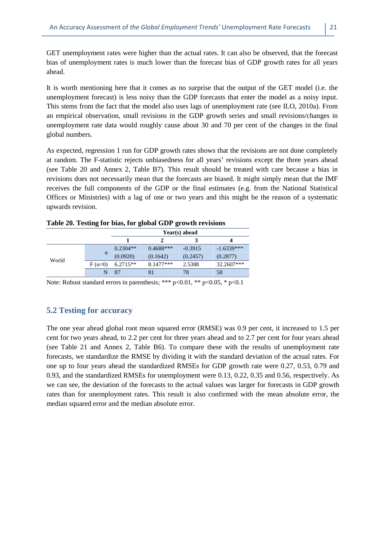GET unemployment rates were higher than the actual rates. It can also be observed, that the forecast bias of unemployment rates is much lower than the forecast bias of GDP growth rates for all years ahead.

It is worth mentioning here that it comes as no surprise that the output of the GET model (i.e. the unemployment forecast) is less noisy than the GDP forecasts that enter the model as a noisy input. This stems from the fact that the model also uses lags of unemployment rate (see ILO, 2010a). From an empirical observation, small revisions in the GDP growth series and small revisions/changes in unemployment rate data would roughly cause about 30 and 70 per cent of the changes in the final global numbers.

As expected, regression 1 run for GDP growth rates shows that the revisions are not done completely at random. The F-statistic rejects unbiasedness for all years' revisions except the three years ahead (see Table 20 and Annex 2, Table B7). This result should be treated with care because a bias in revisions does not necessarily mean that the forecasts are biased. It might simply mean that the IMF receives the full components of the GDP or the final estimates (e.g. from the National Statistical Offices or Ministries) with a lag of one or two years and this might be the reason of a systematic upwards revision.

| $\cdots$ |               |               |             |           |              |  |  |  |
|----------|---------------|---------------|-------------|-----------|--------------|--|--|--|
|          |               | Year(s) ahead |             |           |              |  |  |  |
|          |               |               |             |           |              |  |  |  |
|          |               | $0.2304**$    | $0.4688***$ | $-0.3915$ | $-1.6339***$ |  |  |  |
|          | $\alpha$      | (0.0920)      | (0.1642)    | (0.2457)  | (0.2877)     |  |  |  |
| World    | $F(\alpha=0)$ | $6.2715**$    | 8.1477***   | 2.5388    | 32.2607***   |  |  |  |
|          |               | 87            |             | 78        | 58           |  |  |  |

#### **Table 20. Testing for bias, for global GDP growth revisions**

Note: Robust standard errors in parenthesis; \*\*\*  $p<0.01$ , \*\*  $p<0.05$ , \*  $p<0.1$ 

#### **5.2 Testing for accuracy**

The one year ahead global root mean squared error (RMSE) was 0.9 per cent, it increased to 1.5 per cent for two years ahead, to 2.2 per cent for three years ahead and to 2.7 per cent for four years ahead (see Table 21 and Annex 2, Table B6). To compare these with the results of unemployment rate forecasts, we standardize the RMSE by dividing it with the standard deviation of the actual rates. For one up to four years ahead the standardized RMSEs for GDP growth rate were 0.27, 0.53, 0.79 and 0.93, and the standardized RMSEs for unemployment were 0.13, 0.22, 0.35 and 0.56, respectively. As we can see, the deviation of the forecasts to the actual values was larger for forecasts in GDP growth rates than for unemployment rates. This result is also confirmed with the mean absolute error, the median squared error and the median absolute error.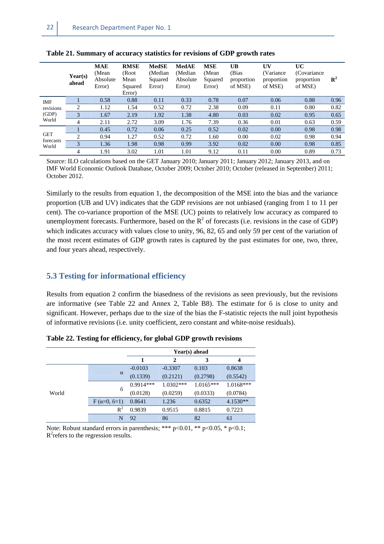|                                  | Year(s)<br>ahead | <b>MAE</b><br>(Mean<br>Absolute<br>Error) | <b>RMSE</b><br>(Root<br>Mean<br>Squared<br>Error) | <b>MedSE</b><br>(Median)<br>Squared<br>Error) | <b>MedAE</b><br>(Median<br>Absolute<br>Error) | <b>MSE</b><br>(Mean)<br>Squared<br>Error) | <b>UB</b><br>(Bias<br>proportion<br>of MSE) | UV<br>(Variance<br>proportion<br>of MSE) | UC<br>(Covariance)<br>proportion<br>of MSE) | $\mathbf{R}^2$ |
|----------------------------------|------------------|-------------------------------------------|---------------------------------------------------|-----------------------------------------------|-----------------------------------------------|-------------------------------------------|---------------------------------------------|------------------------------------------|---------------------------------------------|----------------|
| <b>IMF</b><br>revisions<br>(GDP) |                  | 0.58                                      | 0.88                                              | 0.11                                          | 0.33                                          | 0.78                                      | 0.07                                        | 0.06                                     | 0.88                                        | 0.96           |
|                                  | 2                | 1.12                                      | 1.54                                              | 0.52                                          | 0.72                                          | 2.38                                      | 0.09                                        | 0.11                                     | 0.80                                        | 0.82           |
|                                  | 3                | 1.67                                      | 2.19                                              | 1.92                                          | 1.38                                          | 4.80                                      | 0.03                                        | 0.02                                     | 0.95                                        | 0.65           |
| World                            | $\overline{4}$   | 2.11                                      | 2.72                                              | 3.09                                          | 1.76                                          | 7.39                                      | 0.36                                        | 0.01                                     | 0.63                                        | 0.59           |
|                                  |                  | 0.45                                      | 0.72                                              | 0.06                                          | 0.25                                          | 0.52                                      | 0.02                                        | 0.00                                     | 0.98                                        | 0.98           |
| <b>GET</b>                       | $\bigcirc$       | 0.94                                      | 1.27                                              | 0.52                                          | 0.72                                          | 1.60                                      | 0.00                                        | 0.02                                     | 0.98                                        | 0.94           |
| forecasts<br>World               | $\mathcal{R}$    | 1.36                                      | 1.98                                              | 0.98                                          | 0.99                                          | 3.92                                      | 0.02                                        | 0.00                                     | 0.98                                        | 0.85           |
|                                  | 4                | 1.91                                      | 3.02                                              | 1.01                                          | 1.01                                          | 9.12                                      | 0.11                                        | 0.00                                     | 0.89                                        | 0.73           |

**Table 21. Summary of accuracy statistics for revisions of GDP growth rates** 

Source: ILO calculations based on the GET January 2010; January 2011; January 2012; January 2013, and on IMF World Economic Outlook Database, October 2009; October 2010; October (released in September) 2011; October 2012.

Similarly to the results from equation 1, the decomposition of the MSE into the bias and the variance proportion (UB and UV) indicates that the GDP revisions are not unbiased (ranging from 1 to 11 per cent). The co-variance proportion of the MSE (UC) points to relatively low accuracy as compared to unemployment forecasts. Furthermore, based on the  $R^2$  of forecasts (i.e. revisions in the case of GDP) which indicates accuracy with values close to unity, 96, 82, 65 and only 59 per cent of the variation of the most recent estimates of GDP growth rates is captured by the past estimates for one, two, three, and four years ahead, respectively.

#### **5.3 Testing for informational efficiency**

Results from equation 2 confirm the biasedness of the revisions as seen previously, but the revisions are informative (see Table 22 and Annex 2, Table B8). The estimate for ϐ is close to unity and significant. However, perhaps due to the size of the bias the F-statistic rejects the null joint hypothesis of informative revisions (i.e. unity coefficient, zero constant and white-noise residuals).

|       |                    | Year(s) ahead |              |             |             |  |  |  |
|-------|--------------------|---------------|--------------|-------------|-------------|--|--|--|
|       |                    | 1             | $\mathbf{2}$ | 3           | 4           |  |  |  |
|       |                    | $-0.0103$     | $-0.3307$    | 0.103       | 0.8638      |  |  |  |
|       | $\alpha$           | (0.1339)      | (0.2121)     | (0.2798)    | (0.5542)    |  |  |  |
|       |                    | $0.9914***$   | $1.0302***$  | $1.0165***$ | $1.0168***$ |  |  |  |
| World | $6\overline{6}$    | (0.0128)      | (0.0259)     | (0.0333)    | (0.0784)    |  |  |  |
|       | $F(\alpha=0, 6=1)$ | 0.8641        | 1.236        | 0.6352      | $4.1530**$  |  |  |  |
|       | $R^2$              | 0.9839        | 0.9515       | 0.8815      | 0.7223      |  |  |  |
|       | N                  | 92            | 86           | 82          | 61          |  |  |  |

**Table 22. Testing for efficiency, for global GDP growth revisions** 

Note: Robust standard errors in parenthesis; \*\*\* p<0.01, \*\* p<0.05, \* p<0.1;  $R^2$  refers to the regression results.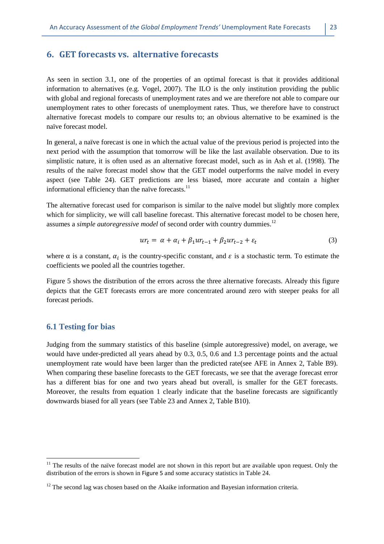As seen in section 3.1, one of the properties of an optimal forecast is that it provides additional information to alternatives (e.g. Vogel, 2007). The ILO is the only institution providing the public with global and regional forecasts of unemployment rates and we are therefore not able to compare our unemployment rates to other forecasts of unemployment rates. Thus, we therefore have to construct alternative forecast models to compare our results to; an obvious alternative to be examined is the naïve forecast model.

In general, a naïve forecast is one in which the actual value of the previous period is projected into the next period with the assumption that tomorrow will be like the last available observation. Due to its simplistic nature, it is often used as an alternative forecast model, such as in Ash et al. (1998). The results of the naïve forecast model show that the GET model outperforms the naïve model in every aspect (see Table 24). GET predictions are less biased, more accurate and contain a higher informational efficiency than the naïve forecasts. $11$ 

The alternative forecast used for comparison is similar to the naïve model but slightly more complex which for simplicity, we will call baseline forecast. This alternative forecast model to be chosen here, assumes a *simple autoregressive model* of second order with country dummies.<sup>12</sup>

$$
ur_t = \alpha + \alpha_i + \beta_1 ur_{t-1} + \beta_2 ur_{t-2} + \varepsilon_t \tag{3}
$$

where  $\alpha$  is a constant,  $\alpha_i$  is the country-specific constant, and  $\varepsilon$  is a stochastic term. To estimate the coefficients we pooled all the countries together.

Figure 5 shows the distribution of the errors across the three alternative forecasts. Already this figure depicts that the GET forecasts errors are more concentrated around zero with steeper peaks for all forecast periods.

#### **6.1 Testing for bias**

l

Judging from the summary statistics of this baseline (simple autoregressive) model, on average, we would have under-predicted all years ahead by 0.3, 0.5, 0.6 and 1.3 percentage points and the actual unemployment rate would have been larger than the predicted rate(see AFE in Annex 2, Table B9). When comparing these baseline forecasts to the GET forecasts, we see that the average forecast error has a different bias for one and two years ahead but overall, is smaller for the GET forecasts. Moreover, the results from equation 1 clearly indicate that the baseline forecasts are significantly downwards biased for all years (see Table 23 and Annex 2, Table B10).

 $11$  The results of the naïve forecast model are not shown in this report but are available upon request. Only the distribution of the errors is shown in Figure 5 and some accuracy statistics in Table 24.

 $12$  The second lag was chosen based on the Akaike information and Bayesian information criteria.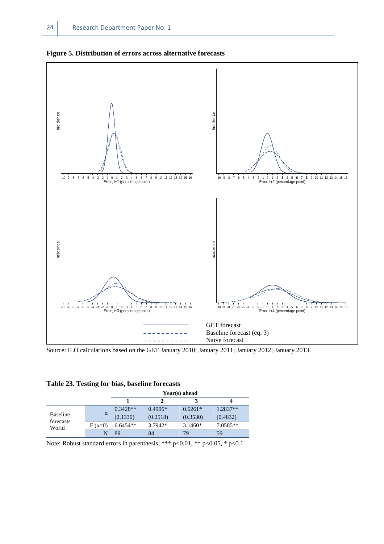



Source: ILO calculations based on the GET January 2010; January 2011; January 2012; January 2013.

| Table 23. Testing for bias, baseline forecasts |  |  |  |
|------------------------------------------------|--|--|--|
|                                                |  |  |  |

|                              |               | Year(s) ahead |           |           |            |  |  |  |  |
|------------------------------|---------------|---------------|-----------|-----------|------------|--|--|--|--|
|                              |               |               |           |           |            |  |  |  |  |
|                              |               | $0.3428**$    | $0.4906*$ | $0.6261*$ | 1.2837**   |  |  |  |  |
| <b>Baseline</b><br>forecasts | $\alpha$      | (0.1330)      | (0.2518)  | (0.3530)  | (0.4832)   |  |  |  |  |
| World                        | $F(\alpha=0)$ | 6.6454**      | $3.7942*$ | $3.1460*$ | $7.0585**$ |  |  |  |  |
|                              |               | 89            | 84        | 79        | 59         |  |  |  |  |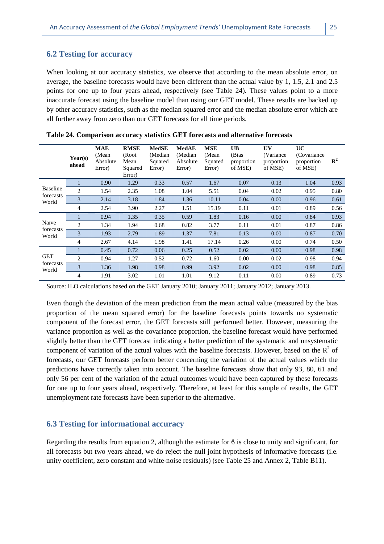#### **6.2 Testing for accuracy**

When looking at our accuracy statistics, we observe that according to the mean absolute error, on average, the baseline forecasts would have been different than the actual value by 1, 1.5, 2.1 and 2.5 points for one up to four years ahead, respectively (see Table 24). These values point to a more inaccurate forecast using the baseline model than using our GET model. These results are backed up by other accuracy statistics, such as the median squared error and the median absolute error which are all further away from zero than our GET forecasts for all time periods.

|                    | Year(s)<br>ahead | MAE<br>(Mean)<br>Absolute<br>Error) | <b>RMSE</b><br>(Root<br>Mean<br>Squared<br>Error) | <b>MedSE</b><br>(Median<br>Squared<br>Error) | <b>MedAE</b><br>(Median<br>Absolute<br>Error) | <b>MSE</b><br>(Mean<br>Squared<br>Error) | <b>UB</b><br>(Bias<br>proportion<br>of MSE) | UV<br>(Variance)<br>proportion<br>of MSE) | UC<br>(Covariance)<br>proportion<br>of MSE) | ${\bf R}^2$ |
|--------------------|------------------|-------------------------------------|---------------------------------------------------|----------------------------------------------|-----------------------------------------------|------------------------------------------|---------------------------------------------|-------------------------------------------|---------------------------------------------|-------------|
|                    | $\mathbf{1}$     | 0.90                                | 1.29                                              | 0.33                                         | 0.57                                          | 1.67                                     | 0.07                                        | 0.13                                      | 1.04                                        | 0.93        |
| <b>Baseline</b>    | $\overline{2}$   | 1.54                                | 2.35                                              | 1.08                                         | 1.04                                          | 5.51                                     | 0.04                                        | 0.02                                      | 0.95                                        | 0.80        |
| forecasts<br>World | 3                | 2.14                                | 3.18                                              | 1.84                                         | 1.36                                          | 10.11                                    | 0.04                                        | 0.00                                      | 0.96                                        | 0.61        |
|                    | $\overline{4}$   | 2.54                                | 3.90                                              | 2.27                                         | 1.51                                          | 15.19                                    | 0.11                                        | 0.01                                      | 0.89                                        | 0.56        |
|                    |                  | 0.94                                | 1.35                                              | 0.35                                         | 0.59                                          | 1.83                                     | 0.16                                        | 0.00                                      | 0.84                                        | 0.93        |
| Naïve              | 2                | 1.34                                | 1.94                                              | 0.68                                         | 0.82                                          | 3.77                                     | 0.11                                        | 0.01                                      | 0.87                                        | 0.86        |
| forecasts<br>World | 3                | 1.93                                | 2.79                                              | 1.89                                         | 1.37                                          | 7.81                                     | 0.13                                        | 0.00                                      | 0.87                                        | 0.70        |
|                    | $\overline{4}$   | 2.67                                | 4.14                                              | 1.98                                         | 1.41                                          | 17.14                                    | 0.26                                        | 0.00                                      | 0.74                                        | 0.50        |
|                    |                  | 0.45                                | 0.72                                              | 0.06                                         | 0.25                                          | 0.52                                     | 0.02                                        | 0.00                                      | 0.98                                        | 0.98        |
| <b>GET</b>         | $\mathfrak{D}$   | 0.94                                | 1.27                                              | 0.52                                         | 0.72                                          | 1.60                                     | 0.00                                        | 0.02                                      | 0.98                                        | 0.94        |
| forecasts<br>World | 3                | 1.36                                | 1.98                                              | 0.98                                         | 0.99                                          | 3.92                                     | 0.02                                        | 0.00                                      | 0.98                                        | 0.85        |
|                    | $\overline{4}$   | 1.91                                | 3.02                                              | 1.01                                         | 1.01                                          | 9.12                                     | 0.11                                        | 0.00                                      | 0.89                                        | 0.73        |

|  |  | Table 24. Comparison accuracy statistics GET forecasts and alternative forecasts |
|--|--|----------------------------------------------------------------------------------|
|--|--|----------------------------------------------------------------------------------|

Source: ILO calculations based on the GET January 2010; January 2011; January 2012; January 2013.

Even though the deviation of the mean prediction from the mean actual value (measured by the bias proportion of the mean squared error) for the baseline forecasts points towards no systematic component of the forecast error, the GET forecasts still performed better. However, measuring the variance proportion as well as the covariance proportion, the baseline forecast would have performed slightly better than the GET forecast indicating a better prediction of the systematic and unsystematic component of variation of the actual values with the baseline forecasts. However, based on the  $R^2$  of forecasts, our GET forecasts perform better concerning the variation of the actual values which the predictions have correctly taken into account. The baseline forecasts show that only 93, 80, 61 and only 56 per cent of the variation of the actual outcomes would have been captured by these forecasts for one up to four years ahead, respectively. Therefore, at least for this sample of results, the GET unemployment rate forecasts have been superior to the alternative.

#### **6.3 Testing for informational accuracy**

Regarding the results from equation 2, although the estimate for  $\delta$  is close to unity and significant, for all forecasts but two years ahead, we do reject the null joint hypothesis of informative forecasts (i.e. unity coefficient, zero constant and white-noise residuals) (see Table 25 and Annex 2, Table B11).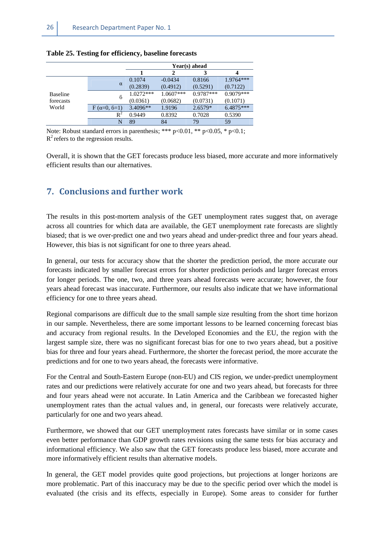|                 |                    | Year(s) ahead |             |             |             |  |  |  |
|-----------------|--------------------|---------------|-------------|-------------|-------------|--|--|--|
|                 |                    |               |             |             |             |  |  |  |
|                 |                    | 0.1074        | $-0.0434$   | 0.8166      | $1.9764***$ |  |  |  |
|                 | $\alpha$           | (0.2839)      | (0.4912)    | (0.5291)    | (0.7122)    |  |  |  |
| <b>Baseline</b> | 6                  | $1.0272***$   | $1.0607***$ | $0.9787***$ | $0.9079***$ |  |  |  |
| forecasts       |                    | (0.0361)      | (0.0682)    | (0.0731)    | (0.1071)    |  |  |  |
| World           | $F(\alpha=0, 6=1)$ | $3.4096**$    | 1.9196      | $2.6579*$   | 6.4875***   |  |  |  |
|                 | $\mathsf{R}^2$     | 0.9449        | 0.8392      | 0.7028      | 0.5390      |  |  |  |
|                 | N                  | 89            | 84          | 79          | 59          |  |  |  |

#### **Table 25. Testing for efficiency, baseline forecasts**

Note: Robust standard errors in parenthesis; \*\*\*  $p<0.01$ , \*\*  $p<0.05$ , \*  $p<0.1$ ;  $R^2$  refers to the regression results.

Overall, it is shown that the GET forecasts produce less biased, more accurate and more informatively efficient results than our alternatives.

## **7. Conclusions and further work**

The results in this post-mortem analysis of the GET unemployment rates suggest that, on average across all countries for which data are available, the GET unemployment rate forecasts are slightly biased; that is we over-predict one and two years ahead and under-predict three and four years ahead. However, this bias is not significant for one to three years ahead.

In general, our tests for accuracy show that the shorter the prediction period, the more accurate our forecasts indicated by smaller forecast errors for shorter prediction periods and larger forecast errors for longer periods. The one, two, and three years ahead forecasts were accurate; however, the four years ahead forecast was inaccurate. Furthermore, our results also indicate that we have informational efficiency for one to three years ahead.

Regional comparisons are difficult due to the small sample size resulting from the short time horizon in our sample. Nevertheless, there are some important lessons to be learned concerning forecast bias and accuracy from regional results. In the Developed Economies and the EU, the region with the largest sample size, there was no significant forecast bias for one to two years ahead, but a positive bias for three and four years ahead. Furthermore, the shorter the forecast period, the more accurate the predictions and for one to two years ahead, the forecasts were informative.

For the Central and South-Eastern Europe (non-EU) and CIS region, we under-predict unemployment rates and our predictions were relatively accurate for one and two years ahead, but forecasts for three and four years ahead were not accurate. In Latin America and the Caribbean we forecasted higher unemployment rates than the actual values and, in general, our forecasts were relatively accurate, particularly for one and two years ahead.

Furthermore, we showed that our GET unemployment rates forecasts have similar or in some cases even better performance than GDP growth rates revisions using the same tests for bias accuracy and informational efficiency. We also saw that the GET forecasts produce less biased, more accurate and more informatively efficient results than alternative models.

In general, the GET model provides quite good projections, but projections at longer horizons are more problematic. Part of this inaccuracy may be due to the specific period over which the model is evaluated (the crisis and its effects, especially in Europe). Some areas to consider for further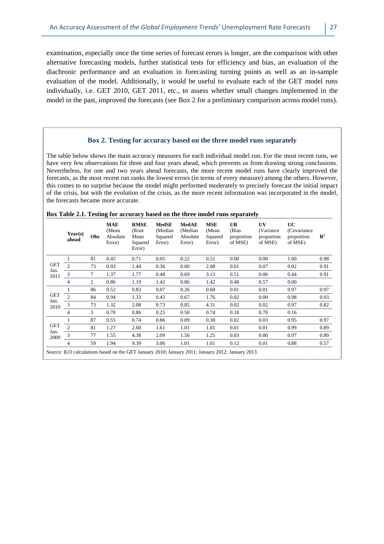examination, especially once the time series of forecast errors is longer, are the comparison with other alternative forecasting models, further statistical tests for efficiency and bias, an evaluation of the diachronic performance and an evaluation in forecasting turning points as well as an in-sample evaluation of the model. Additionally, it would be useful to evaluate each of the GET model runs individually, i.e. GET 2010, GET 2011, etc., to assess whether small changes implemented in the model in the past, improved the forecasts (see Box 2 for a preliminary comparison across model runs).

#### **Box 2. Testing for accuracy based on the three model runs separately**

The table below shows the main accuracy measures for each individual model run. For the most recent runs, we have very few observations for three and four years ahead, which prevents us from drawing strong conclusions. Nevertheless, for one and two years ahead forecasts, the more recent model runs have clearly improved the forecasts, as the most recent run ranks the lowest errors (in terms of every measure) among the others. However, this comes to no surprise because the model might performed moderately to precisely forecast the initial impact of the crisis, but with the evolution of the crisis, as the more recent information was incorporated in the model, the forecasts became more accurate.

|              | Year(s)<br>ahead | Obs | <b>MAE</b><br>(Mean<br>Absolute<br>Error) | <b>RMSE</b><br>(Root<br>Mean<br>Squared<br>Error) | <b>MedSE</b><br>(Median<br>Squared<br>Error) | MedAE<br>(Median<br>Absolute<br>Error) | <b>MSE</b><br>(Mean<br>Squared<br>Error) | <b>UB</b><br>(Bias)<br>proportion<br>of MSE)                                                      | UV<br>(Variance)<br>proportion<br>of MSE) | UC<br>(Covariance)<br>proportion<br>of MSE) | $\mathbb{R}^2$ |
|--------------|------------------|-----|-------------------------------------------|---------------------------------------------------|----------------------------------------------|----------------------------------------|------------------------------------------|---------------------------------------------------------------------------------------------------|-------------------------------------------|---------------------------------------------|----------------|
|              |                  | 81  | 0.45                                      | 0.71                                              | 0.05                                         | 0.22                                   | 0.51                                     | 0.00                                                                                              | 0.00                                      | 1.00                                        | 0.98           |
| <b>GET</b>   | $\overline{c}$   | 73  | 0.93                                      | 1.44                                              | 0.36                                         | 0.60                                   | 2.08                                     | 0.01                                                                                              | 0.07                                      | 0.92                                        | 0.91           |
| Jan.<br>2011 | 3                | 7   | 1.37                                      | 1.77                                              | 0.48                                         | 0.69                                   | 3.13                                     | 0.51                                                                                              | 0.06                                      | 0.44                                        | 0.91           |
|              | 4                | 2   | 0.86                                      | 1.19                                              | 1.42                                         | 0.86                                   | 1.42                                     | 0.48                                                                                              | 0.57                                      | 0.00                                        |                |
|              |                  | 86  | 0.52                                      | 0.83                                              | 0.07                                         | 0.26                                   | 0.68                                     | 0.01                                                                                              | 0.01                                      | 0.97                                        | 0.97           |
| <b>GET</b>   | $\mathfrak{D}$   | 84  | 0.94                                      | 1.33                                              | 0.45                                         | 0.67                                   | 1.76                                     | 0.02                                                                                              | 0.00                                      | 0.98                                        | 0.93           |
| Jan.<br>2010 | 3                | 73  | 1.32                                      | 2.08                                              | 0.73                                         | 0.85                                   | 4.31                                     | 0.02                                                                                              | 0.02                                      | 0.97                                        | 0.82           |
|              | 4                | 3   | 0.70                                      | 0.86                                              | 0.25                                         | 0.50                                   | 0.74                                     | 0.18                                                                                              | 0.70                                      | 0.16                                        |                |
|              |                  | 87  | 0.55                                      | 0.74                                              | 0.86                                         | 0.09                                   | 0.30                                     | 0.02                                                                                              | 0.03                                      | 0.95                                        | 0.97           |
| <b>GET</b>   | $\overline{2}$   | 81  | 1.27                                      | 2.60                                              | 1.61                                         | 1.01                                   | 1.01                                     | 0.01                                                                                              | 0.01                                      | 0.99                                        | 0.89           |
| Jan.<br>2009 | 3                | 77  | 1.55                                      | 4.38                                              | 2.09                                         | 1.56                                   | 1.25                                     | 0.03                                                                                              | 0.00                                      | 0.97                                        | 0.80           |
|              | 4                | 59  | 1.94                                      | 9.39                                              | 3.06                                         | 1.01                                   | 1.01                                     | 0.12                                                                                              | 0.01                                      | 0.88                                        | 0.57           |
|              |                  |     |                                           |                                                   |                                              |                                        |                                          | Source: ILO calculations based on the GET January 2010; January 2011; January 2012; January 2013. |                                           |                                             |                |

#### **Box Table 2.1. Testing for accuracy based on the three model runs separately**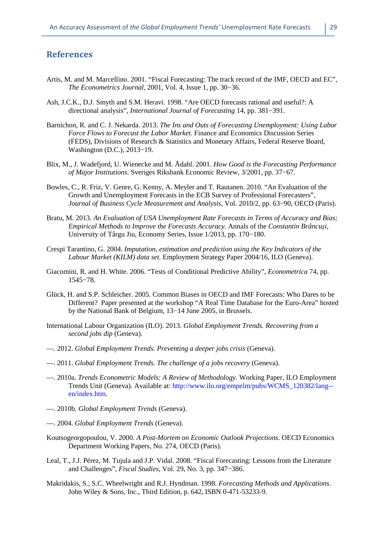## **References**

- Artis, M. and M. Marcellino. 2001. "Fiscal Forecasting: The track record of the IMF, OECD and EC", *The Econometrics Journal*, 2001, Vol. 4, Issue 1, pp. 30−36.
- Ash, J.C.K., D.J. Smyth and S.M. Heravi. 1998. "Are OECD forecasts rational and useful?: A directional analysis", *International Journal of Forecasting* 14, pp. 381−391.
- Barnichon, R. and C. J. Nekarda. 2013. *The Ins and Outs of Forecasting Unemployment: Using Labor Force Flows to Forecast the Labor Market*. Finance and Economics Discussion Series (FEDS), Divisions of Research & Statistics and Monetary Affairs, Federal Reserve Board, Washington (D.C.), 2013−19.
- Blix, M., J. Wadefjord, U. Wienecke and M. Ådahl. 2001. *How Good is the Forecasting Performance of Major Institutions*. Sveriges Riksbank Economic Review, 3/2001, pp. 37−67.
- Bowles, C., R. Friz, V. Genre, G. Kenny, A. Meyler and T. Rautanen. 2010. "An Evaluation of the Growth and Unemployment Forecasts in the ECB Survey of Professional Forecasters", *Journal of Business Cycle Measurement and Analysis*, Vol. 2010/2, pp. 63−90, OECD (Paris).
- Bratu, M. 2013. *An Evaluation of USA Unemployment Rate Forecasts in Terms of Accuracy and Bias; Empirical Methods to Improve the Forecasts Accuracy*. Annals of the *Constantin Brâncuşi*, University of Târgu Jiu, Economy Series, Issue 1/2013, pp. 170−180.
- Crespi Tarantino, G. 2004. *Imputation, estimation and prediction using the Key Indicators of the Labour Market (KILM) data set.* Employment Strategy Paper 2004/16, ILO (Geneva).
- Giacomini, R. and H. White. 2006. "Tests of Conditional Predictive Ability", *Econometrica* 74, pp. 1545−78.
- Glück, H. and S.P. Schleicher. 2005. Common Biases in OECD and IMF Forecasts: Who Dares to be Different? Paper presented at the workshop "A Real Time Database for the Euro-Area" hosted by the National Bank of Belgium, 13−14 June 2005, in Brussels.
- International Labour Organization (ILO). 2013. *Global Employment Trends. Recovering from a second jobs dip* (Geneva).
- —. 2012. *Global Employment Trends. Preventing a deeper jobs crisis* (Geneva).
- —. 2011. *Global Employment Trends. The challenge of a jobs recovery* (Geneva).
- —. 2010a. *Trends Econometric Models: A Review of Methodology.* Working Paper, ILO Employment Trends Unit (Geneva). Available at: http://www.ilo.org/empelm/pubs/WCMS\_120382/lang- en/index.htm.
- —. 2010b. *Global Employment Trends* (Geneva).
- —. 2004. *Global Employment Trends* (Geneva).
- Koutsogeorgopoulou, V. 2000. *A Post-Mortem on Economic Outlook Projections*. OECD Economics Department Working Papers, No. 274, OECD (Paris).
- Leal, T., J.J. Pérez, M. Tujula and J.P. Vidal. 2008. "Fiscal Forecasting: Lessons from the Literature and Challenges", *Fiscal Studies*, Vol. 29, No. 3, pp. 347−386.
- Makridakis, S., S.C. Wheelwright and R.J. Hyndman. 1998. *Forecasting Methods and Applications*. John Wiley & Sons, Inc., Third Edition, p. 642, ISBN 0-471-53233-9.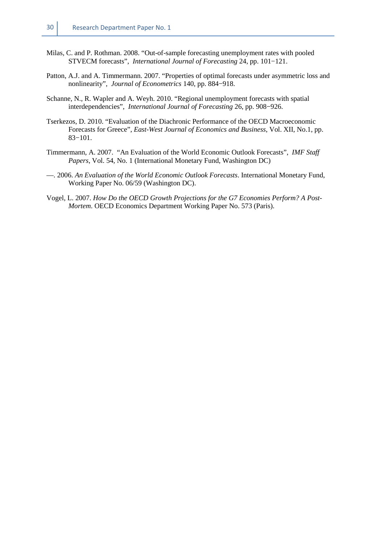- Milas, C. and P. Rothman. 2008. "Out-of-sample forecasting unemployment rates with pooled STVECM forecasts", *International Journal of Forecasting* 24, pp. 101−121.
- Patton, A.J. and A. Timmermann. 2007. "Properties of optimal forecasts under asymmetric loss and nonlinearity", *Journal of Econometrics* 140, pp. 884−918.
- Schanne, N., R. Wapler and A. Weyh. 2010. "Regional unemployment forecasts with spatial interdependencies", *International Journal of Forecasting* 26, pp. 908−926.
- Tserkezos, D. 2010. "Evaluation of the Diachronic Performance of the OECD Macroeconomic Forecasts for Greece", *East-West Journal of Economics and Business*, Vol. XII, No.1, pp. 83−101.
- Timmermann, A. 2007. "An Evaluation of the World Economic Outlook Forecasts", *IMF Staff Papers*, Vol. 54, No. 1 (International Monetary Fund, Washington DC)
- —. 2006. *An Evaluation of the World Economic Outlook Forecasts*. International Monetary Fund, Working Paper No. 06/59 (Washington DC).
- Vogel, L. 2007. *How Do the OECD Growth Projections for the G7 Economies Perform? A Post-Mortem*. OECD Economics Department Working Paper No. 573 (Paris).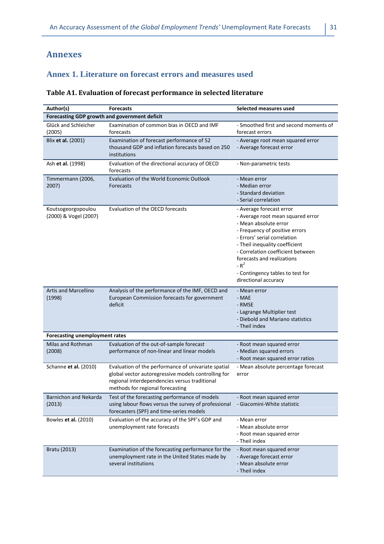## **Annexes**

## **Annex 1. Literature on forecast errors and measures used**

## **Table A1. Evaluation of forecast performance in selected literature**

| Author(s)                                     | <b>Forecasts</b>                                                                                                                                                                                | Selected measures used                                                                                                                                                                                                                                                                                                              |
|-----------------------------------------------|-------------------------------------------------------------------------------------------------------------------------------------------------------------------------------------------------|-------------------------------------------------------------------------------------------------------------------------------------------------------------------------------------------------------------------------------------------------------------------------------------------------------------------------------------|
| Forecasting GDP growth and government deficit |                                                                                                                                                                                                 |                                                                                                                                                                                                                                                                                                                                     |
| Glück and Schleicher<br>(2005)                | Examination of common bias in OECD and IMF<br>forecasts                                                                                                                                         | - Smoothed first and second moments of<br>forecast errors                                                                                                                                                                                                                                                                           |
| Blix et al. (2001)                            | Examination of forecast performance of 52<br>thousand GDP and inflation forecasts based on 250<br>institutions                                                                                  | - Average root mean squared error<br>- Average forecast error                                                                                                                                                                                                                                                                       |
| Ash et al. (1998)                             | Evaluation of the directional accuracy of OECD<br>forecasts                                                                                                                                     | - Non-parametric tests                                                                                                                                                                                                                                                                                                              |
| Timmermann (2006,<br>2007)                    | Evaluation of the World Economic Outlook<br>Forecasts                                                                                                                                           | - Mean error<br>- Median error<br>- Standard deviation<br>- Serial correlation                                                                                                                                                                                                                                                      |
| Koutsogeorgopoulou<br>(2000) & Vogel (2007)   | Evaluation of the OECD forecasts                                                                                                                                                                | - Average forecast error<br>- Average root mean squared error<br>- Mean absolute error<br>- Frequency of positive errors<br>- Errors' serial correlation<br>- Theil inequality coefficient<br>- Correlation coefficient between<br>forecasts and realizations<br>$-R^2$<br>- Contingency tables to test for<br>directional accuracy |
| <b>Artis and Marcellino</b><br>(1998)         | Analysis of the performance of the IMF, OECD and<br>European Commission forecasts for government<br>deficit                                                                                     | - Mean error<br>- MAE<br>- RMSE<br>- Lagrange Multiplier test<br>- Diebold and Mariano statistics<br>- Theil index                                                                                                                                                                                                                  |
| Forecasting unemployment rates                |                                                                                                                                                                                                 |                                                                                                                                                                                                                                                                                                                                     |
| Milas and Rothman<br>(2008)                   | Evaluation of the out-of-sample forecast<br>performance of non-linear and linear models                                                                                                         | - Root mean squared error<br>- Median squared errors<br>- Root mean squared error ratios                                                                                                                                                                                                                                            |
| Schanne et al. (2010)                         | Evaluation of the performance of univariate spatial<br>global vector autoregressive models controlling for<br>regional interdependencies versus traditional<br>methods for regional forecasting | - Mean absolute percentage forecast<br>error                                                                                                                                                                                                                                                                                        |
| Barnichon and Nekarda<br>(2013)               | Test of the forecasting performance of models<br>using labour flows versus the survey of professional<br>forecasters (SPF) and time-series models                                               | - Root mean squared error<br>- Giacomini-White statistic                                                                                                                                                                                                                                                                            |
| Bowles et al. (2010)                          | Evaluation of the accuracy of the SPF's GDP and<br>unemployment rate forecasts                                                                                                                  | - Mean error<br>- Mean absolute error<br>- Root mean squared error<br>- Theil index                                                                                                                                                                                                                                                 |
| Bratu (2013)                                  | Examination of the forecasting performance for the<br>unemployment rate in the United States made by<br>several institutions                                                                    | - Root mean squared error<br>- Average forecast error<br>- Mean absolute error<br>- Theil index                                                                                                                                                                                                                                     |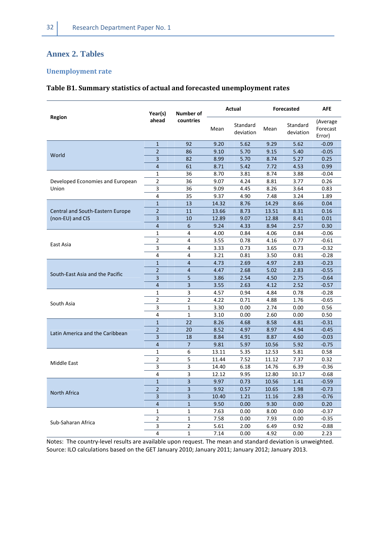## **Annex 2. Tables**

#### **Unemployment rate**

#### **Table B1. Summary statistics of actual and forecasted unemployment rates**

|                                  | Year(s)        | Number of      |       | Actual                | Forecasted |                       | AFE                            |
|----------------------------------|----------------|----------------|-------|-----------------------|------------|-----------------------|--------------------------------|
| Region                           | ahead          | countries      | Mean  | Standard<br>deviation | Mean       | Standard<br>deviation | (Average<br>Forecast<br>Error) |
|                                  | $\mathbf{1}$   | 92             | 9.20  | 5.62                  | 9.29       | 5.62                  | $-0.09$                        |
| World                            | $\overline{2}$ | 86             | 9.10  | 5.70                  | 9.15       | 5.40                  | $-0.05$                        |
|                                  | 3              | 82             | 8.99  | 5.70                  | 8.74       | 5.27                  | 0.25                           |
|                                  | $\overline{4}$ | 61             | 8.71  | 5.42                  | 7.72       | 4.53                  | 0.99                           |
|                                  | 1              | 36             | 8.70  | 3.81                  | 8.74       | 3.88                  | $-0.04$                        |
| Developed Economies and European | $\overline{2}$ | 36             | 9.07  | 4.24                  | 8.81       | 3.77                  | 0.26                           |
| Union                            | 3              | 36             | 9.09  | 4.45                  | 8.26       | 3.64                  | 0.83                           |
|                                  | 4              | 35             | 9.37  | 4.90                  | 7.48       | 3.24                  | 1.89                           |
|                                  | $\mathbf{1}$   | 13             | 14.32 | 8.76                  | 14.29      | 8.66                  | 0.04                           |
| Central and South-Eastern Europe | $\overline{2}$ | 11             | 13.66 | 8.73                  | 13.51      | 8.31                  | 0.16                           |
| (non-EU) and CIS                 | 3              | 10             | 12.89 | 9.07                  | 12.88      | 8.41                  | 0.01                           |
|                                  | $\overline{4}$ | 6              | 9.24  | 4.33                  | 8.94       | 2.57                  | 0.30                           |
|                                  | 1              | 4              | 4.00  | 0.84                  | 4.06       | 0.84                  | $-0.06$                        |
|                                  | 2              | 4              | 3.55  | 0.78                  | 4.16       | 0.77                  | $-0.61$                        |
| East Asia                        | 3              | 4              | 3.33  | 0.73                  | 3.65       | 0.73                  | $-0.32$                        |
|                                  | 4              | 4              | 3.21  | 0.81                  | 3.50       | 0.81                  | $-0.28$                        |
|                                  | $\mathbf{1}$   | $\overline{4}$ | 4.73  | 2.69                  | 4.97       | 2.83                  | $-0.23$                        |
|                                  | $\overline{2}$ | $\overline{4}$ | 4.47  | 2.68                  | 5.02       | 2.83                  | $-0.55$                        |
| South-East Asia and the Pacific  | 3              | 5              | 3.86  | 2.54                  | 4.50       | 2.75                  | $-0.64$                        |
|                                  | $\overline{4}$ | 3              | 3.55  | 2.63                  | 4.12       | 2.52                  | $-0.57$                        |
|                                  | 1              | 3              | 4.57  | 0.94                  | 4.84       | 0.78                  | $-0.28$                        |
|                                  | $\overline{2}$ | $\overline{2}$ | 4.22  | 0.71                  | 4.88       | 1.76                  | $-0.65$                        |
| South Asia                       | 3              | $\mathbf{1}$   | 3.30  | 0.00                  | 2.74       | 0.00                  | 0.56                           |
|                                  | 4              | 1              | 3.10  | 0.00                  | 2.60       | 0.00                  | 0.50                           |
|                                  | $\overline{1}$ | 22             | 8.26  | 4.68                  | 8.58       | 4.81                  | $-0.31$                        |
|                                  | $\overline{2}$ | 20             | 8.52  | 4.97                  | 8.97       | 4.94                  | $-0.45$                        |
| Latin America and the Caribbean  | 3              | 18             | 8.84  | 4.91                  | 8.87       | 4.60                  | $-0.03$                        |
|                                  | $\overline{4}$ | $\overline{7}$ | 9.81  | 5.97                  | 10.56      | 5.92                  | $-0.75$                        |
|                                  | 1              | 6              | 13.11 | 5.35                  | 12.53      | 5.81                  | 0.58                           |
|                                  | 2              | 5              | 11.44 | 7.52                  | 11.12      | 7.37                  | 0.32                           |
| Middle East                      | 3              | 3              | 14.40 | 6.18                  | 14.76      | 6.39                  | $-0.36$                        |
|                                  | 4              | 3              | 12.12 | 9.95                  | 12.80      | 10.17                 | $-0.68$                        |
|                                  | $\mathbf{1}$   | $\overline{3}$ | 9.97  | 0.73                  | 10.56      | 1.41                  | $-0.59$                        |
|                                  | $\overline{2}$ | $\overline{3}$ | 9.92  | 0.57                  | 10.65      | 1.98                  | $-0.73$                        |
| <b>North Africa</b>              | 3              | 3              | 10.40 | 1.21                  | 11.16      | 2.83                  | $-0.76$                        |
|                                  | $\overline{4}$ | $\mathbf{1}$   | 9.50  | 0.00                  | 9.30       | 0.00                  | 0.20                           |
|                                  | $\mathbf{1}$   | $\mathbf{1}$   | 7.63  | 0.00                  | 8.00       | 0.00                  | $-0.37$                        |
|                                  | 2              | $\mathbf{1}$   | 7.58  | 0.00                  | 7.93       | 0.00                  | $-0.35$                        |
| Sub-Saharan Africa               | 3              | $\overline{2}$ | 5.61  | 2.00                  | 6.49       | 0.92                  | $-0.88$                        |
|                                  | 4              | $\mathbf{1}$   | 7.14  | 0.00                  | 4.92       | 0.00                  | 2.23                           |

Notes: The country-level results are available upon request. The mean and standard deviation is unweighted. Source: ILO calculations based on the GET January 2010; January 2011; January 2012; January 2013.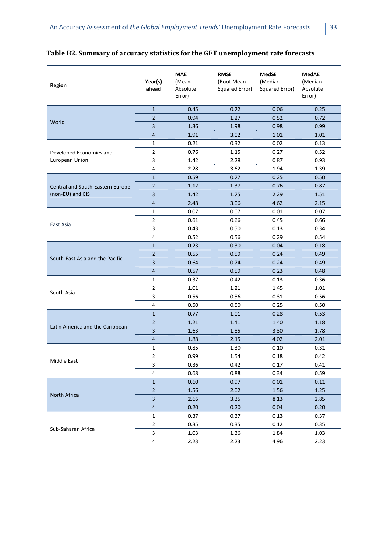| <b>Region</b>                    | Year(s)<br>ahead | <b>MAE</b><br>(Mean<br>Absolute<br>Error) | <b>RMSE</b><br>(Root Mean<br>Squared Error) | <b>MedSE</b><br>(Median<br>Squared Error) | <b>MedAE</b><br>(Median<br>Absolute<br>Error) |
|----------------------------------|------------------|-------------------------------------------|---------------------------------------------|-------------------------------------------|-----------------------------------------------|
|                                  | $\mathbf{1}$     | 0.45                                      | 0.72                                        | 0.06                                      | 0.25                                          |
|                                  | $\overline{2}$   | 0.94                                      | 1.27                                        | 0.52                                      | 0.72                                          |
| World                            | $\overline{3}$   | 1.36                                      | 1.98                                        | 0.98                                      | 0.99                                          |
|                                  | $\overline{4}$   | 1.91                                      | 3.02                                        | 1.01                                      | 1.01                                          |
|                                  | $\mathbf{1}$     | 0.21                                      | 0.32                                        | 0.02                                      | 0.13                                          |
| Developed Economies and          | $\overline{2}$   | 0.76                                      | 1.15                                        | 0.27                                      | 0.52                                          |
| European Union                   | 3                | 1.42                                      | 2.28                                        | 0.87                                      | 0.93                                          |
|                                  | $\sqrt{4}$       | 2.28                                      | 3.62                                        | 1.94                                      | 1.39                                          |
|                                  | $\mathbf{1}$     | 0.59                                      | 0.77                                        | 0.25                                      | 0.50                                          |
| Central and South-Eastern Europe | $\overline{2}$   | 1.12                                      | 1.37                                        | 0.76                                      | 0.87                                          |
| (non-EU) and CIS                 | $\overline{3}$   | 1.42                                      | 1.75                                        | 2.29                                      | 1.51                                          |
|                                  | 4                | 2.48                                      | 3.06                                        | 4.62                                      | 2.15                                          |
|                                  | 1                | 0.07                                      | 0.07                                        | 0.01                                      | 0.07                                          |
|                                  | $\overline{2}$   | 0.61                                      | 0.66                                        | 0.45                                      | 0.66                                          |
| East Asia                        | 3                | 0.43                                      | 0.50                                        | 0.13                                      | 0.34                                          |
|                                  | $\overline{4}$   | 0.52                                      | 0.56                                        | 0.29                                      | 0.54                                          |
|                                  | $\mathbf{1}$     | 0.23                                      | 0.30                                        | 0.04                                      | 0.18                                          |
|                                  | $\overline{2}$   | 0.55                                      | 0.59                                        | 0.24                                      | 0.49                                          |
| South-East Asia and the Pacific  | 3                | 0.64                                      | 0.74                                        | 0.24                                      | 0.49                                          |
|                                  | $\overline{4}$   | 0.57                                      | 0.59                                        | 0.23                                      | 0.48                                          |
|                                  | $\mathbf{1}$     | 0.37                                      | 0.42                                        | 0.13                                      | 0.36                                          |
|                                  | $\overline{2}$   | 1.01                                      | 1.21                                        | 1.45                                      | 1.01                                          |
| South Asia                       | 3                | 0.56                                      | 0.56                                        | 0.31                                      | 0.56                                          |
|                                  | 4                | 0.50                                      | 0.50                                        | 0.25                                      | 0.50                                          |
|                                  | $\mathbf{1}$     | 0.77                                      | 1.01                                        | 0.28                                      | 0.53                                          |
|                                  | $\overline{2}$   | 1.21                                      | 1.41                                        | 1.40                                      | 1.18                                          |
| Latin America and the Caribbean  | 3                | 1.63                                      | 1.85                                        | 3.30                                      | 1.78                                          |
|                                  | $\overline{4}$   | 1.88                                      | 2.15                                        | 4.02                                      | 2.01                                          |
|                                  | 1                | 0.85                                      | 1.30                                        | 0.10                                      | 0.31                                          |
| Middle East                      | $\mathbf 2$      | 0.99                                      | 1.54                                        | 0.18                                      | 0.42                                          |
|                                  | 3                | 0.36                                      | 0.42                                        | 0.17                                      | 0.41                                          |
|                                  | 4                | 0.68                                      | 0.88                                        | 0.34                                      | 0.59                                          |
|                                  | $\mathbf{1}$     | 0.60                                      | 0.97                                        | 0.01                                      | 0.11                                          |
| North Africa                     | $\overline{2}$   | 1.56                                      | 2.02                                        | 1.56                                      | 1.25                                          |
|                                  | 3                | 2.66                                      | 3.35                                        | 8.13                                      | 2.85                                          |
|                                  | $\overline{4}$   | 0.20                                      | 0.20                                        | 0.04                                      | 0.20                                          |
|                                  | 1                | 0.37                                      | 0.37                                        | 0.13                                      | 0.37                                          |
|                                  | $\overline{2}$   | 0.35                                      | 0.35                                        | 0.12                                      | 0.35                                          |
| Sub-Saharan Africa               | 3                | 1.03                                      | 1.36                                        | 1.84                                      | 1.03                                          |
|                                  | 4                | 2.23                                      | 2.23                                        | 4.96                                      | 2.23                                          |

## **Table B2. Summary of accuracy statistics for the GET unemployment rate forecasts**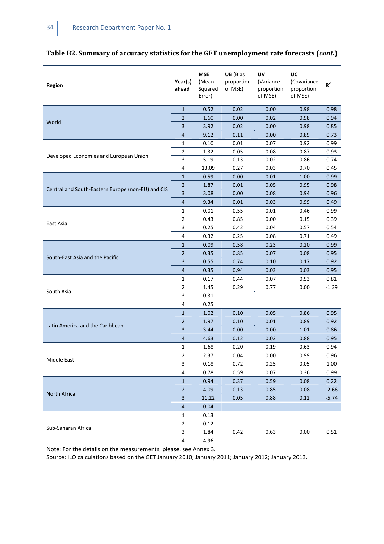| <b>Region</b>                                     | Year(s)<br>ahead        | <b>MSE</b><br>(Mean<br>Squared<br>Error) | UB (Bias<br>proportion<br>of MSE) | UV<br>(Variance<br>proportion<br>of MSE) | UC<br>(Covariance<br>proportion<br>of MSE) | $R^2$                      |
|---------------------------------------------------|-------------------------|------------------------------------------|-----------------------------------|------------------------------------------|--------------------------------------------|----------------------------|
|                                                   | $\mathbf{1}$            | 0.52                                     | 0.02                              | 0.00                                     | 0.98                                       | 0.98                       |
| World                                             | $\overline{2}$          | 1.60                                     | 0.00                              | 0.02                                     | 0.98                                       | 0.94                       |
|                                                   | 3                       | 3.92                                     | 0.02                              | 0.00                                     | 0.98                                       | 0.85                       |
|                                                   | $\overline{4}$          | 9.12                                     | 0.11                              | 0.00                                     | 0.89                                       | 0.73                       |
|                                                   | $\mathbf{1}$            | 0.10                                     | 0.01                              | 0.07                                     | 0.92                                       | 0.99                       |
| Developed Economies and European Union            | $\overline{2}$          | 1.32                                     | 0.05                              | 0.08                                     | 0.87                                       | 0.93                       |
|                                                   | 3                       | 5.19                                     | 0.13                              | 0.02                                     | 0.86                                       | 0.74                       |
|                                                   | $\overline{\mathbf{4}}$ | 13.09                                    | 0.27                              | 0.03                                     | 0.70                                       | 0.45                       |
|                                                   | $\mathbf{1}$            | 0.59                                     | 0.00                              | 0.01                                     | 1.00                                       | 0.99                       |
| Central and South-Eastern Europe (non-EU) and CIS | $\overline{2}$          | 1.87                                     | 0.01                              | 0.05                                     | 0.95                                       | 0.98                       |
|                                                   | $\overline{\mathbf{3}}$ | 3.08                                     | 0.00                              | 0.08                                     | 0.94                                       | 0.96                       |
|                                                   | $\sqrt{4}$              | 9.34                                     | 0.01                              | 0.03                                     | 0.99                                       | 0.49                       |
|                                                   | 1                       | 0.01                                     | 0.55                              | 0.01                                     | 0.46                                       | 0.99                       |
| East Asia                                         |                         | 0.43                                     | 0.85                              | 0.00                                     | 0.15                                       | 0.39                       |
|                                                   |                         | 0.25                                     | 0.42                              | 0.04                                     | 0.57                                       | 0.54                       |
|                                                   | 4                       | 0.32                                     | 0.25                              | 0.08                                     | 0.71                                       | 0.49                       |
|                                                   | $\mathbf 1$             | 0.09                                     | 0.58                              | 0.23                                     | 0.20                                       | 0.99                       |
| South-East Asia and the Pacific                   | $\overline{2}$          | 0.35                                     | 0.85                              | 0.07                                     | 0.08                                       | 0.95                       |
|                                                   | 3                       | 0.55                                     | 0.74                              | 0.10                                     | 0.17                                       | 0.92                       |
|                                                   | $\overline{4}$          | 0.35                                     | 0.94                              | 0.03                                     | 0.03                                       | 0.95                       |
|                                                   | $\mathbf{1}$            | 0.17                                     | 0.44                              | 0.07                                     | 0.53                                       | 0.81                       |
|                                                   | $\overline{2}$          | 1.45                                     | 0.29                              | 0.77                                     | 0.00                                       | $-1.39$                    |
| South Asia                                        | 3                       | 0.31                                     |                                   |                                          |                                            |                            |
|                                                   | $\overline{4}$          | 0.25                                     |                                   |                                          |                                            |                            |
|                                                   | $\mathbf 1$             | 1.02                                     | 0.10                              | 0.05                                     | 0.86                                       | 0.95                       |
|                                                   | $\overline{2}$          | 1.97                                     | 0.10                              | 0.01                                     | 0.89                                       | 0.92                       |
| Latin America and the Caribbean                   | 3                       | 3.44                                     | 0.00                              | 0.00                                     | 1.01                                       | 0.86                       |
|                                                   | 4                       | 4.63                                     | 0.12                              | 0.02                                     | 0.88                                       | 0.95                       |
|                                                   | 1                       | 1.68                                     | 0.20                              | 0.19                                     | 0.63                                       | 0.94                       |
|                                                   | $\overline{2}$          | 2.37                                     | 0.04                              | 0.00                                     | 0.99                                       | 0.96                       |
| Middle East                                       | 3                       | 0.18                                     | 0.72                              | 0.25                                     | 0.05                                       | 1.00                       |
|                                                   | 4                       | 0.78                                     | 0.59                              | 0.07                                     | 0.36                                       | 0.99                       |
|                                                   | $\mathbf{1}$            | 0.94                                     | 0.37                              | 0.59                                     | 0.08                                       | 0.22                       |
|                                                   | $\overline{2}$          | 4.09                                     | 0.13                              | 0.85                                     | 0.08                                       | $-2.66$<br>$-5.74$<br>0.51 |
| North Africa                                      | $\mathbf{3}$            | 11.22                                    | 0.05                              | 0.88                                     | 0.12                                       |                            |
|                                                   | $\overline{4}$          | 0.04                                     |                                   |                                          |                                            |                            |
|                                                   | $\mathbf{1}$            | 0.13                                     |                                   |                                          |                                            |                            |
|                                                   | $\overline{2}$          | 0.12                                     |                                   |                                          |                                            |                            |
| Sub-Saharan Africa                                | 3                       | 1.84                                     | 0.42                              | 0.63                                     | 0.00                                       |                            |
|                                                   | 4                       | 4.96                                     |                                   |                                          |                                            |                            |

## **Table B2. Summary of accuracy statistics for the GET unemployment rate forecasts (***cont.***)**

Note: For the details on the measurements, please, see Annex 3.

Source: ILO calculations based on the GET January 2010; January 2011; January 2012; January 2013.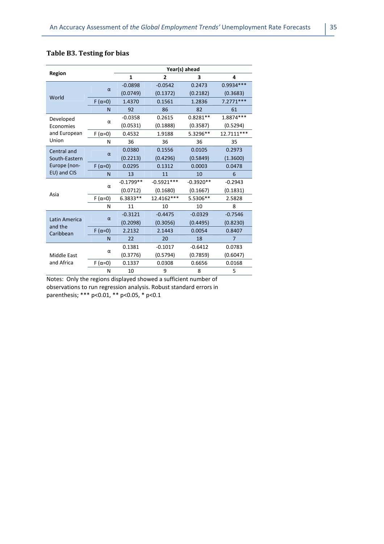|                          |                  | Year(s) ahead |              |             |                |  |  |
|--------------------------|------------------|---------------|--------------|-------------|----------------|--|--|
| <b>Region</b>            |                  | 1             | 2            | 3           | 4              |  |  |
|                          |                  | $-0.0898$     | $-0.0542$    | 0.2473      | 0.9934 ***     |  |  |
| World                    | $\alpha$         | (0.0749)      | (0.1372)     | (0.2182)    | (0.3683)       |  |  |
|                          | $F(\alpha=0)$    | 1.4370        | 0.1561       | 1.2836      | $7.2771***$    |  |  |
|                          | N                | 92            | 86           | 82          | 61             |  |  |
| Developed                |                  | $-0.0358$     | 0.2615       | $0.8281**$  | 1.8874 ***     |  |  |
| Economies                | α                | (0.0531)      | (0.1888)     | (0.3587)    | (0.5294)       |  |  |
| and European             | F ( $\alpha$ =0) | 0.4532        | 1.9188       | 5.3296**    | 12.7111 ***    |  |  |
| Union                    | N                | 36            | 36           | 36          | 35             |  |  |
| Central and              |                  | 0.0380        | 0.1556       | 0.0105      | 0.2973         |  |  |
| South-Eastern            | $\alpha$         | (0.2213)      | (0.4296)     | (0.5849)    | (1.3600)       |  |  |
| Europe (non-             | $F(\alpha=0)$    | 0.0295        | 0.1312       | 0.0003      | 0.0478         |  |  |
| EU) and CIS              | N                | 13            | 11           | 10          | 6              |  |  |
|                          |                  | $-0.1799**$   | $-0.5921***$ | $-0.3920**$ | $-0.2943$      |  |  |
| Asia                     | α                | (0.0712)      | (0.1680)     | (0.1667)    | (0.1831)       |  |  |
|                          | $F(\alpha=0)$    | 6.3833**      | 12.4162***   | 5.5306**    | 2.5828         |  |  |
|                          | N                | 11            | 10           | 10          | 8              |  |  |
|                          |                  | $-0.3121$     | $-0.4475$    | $-0.0329$   | $-0.7546$      |  |  |
| Latin America<br>and the | $\alpha$         | (0.2098)      | (0.3056)     | (0.4495)    | (0.8230)       |  |  |
| Caribbean                | $F(\alpha=0)$    | 2.2132        | 2.1443       | 0.0054      | 0.8407         |  |  |
|                          | N                | 22            | 20           | 18          | $\overline{7}$ |  |  |
|                          |                  | 0.1381        | $-0.1017$    | $-0.6412$   | 0.0783         |  |  |
| <b>Middle East</b>       | α                | (0.3776)      | (0.5794)     | (0.7859)    | (0.6047)       |  |  |
| and Africa               | F ( $\alpha$ =0) | 0.1337        | 0.0308       | 0.6656      | 0.0168         |  |  |
|                          | N                | 10            | 9            | 8           | 5              |  |  |

## **Table B3. Testing for bias**

Notes: Only the regions displayed showed a sufficient number of observations to run regression analysis. Robust standard errors in parenthesis; \*\*\* p<0.01, \*\* p<0.05, \* p<0.1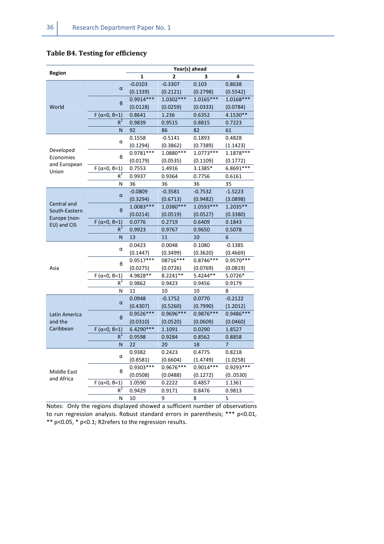## **Table B4. Testing for efficiency**

|                                  |                        |             |                | Year(s) ahead |                |
|----------------------------------|------------------------|-------------|----------------|---------------|----------------|
| Region                           |                        | 1           | $\overline{2}$ | 3             | 4              |
|                                  | α                      | $-0.0103$   | $-0.3307$      | 0.103         | 0.8638         |
|                                  |                        | (0.1339)    | (0.2121)       | (0.2798)      | (0.5542)       |
|                                  | $\boldsymbol{\beta}$   | $0.9914***$ | $1.0302***$    | $1.0165***$   | $1.0168***$    |
| World                            |                        | (0.0128)    | (0.0259)       | (0.0333)      | (0.0784)       |
|                                  | $F(\alpha=0, \beta=1)$ | 0.8641      | 1.236          | 0.6352        | 4.1530**       |
|                                  | $R^2$                  | 0.9839      | 0.9515         | 0.8815        | 0.7223         |
|                                  | N                      | 92          | 86             | 82            | 61             |
|                                  |                        | 0.1558      | $-0.5141$      | 0.1893        | 0.4828         |
|                                  | α                      | (0.1294)    | (0.3862)       | (0.7389)      | (1.1423)       |
| Developed                        | ß                      | $0.9781***$ | 1.0880***      | $1.0773***$   | 1.1878 ***     |
| Economies<br>and European        |                        | (0.0179)    | (0.0535)       | (0.1109)      | (0.1772)       |
| Union                            | $F(\alpha=0, \beta=1)$ | 0.7553      | 1.4916         | 3.1385*       | 6.8691 ***     |
|                                  | $\overline{R^2}$       | 0.9937      | 0.9364         | 0.7756        | 0.6161         |
|                                  | N                      | 36          | 36             | 36            | 35             |
|                                  |                        | $-0.0809$   | $-0.3581$      | $-0.7532$     | $-1.5223$      |
|                                  | $\alpha$               | (0.3294)    | (0.6713)       | (0.9482)      | (3.0898)       |
| Central and                      |                        | $1.0083***$ | 1.0380***      | 1.0593***     | 1.2035**       |
| South-Eastern                    | $\boldsymbol{\beta}$   | (0.0214)    | (0.0519)       | (0.0527)      | (0.3380)       |
| Europe (non-<br>EU) and CIS      | $F(\alpha=0, \beta=1)$ | 0.0776      | 0.2719         | 0.6409        | 0.1843         |
|                                  | $R^2$                  | 0.9923      | 0.9767         | 0.9650        | 0.5078         |
|                                  | N                      | 13          | 11             | 10            | 6              |
|                                  | α                      | 0.0423      | 0.0048         | 0.1080        | $-0.1385$      |
|                                  |                        | (0.1447)    | (0.3499)       | (0.3620)      | (0.4669)       |
|                                  | в                      | $0.9517***$ | 08716***       | $0.8746***$   | 0.9570 ***     |
| Asia                             |                        | (0.0275)    | (0.0726)       | (0.0769)      | (0.0819)       |
|                                  | $F(\alpha=0, \beta=1)$ | 4.9828 **   | 8.2241**       | 5.4244**      | 5.0726*        |
|                                  | $R^2$                  | 0.9862      | 0.9423         | 0.9456        | 0.9179         |
|                                  | N                      | 11          | 10             | 10            | 8              |
|                                  | $\alpha$               | 0.0948      | $-0.1752$      | 0.0770        | $-0.2122$      |
|                                  |                        | (0.4307)    | (0.5260)       | (0.7990)      | (1.2012)       |
| Latin America                    | $\boldsymbol{\beta}$   | 0.9526 ***  | 0.9696 ***     | $0.9876***$   | 0.9486 ***     |
| and the                          |                        | (0.0310)    | (0.0520)       | (0.0609)      | (0.0460)       |
| Caribbean                        | $F(\alpha=0, \beta=1)$ | 6.4290***   | 1.1091         | 0.0290        | 1.8527         |
|                                  | $R^2$                  | 0.9598      | 0.9284         | 0.8562        | 0.8858         |
|                                  | N                      | 22          | 20             | 18            | $\overline{7}$ |
|                                  |                        | 0.9382      | 0.2423         | 0.4775        | 0.8218         |
|                                  | α                      | (0.8581)    | (0.6604)       | (1.4749)      | (1.0258)       |
|                                  |                        | 0.9303 ***  | 0.9676***      | $0.9014***$   | 0.9293***      |
| <b>Middle East</b><br>and Africa | в                      | (0.0508)    | (0.0488)       | (0.1272)      | (00530)        |
|                                  | $F(\alpha=0, \beta=1)$ | 1.0590      | 0.2222         | 0.4857        | 1.1361         |
|                                  | $R^2$                  | 0.9429      | 0.9171         | 0.8476        | 0.9813         |
|                                  | N                      | 10          | 9              | 8             | 5              |

Notes: Only the regions displayed showed a sufficient number of observations to run regression analysis. Robust standard errors in parenthesis; \*\*\* p<0.01, \*\* p<0.05, \* p<0.1; R2refers to the regression results.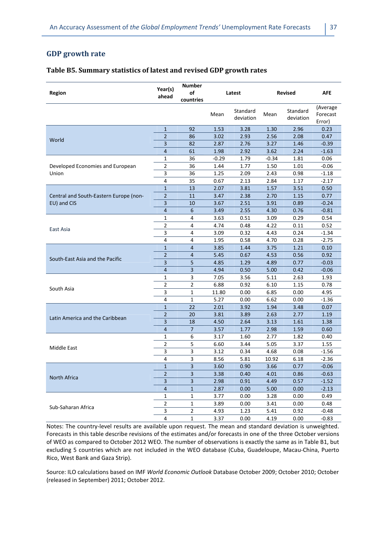## **GDP growth rate**

#### **Table B5. Summary statistics of latest and revised GDP growth rates**

| <b>Region</b>                          | Year(s)<br>ahead        | <b>Number</b><br>οf<br>countries | Latest  |                       |         | <b>Revised</b>        | AFE                            |
|----------------------------------------|-------------------------|----------------------------------|---------|-----------------------|---------|-----------------------|--------------------------------|
|                                        |                         |                                  | Mean    | Standard<br>deviation | Mean    | Standard<br>deviation | (Average<br>Forecast<br>Error) |
|                                        | $\mathbf{1}$            | 92                               | 1.53    | 3.28                  | 1.30    | 2.96                  | 0.23                           |
|                                        | 2                       | 86                               | 3.02    | 2.93                  | 2.56    | 2.08                  | 0.47                           |
| World                                  | 3                       | 82                               | 2.87    | 2.76                  | 3.27    | 1.46                  | $-0.39$                        |
|                                        | 4                       | 61                               | 1.98    | 2.92                  | 3.62    | 2.24                  | $-1.63$                        |
|                                        | 1                       | 36                               | $-0.29$ | 1.79                  | $-0.34$ | 1.81                  | 0.06                           |
| Developed Economies and European       | 2                       | 36                               | 1.44    | 1.77                  | 1.50    | 1.01                  | $-0.06$                        |
| Union                                  | 3                       | 36                               | 1.25    | 2.09                  | 2.43    | 0.98                  | $-1.18$                        |
|                                        | 4                       | 35                               | 0.67    | 2.13                  | 2.84    | 1.17                  | $-2.17$                        |
|                                        | $\mathbf{1}$            | 13                               | 2.07    | 3.81                  | 1.57    | 3.51                  | 0.50                           |
| Central and South-Eastern Europe (non- | $\overline{2}$          | 11                               | 3.47    | 2.38                  | 2.70    | 1.15                  | 0.77                           |
| EU) and CIS                            | 3                       | 10                               | 3.67    | 2.51                  | 3.91    | 0.89                  | $-0.24$                        |
|                                        | $\overline{4}$          | 6                                | 3.49    | 2.55                  | 4.30    | 0.76                  | $-0.81$                        |
|                                        | 1                       | 4                                | 3.63    | 0.51                  | 3.09    | 0.29                  | 0.54                           |
|                                        | 2                       | 4                                | 4.74    | 0.48                  | 4.22    | 0.11                  | 0.52                           |
| East Asia                              | 3                       | 4                                | 3.09    | 0.32                  | 4.43    | 0.24                  | $-1.34$                        |
|                                        | 4                       | 4                                | 1.95    | 0.58                  | 4.70    | 0.28                  | $-2.75$                        |
|                                        | $\mathbf{1}$            | 4                                | 3.85    | 1.44                  | 3.75    | 1.21                  | 0.10                           |
|                                        | $\overline{2}$          | $\overline{4}$                   | 5.45    | 0.67                  | 4.53    | 0.56                  | 0.92                           |
| South-East Asia and the Pacific        | 3                       | 5                                | 4.85    | 1.29                  | 4.89    | 0.77                  | $-0.03$                        |
|                                        | $\overline{4}$          | 3                                | 4.94    | 0.50                  | 5.00    | 0.42                  | $-0.06$                        |
|                                        | 1                       | 3                                | 7.05    | 3.56                  | 5.11    | 2.63                  | 1.93                           |
|                                        | $\overline{2}$          | 2                                | 6.88    | 0.92                  | 6.10    | 1.15                  | 0.78                           |
| South Asia                             | 3                       | 1                                | 11.80   | 0.00                  | 6.85    | 0.00                  | 4.95                           |
|                                        | 4                       | 1                                | 5.27    | 0.00                  | 6.62    | 0.00                  | $-1.36$                        |
|                                        | $\mathbf{1}$            | 22                               | 2.01    | 3.92                  | 1.94    | 3.48                  | 0.07                           |
|                                        | $\overline{2}$          | 20                               | 3.81    | 3.89                  | 2.63    | 2.77                  | 1.19                           |
| Latin America and the Caribbean        | 3                       | 18                               | 4.50    | 2.64                  | 3.13    | 1.61                  | 1.38                           |
|                                        | 4                       | 7                                | 3.57    | 1.77                  | 2.98    | 1.59                  | 0.60                           |
|                                        | 1                       | 6                                | 3.17    | 1.60                  | 2.77    | 1.82                  | 0.40                           |
|                                        | 2                       | 5                                | 6.60    | 3.44                  | 5.05    | 3.37                  | 1.55                           |
| Middle East                            | 3                       | 3                                | 3.12    | 0.34                  | 4.68    | 0.08                  | $-1.56$                        |
|                                        | 4                       | 3                                | 8.56    | 5.81                  | 10.92   | 6.18                  | $-2.36$                        |
|                                        | $\overline{1}$          | 3                                | 3.60    | 0.90                  | 3.66    | 0.77                  | $-0.06$                        |
|                                        | $\overline{2}$          | 3                                | 3.38    | 0.40                  | 4.01    | 0.86                  | $-0.63$                        |
| North Africa                           | $\overline{\mathbf{3}}$ | 3                                | 2.98    | 0.91                  | 4.49    | 0.57                  | $-1.52$                        |
|                                        | $\overline{\mathbf{r}}$ | $\mathbf 1$                      | 2.87    | 0.00                  | 5.00    | 0.00                  | $-2.13$                        |
|                                        | 1                       | 1                                | 3.77    | 0.00                  | 3.28    | 0.00                  | 0.49                           |
|                                        | 2                       | $\mathbf 1$                      | 3.89    | 0.00                  | 3.41    | 0.00                  | 0.48                           |
| Sub-Saharan Africa                     | 3                       | $\overline{c}$                   | 4.93    | 1.23                  | 5.41    | 0.92                  | $-0.48$                        |
|                                        | $\overline{\mathbf{4}}$ | $\mathbf 1$                      | 3.37    | 0.00                  | 4.19    | 0.00                  | $-0.83$                        |

Notes: The country-level results are available upon request. The mean and standard deviation is unweighted. Forecasts in this table describe revisions of the estimates and/or forecasts in one of the three October versions of WEO as compared to October 2012 WEO. The number of observations is exactly the same as in Table B1, but excluding 5 countries which are not included in the WEO database (Cuba, Guadeloupe, Macau-China, Puerto Rico, West Bank and Gaza Strip).

Source: ILO calculations based on IMF *World Economic Outlook* Database October 2009; October 2010; October (released in September) 2011; October 2012.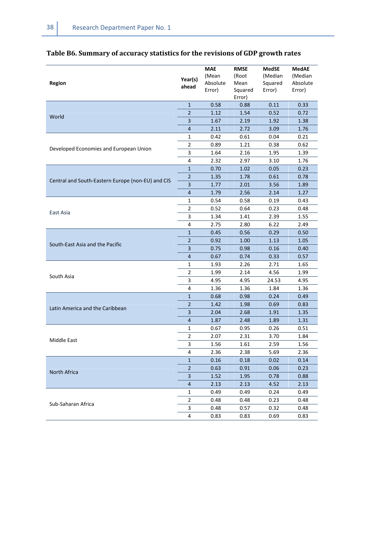| Region                                            | Year(s)<br>ahead        | <b>MAE</b><br>(Mean<br>Absolute<br>Error) | <b>RMSE</b><br>(Root<br>Mean<br>Squared<br>Error) | MedSE<br>(Median<br>Squared<br>Error) | <b>MedAE</b><br>(Median<br>Absolute<br>Error) |
|---------------------------------------------------|-------------------------|-------------------------------------------|---------------------------------------------------|---------------------------------------|-----------------------------------------------|
|                                                   | $\mathbf{1}$            | 0.58                                      | 0.88                                              | 0.11                                  | 0.33                                          |
|                                                   | $\overline{2}$          | 1.12                                      | 1.54                                              | 0.52                                  | 0.72                                          |
| World                                             | 3                       | 1.67                                      | 2.19                                              | 1.92                                  | 1.38                                          |
|                                                   | $\overline{4}$          | 2.11                                      | 2.72                                              | 3.09                                  | 1.76                                          |
|                                                   | 1                       | 0.42                                      | 0.61                                              | 0.04                                  | 0.21                                          |
|                                                   | 2                       | 0.89                                      | 1.21                                              | 0.38                                  | 0.62                                          |
| Developed Economies and European Union            | 3                       | 1.64                                      | 2.16                                              | 1.95                                  | 1.39                                          |
|                                                   | $\overline{4}$          | 2.32                                      | 2.97                                              | 3.10                                  | 1.76                                          |
|                                                   | $\mathbf{1}$            | 0.70                                      | 1.02                                              | 0.05                                  | 0.23                                          |
|                                                   | $\overline{2}$          | 1.35                                      | 1.78                                              | 0.61                                  | 0.78                                          |
| Central and South-Eastern Europe (non-EU) and CIS | 3                       | 1.77                                      | 2.01                                              | 3.56                                  | 1.89                                          |
|                                                   | $\overline{4}$          | 1.79                                      | 2.56                                              | 2.14                                  | 1.27                                          |
|                                                   | 1                       | 0.54                                      | 0.58                                              | 0.19                                  | 0.43                                          |
|                                                   | $\overline{2}$          | 0.52                                      | 0.64                                              | 0.23                                  | 0.48                                          |
| East Asia                                         | 3                       | 1.34                                      | 1.41                                              | 2.39                                  | 1.55                                          |
|                                                   | 4                       | 2.75                                      | 2.80                                              | 6.22                                  | 2.49                                          |
|                                                   | $\mathbf{1}$            | 0.45                                      | 0.56                                              | 0.29                                  | 0.50                                          |
| South-East Asia and the Pacific                   | $\overline{2}$          | 0.92                                      | 1.00                                              | 1.13                                  | 1.05                                          |
|                                                   | 3                       | 0.75                                      | 0.98                                              | 0.16                                  | 0.40                                          |
|                                                   | $\overline{4}$          | 0.67                                      | 0.74                                              | 0.33                                  | 0.57                                          |
|                                                   | 1                       | 1.93                                      | 2.26                                              | 2.71                                  | 1.65                                          |
| South Asia                                        | $\overline{2}$          | 1.99                                      | 2.14                                              | 4.56                                  | 1.99                                          |
|                                                   | 3                       | 4.95                                      | 4.95                                              | 24.53                                 | 4.95                                          |
|                                                   | $\overline{4}$          | 1.36                                      | 1.36                                              | 1.84                                  | 1.36                                          |
|                                                   | $1\,$                   | 0.68                                      | 0.98                                              | 0.24                                  | 0.49                                          |
| Latin America and the Caribbean                   | $\overline{2}$          | 1.42                                      | 1.98                                              | 0.69                                  | 0.83                                          |
|                                                   | $\overline{\mathbf{3}}$ | 2.04                                      | 2.68                                              | 1.91                                  | 1.35                                          |
|                                                   | $\overline{4}$          | 1.87                                      | 2.48                                              | 1.89                                  | 1.31                                          |
|                                                   | 1                       | 0.67                                      | 0.95                                              | 0.26                                  | 0.51                                          |
| Middle East                                       | 2                       | 2.07                                      | 2.31                                              | 3.70                                  | 1.84                                          |
|                                                   | 3                       | 1.56                                      | 1.61                                              | 2.59                                  | 1.56                                          |
|                                                   | 4                       | 2.36                                      | 2.38                                              | 5.69                                  | 2.36                                          |
|                                                   | $\mathbf{1}$            | 0.16                                      | 0.18                                              | 0.02                                  | 0.14                                          |
| North Africa                                      | $\overline{2}$          | 0.63                                      | 0.91                                              | 0.06                                  | 0.23                                          |
|                                                   | $\overline{3}$          | 1.52                                      | 1.95                                              | 0.78                                  | 0.88                                          |
|                                                   | $\overline{4}$          | 2.13                                      | 2.13                                              | 4.52                                  | 2.13                                          |
|                                                   | 1                       | 0.49                                      | 0.49                                              | 0.24                                  | 0.49                                          |
| Sub-Saharan Africa                                | $\overline{2}$          | 0.48                                      | 0.48                                              | 0.23                                  | 0.48                                          |
|                                                   | 3                       | 0.48                                      | 0.57                                              | 0.32                                  | 0.48                                          |
|                                                   | 4                       | 0.83                                      | 0.83                                              | 0.69                                  | 0.83                                          |

## **Table B6. Summary of accuracy statistics for the revisions of GDP growth rates**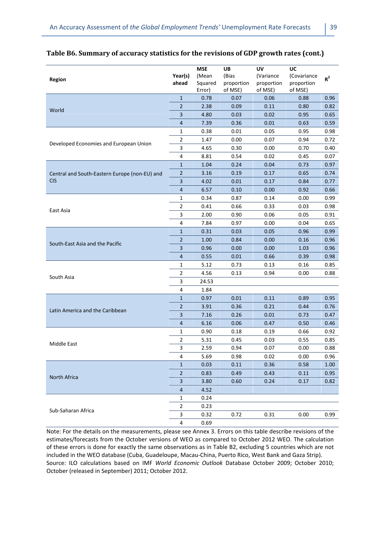|                                               |                         | <b>MSE</b> | UB         | UV         | UC          |       |
|-----------------------------------------------|-------------------------|------------|------------|------------|-------------|-------|
| Region                                        | Year(s)                 | (Mean      | (Bias      | (Variance  | (Covariance | $R^2$ |
|                                               | ahead                   | Squared    | proportion | proportion | proportion  |       |
|                                               |                         | Error)     | of MSE)    | of MSE)    | of MSE)     |       |
|                                               | $\mathbf{1}$            | 0.78       | 0.07       | 0.06       | 0.88        | 0.96  |
| World                                         | $\overline{2}$          | 2.38       | 0.09       | 0.11       | 0.80        | 0.82  |
|                                               | 3                       | 4.80       | 0.03       | 0.02       | 0.95        | 0.65  |
|                                               | 4                       | 7.39       | 0.36       | 0.01       | 0.63        | 0.59  |
|                                               | 1                       | 0.38       | 0.01       | 0.05       | 0.95        | 0.98  |
| Developed Economies and European Union        | $\mathbf{2}$            | 1.47       | 0.00       | 0.07       | 0.94        | 0.72  |
|                                               | 3                       | 4.65       | 0.30       | 0.00       | 0.70        | 0.40  |
|                                               | 4                       | 8.81       | 0.54       | 0.02       | 0.45        | 0.07  |
|                                               | $\mathbf{1}$            | 1.04       | 0.24       | 0.04       | 0.73        | 0.97  |
| Central and South-Eastern Europe (non-EU) and | $\overline{2}$          | 3.16       | 0.19       | 0.17       | 0.65        | 0.74  |
| <b>CIS</b>                                    | 3                       | 4.02       | 0.01       | 0.17       | 0.84        | 0.77  |
|                                               | $\overline{a}$          | 6.57       | 0.10       | 0.00       | 0.92        | 0.66  |
|                                               | 1                       | 0.34       | 0.87       | 0.14       | 0.00        | 0.99  |
|                                               | 2                       | 0.41       | 0.66       | 0.33       | 0.03        | 0.98  |
| East Asia                                     | 3                       | 2.00       | 0.90       | 0.06       | 0.05        | 0.91  |
|                                               | 4                       | 7.84       | 0.97       | 0.00       | 0.04        | 0.65  |
|                                               | 1                       | 0.31       | 0.03       | 0.05       | 0.96        | 0.99  |
|                                               | $\overline{2}$          | 1.00       | 0.84       | 0.00       | 0.16        | 0.96  |
| South-East Asia and the Pacific               | 3                       | 0.96       | 0.00       | 0.00       | 1.03        | 0.96  |
|                                               | 4                       | 0.55       | 0.01       | 0.66       | 0.39        | 0.98  |
|                                               | 1                       | 5.12       | 0.73       | 0.13       | 0.16        | 0.85  |
|                                               | 2                       | 4.56       | 0.13       | 0.94       | 0.00        | 0.88  |
| South Asia                                    | $\mathsf 3$             | 24.53      |            |            |             |       |
|                                               | 4                       | 1.84       |            |            |             |       |
|                                               | $\mathbf{1}$            | 0.97       | 0.01       | 0.11       | 0.89        | 0.95  |
|                                               | $\overline{2}$          | 3.91       | 0.36       | 0.21       | 0.44        | 0.76  |
| Latin America and the Caribbean               | 3                       | 7.16       | 0.26       | 0.01       | 0.73        | 0.47  |
|                                               | $\overline{4}$          | 6.16       | 0.06       | 0.47       | 0.50        | 0.46  |
|                                               | 1                       | 0.90       | 0.18       | 0.19       | 0.66        | 0.92  |
|                                               | $\mathbf 2$             | 5.31       | 0.45       | 0.03       | 0.55        | 0.85  |
| Middle East                                   | 3                       | 2.59       | 0.94       | 0.07       | 0.00        | 0.88  |
|                                               | $\overline{\mathbf{r}}$ | 5.69       | 0.98       | 0.02       | 0.00        | 0.96  |
|                                               | $\mathbf{1}$            | 0.03       | 0.11       | 0.36       | 0.58        | 1.00  |
|                                               | $\mathbf 2$             | 0.83       | 0.49       | 0.43       | 0.11        | 0.95  |
| North Africa                                  | 3                       | 3.80       | 0.60       | 0.24       | 0.17        | 0.82  |
|                                               | $\overline{4}$          | 4.52       |            |            |             |       |
|                                               | 1                       | 0.24       |            |            |             |       |
|                                               | $\overline{2}$          | 0.23       |            |            |             |       |
| Sub-Saharan Africa                            | 3                       | 0.32       | 0.72       | 0.31       | 0.00        | 0.99  |
|                                               | 4                       | 0.69       |            |            |             |       |

#### **Table B6. Summary of accuracy statistics for the revisions of GDP growth rates (cont.)**

Note: For the details on the measurements, please see Annex 3. Errors on this table describe revisions of the estimates/forecasts from the October versions of WEO as compared to October 2012 WEO. The calculation of these errors is done for exactly the same observations as in Table B2, excluding 5 countries which are not included in the WEO database (Cuba, Guadeloupe, Macau-China, Puerto Rico, West Bank and Gaza Strip). Source: ILO calculations based on IMF *World Economic Outlook* Database October 2009; October 2010; October (released in September) 2011; October 2012.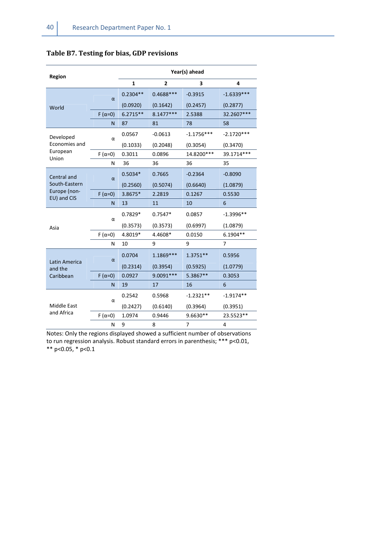| Region                      |               | Year(s) ahead |              |                |              |  |  |  |
|-----------------------------|---------------|---------------|--------------|----------------|--------------|--|--|--|
|                             |               | 1             | $\mathbf{2}$ | 3              | 4            |  |  |  |
|                             | α             | $0.2304**$    | $0.4688***$  | $-0.3915$      | $-1.6339***$ |  |  |  |
| World                       |               | (0.0920)      | (0.1642)     | (0.2457)       | (0.2877)     |  |  |  |
|                             | $F(\alpha=0)$ | $6.2715**$    | $8.1477***$  | 2.5388         | 32.2607***   |  |  |  |
|                             | N             | 87            | 81           | 78             | 58           |  |  |  |
| Developed                   | α             | 0.0567        | $-0.0613$    | $-1.1756***$   | $-2.1720***$ |  |  |  |
| Economies and               |               | (0.1033)      | (0.2048)     | (0.3054)       | (0.3470)     |  |  |  |
| European<br>Union           | $F(\alpha=0)$ | 0.3011        | 0.0896       | 14.8200***     | 39.1714***   |  |  |  |
|                             | N             | 36            | 36           | 36             | 35           |  |  |  |
| Central and                 | α             | $0.5034*$     | 0.7665       | $-0.2364$      | $-0.8090$    |  |  |  |
| South-Eastern               |               | (0.2560)      | (0.5074)     | (0.6640)       | (1.0879)     |  |  |  |
| Europe (non-<br>EU) and CIS | $F(\alpha=0)$ | 3.8675*       | 2.2819       | 0.1267         | 0.5530       |  |  |  |
|                             | N             | 13            | 11           | 10             | 6            |  |  |  |
|                             | α             | $0.7829*$     | $0.7547*$    | 0.0857         | $-1.3996**$  |  |  |  |
| Asia                        |               | (0.3573)      | (0.3573)     | (0.6997)       | (1.0879)     |  |  |  |
|                             | $F(\alpha=0)$ | 4.8019*       | 4.4608*      | 0.0150         | 6.1904**     |  |  |  |
|                             | Ν             | 10            | 9            | 9              | 7            |  |  |  |
| Latin America               | α             | 0.0704        | 1.1869 ***   | $1.3751**$     | 0.5956       |  |  |  |
| and the                     |               | (0.2314)      | (0.3954)     | (0.5925)       | (1.0779)     |  |  |  |
| Caribbean                   | $F(\alpha=0)$ | 0.0927        | 9.0091 ***   | 5.3867**       | 0.3053       |  |  |  |
|                             | N             | 19            | 17           | 16             | 6            |  |  |  |
|                             | α             | 0.2542        | 0.5968       | $-1.2321**$    | $-1.9174**$  |  |  |  |
| Middle East                 |               | (0.2427)      | (0.6140)     | (0.3964)       | (0.3951)     |  |  |  |
| and Africa                  | $F(\alpha=0)$ | 1.0974        | 0.9446       | 9.6630**       | 23.5523**    |  |  |  |
|                             | N             | 9             | 8            | $\overline{7}$ | 4            |  |  |  |

#### **Table B7. Testing for bias, GDP revisions**

Notes: Only the regions displayed showed a sufficient number of observations to run regression analysis. Robust standard errors in parenthesis; \*\*\* p<0.01, \*\* p<0.05, \* p<0.1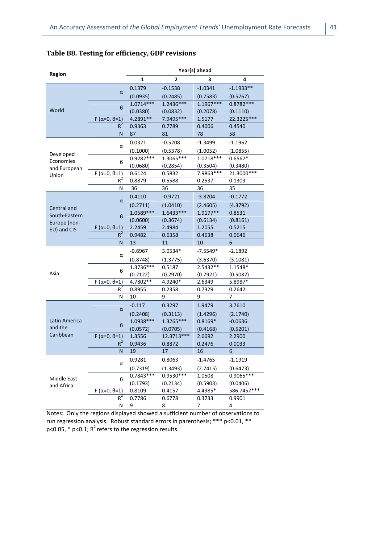| Region        |                        | Year(s) ahead |             |             |             |  |  |  |
|---------------|------------------------|---------------|-------------|-------------|-------------|--|--|--|
|               |                        | 1             | 2           | 3           | 4           |  |  |  |
|               |                        | 0.1379        | $-0.1538$   | $-1.0341$   | $-1.1933**$ |  |  |  |
|               | $\alpha$               | (0.0935)      | (0.2485)    | (0.7583)    | (0.5767)    |  |  |  |
|               |                        | $1.0714***$   | 1.2436 ***  | 1.1967***   | $0.8782***$ |  |  |  |
| World         | B                      | (0.0380)      | (0.0832)    | (0.2078)    | (0.1110)    |  |  |  |
|               | $F(\alpha=0, \beta=1)$ | 4.2891**      | 7.9495***   | 1.5177      | 22.3225***  |  |  |  |
|               | $R^2$                  | 0.9363        | 0.7789      | 0.4006      | 0.4540      |  |  |  |
|               | N                      | 87            | 81          | 78          | 58          |  |  |  |
|               | α                      | 0.0321        | $-0.5208$   | $-1.3499$   | $-1.1962$   |  |  |  |
| Developed     |                        | (0.1000)      | (0.5378)    | (1.0052)    | (1.0855)    |  |  |  |
| Economies     | в                      | 0.9282 ***    | $1.3065***$ | $1.0718***$ | $0.6567*$   |  |  |  |
| and European  |                        | (0.0680)      | (0.2854)    | (0.3504)    | (0.3480)    |  |  |  |
| Union         | $F(\alpha=0, \beta=1)$ | 0.6124        | 0.5832      | 7.9863***   | 21.3000***  |  |  |  |
|               | $R^2$                  | 0.8879        | 0.5588      | 0.2537      | 0.1309      |  |  |  |
|               | Ν                      | 36            | 36          | 36          | 35          |  |  |  |
|               | $\alpha$               | 0.4110        | $-0.9721$   | $-3.8204$   | $-0.1772$   |  |  |  |
| Central and   |                        | (0.2711)      | (1.0410)    | (2.4605)    | (4.3792)    |  |  |  |
| South-Eastern | B                      | 1.0589***     | $1.6433***$ | 1.9177**    | 0.8531      |  |  |  |
| Europe (non-  |                        | (0.0600)      | (0.3674)    | (0.6134)    | (0.8161)    |  |  |  |
| EU) and CIS   | $F(\alpha=0, \beta=1)$ | 2.2459        | 2.4984      | 1.2055      | 0.5215      |  |  |  |
|               | $R^2$                  | 0.9482        | 0.6358      | 0.4638      | 0.0646      |  |  |  |
|               | N                      | 13            | 11          | 10          | 6           |  |  |  |
|               | α                      | $-0.6967$     | 3.0534*     | $-7.5549*$  | $-2.1892$   |  |  |  |
|               |                        | (0.8748)      | (1.3775)    | (3.6370)    | (3.1081)    |  |  |  |
|               | в                      | 1.3736***     | 0.5187      | 2.5432**    | 1.1548*     |  |  |  |
| Asia          |                        | (0.2122)      | (0.2970)    | (0.7921)    | (0.5082)    |  |  |  |
|               | $F(\alpha=0, \beta=1)$ | 4.7802**      | 4.9240*     | 2.6349      | 5.8987*     |  |  |  |
|               | $R^2$                  | 0.8955        | 0.2358      | 0.7329      | 0.2642      |  |  |  |
|               | Ν                      | 10            | 9           | 9           | 7           |  |  |  |
|               | $\alpha$               | $-0.117$      | 0.3297      | 1.9479      | 3.7610      |  |  |  |
|               |                        | (0.2408)      | (0.3113)    | (1.4296)    | (2.1740)    |  |  |  |
| Latin America | в                      | 1.0938 ***    | 1.3265***   | $0.8169*$   | $-0.0636$   |  |  |  |
| and the       |                        | (0.0572)      | (0.0705)    | (0.4168)    | (0.5201)    |  |  |  |
| Caribbean     | $F(\alpha=0, \beta=1)$ | 1.3556        | 12.3713***  | 2.6692      | 2.2900      |  |  |  |
|               | $R^2$                  | 0.9436        | 0.8872      | 0.2476      | 0.0033      |  |  |  |
|               | N                      | 19            | 17          | 16          | 6           |  |  |  |
|               | α                      | 0.9281        | 0.8063      | $-1.4765$   | $-1.1919$   |  |  |  |
|               |                        | (0.7319)      | (1.3493)    | (2.7415)    | (0.6473)    |  |  |  |
| Middle East   | в                      | $0.7843***$   | 0.9530 ***  | 1.0508      | 0.9065 ***  |  |  |  |
| and Africa    |                        | (0.1793)      | (0.2134)    | (0.5903)    | (0.0406)    |  |  |  |
|               | $F(\alpha=0, \beta=1)$ | 0.8109        | 0.4157      | 4.4985*     | 586.7457*** |  |  |  |
|               | $R^2$                  | 0.7786        | 0.6778      | 0.3733      | 0.9901      |  |  |  |
|               | Ν                      | 9             | 8           | 7           | 4           |  |  |  |

#### **Table B8. Testing for efficiency, GDP revisions**

Notes: Only the regions displayed showed a sufficient number of observations to run regression analysis. Robust standard errors in parenthesis; \*\*\* p<0.01, \*\*  $p$ <0.05, \*  $p$ <0.1;  $R^2$  refers to the regression results.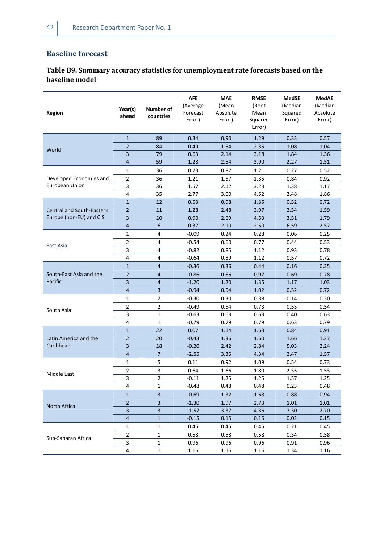## **Baseline forecast**

## **Table B9. Summary accuracy statistics for unemployment rate forecasts based on the baseline model**

| <b>Region</b>             | Year(s)<br>ahead | <b>Number of</b><br>countries | <b>AFE</b><br>(Average<br>Forecast<br>Error) | <b>MAE</b><br>(Mean<br>Absolute<br>Error) | <b>RMSE</b><br>(Root<br>Mean<br>Squared<br>Error) | <b>MedSE</b><br>(Median<br>Squared<br>Error) | <b>MedAE</b><br>(Median<br>Absolute<br>Error) |
|---------------------------|------------------|-------------------------------|----------------------------------------------|-------------------------------------------|---------------------------------------------------|----------------------------------------------|-----------------------------------------------|
|                           | $\mathbf{1}$     | 89                            | 0.34                                         | 0.90                                      | 1.29                                              | 0.33                                         | 0.57                                          |
| World                     | $\overline{2}$   | 84                            | 0.49                                         | 1.54                                      | 2.35                                              | 1.08                                         | 1.04                                          |
|                           | 3                | 79                            | 0.63                                         | 2.14                                      | 3.18                                              | 1.84                                         | 1.36                                          |
|                           | 4                | 59                            | 1.28                                         | 2.54                                      | 3.90                                              | 2.27                                         | 1.51                                          |
|                           | $\mathbf{1}$     | 36                            | 0.73                                         | 0.87                                      | 1.21                                              | 0.27                                         | 0.52                                          |
| Developed Economies and   | 2                | 36                            | 1.21                                         | 1.57                                      | 2.35                                              | 0.84                                         | 0.92                                          |
| European Union            | 3                | 36                            | 1.57                                         | 2.12                                      | 3.23                                              | 1.38                                         | 1.17                                          |
|                           | 4                | 35                            | 2.77                                         | 3.00                                      | 4.52                                              | 3.48                                         | 1.86                                          |
|                           | $\mathbf{1}$     | 12                            | 0.53                                         | 0.98                                      | 1.35                                              | 0.52                                         | 0.72                                          |
| Central and South-Eastern | $\overline{2}$   | 11                            | 1.28                                         | 2.48                                      | 3.97                                              | 2.54                                         | 1.59                                          |
| Europe (non-EU) and CIS   | 3                | 10                            | 0.90                                         | 2.69                                      | 4.53                                              | 3.51                                         | 1.79                                          |
|                           | $\overline{4}$   | $6\phantom{1}$                | 0.37                                         | 2.10                                      | 2.50                                              | 6.59                                         | 2.57                                          |
|                           | $\mathbf{1}$     | $\overline{4}$                | $-0.09$                                      | 0.24                                      | 0.28                                              | 0.06                                         | 0.25                                          |
| East Asia                 | 2                | 4                             | $-0.54$                                      | 0.60                                      | 0.77                                              | 0.44                                         | 0.53                                          |
|                           | 3                | 4                             | $-0.82$                                      | 0.85                                      | 1.12                                              | 0.93                                         | 0.78                                          |
|                           | 4                | 4                             | $-0.64$                                      | 0.89                                      | 1.12                                              | 0.57                                         | 0.72                                          |
|                           | $\mathbf{1}$     | $\overline{4}$                | $-0.36$                                      | 0.36                                      | 0.44                                              | 0.16                                         | 0.35                                          |
| South-East Asia and the   | $\overline{2}$   | $\overline{4}$                | $-0.86$                                      | 0.86                                      | 0.97                                              | 0.69                                         | 0.78                                          |
| Pacific                   | 3                | $\overline{4}$                | $-1.20$                                      | 1.20                                      | 1.35                                              | 1.17                                         | 1.03                                          |
|                           | 4                | 3                             | $-0.94$                                      | 0.94                                      | 1.02                                              | 0.52                                         | 0.72                                          |
|                           | $\mathbf{1}$     | $\overline{2}$                | $-0.30$                                      | 0.30                                      | 0.38                                              | 0.14                                         | 0.30                                          |
|                           | $\overline{2}$   | $\overline{2}$                | $-0.49$                                      | 0.54                                      | 0.73                                              | 0.53                                         | 0.54                                          |
| South Asia                | 3                | $\mathbf 1$                   | $-0.63$                                      | 0.63                                      | 0.63                                              | 0.40                                         | 0.63                                          |
|                           | 4                | $\mathbf 1$                   | $-0.79$                                      | 0.79                                      | 0.79                                              | 0.63                                         | 0.79                                          |
|                           | $\mathbf{1}$     | 22                            | 0.07                                         | 1.14                                      | 1.63                                              | 0.84                                         | 0.91                                          |
| Latin America and the     | $\overline{2}$   | 20                            | $-0.43$                                      | 1.36                                      | 1.60                                              | 1.66                                         | 1.27                                          |
| Caribbean                 | 3                | 18                            | $-0.20$                                      | 2.42                                      | 2.84                                              | 5.03                                         | 2.24                                          |
|                           | $\overline{4}$   | $\overline{7}$                | $-2.55$                                      | 3.35                                      | 4.34                                              | 2.47                                         | 1.57                                          |
|                           | $\mathbf{1}$     | 5                             | 0.11                                         | 0.92                                      | 1.09                                              | 0.54                                         | 0.73                                          |
| Middle East               | 2                | 3                             | 0.64                                         | 1.66                                      | 1.80                                              | 2.35                                         | 1.53                                          |
|                           | 3                | $\overline{2}$                | $-0.11$                                      | 1.25                                      | 1.25                                              | 1.57                                         | 1.25                                          |
|                           | 4                | 1                             | $-0.48$                                      | 0.48                                      | 0.48                                              | 0.23                                         | 0.48                                          |
|                           | $\mathbf{1}$     | 3                             | $-0.69$                                      | 1.32                                      | 1.68                                              | 0.88                                         | 0.94                                          |
| North Africa              | 2                | 3                             | $-1.30$                                      | 1.97                                      | 2.73                                              | 1.01                                         | 1.01                                          |
|                           | 3                | 3                             | $-1.57$                                      | 3.37                                      | 4.36                                              | 7.30                                         | 2.70                                          |
|                           | 4                | 1                             | $-0.15$                                      | 0.15                                      | 0.15                                              | 0.02                                         | 0.15                                          |
|                           | 1                | 1                             | 0.45                                         | 0.45                                      | 0.45                                              | 0.21                                         | 0.45                                          |
|                           | $\overline{2}$   | 1                             | 0.58                                         | 0.58                                      | 0.58                                              | 0.34                                         | 0.58                                          |
| Sub-Saharan Africa        | 3                | 1                             | 0.96                                         | 0.96                                      | 0.96                                              | 0.91                                         | 0.96                                          |
|                           | 4                | 1                             | 1.16                                         | 1.16                                      | 1.16                                              | 1.34                                         | 1.16                                          |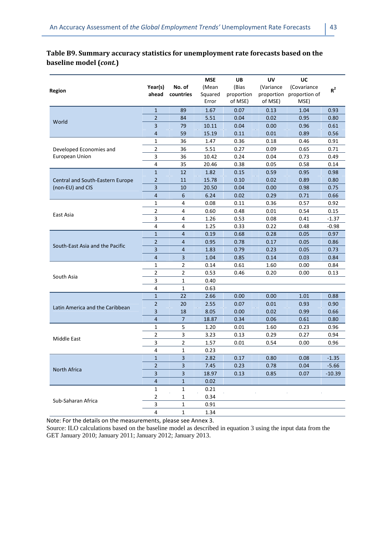## **Table B9. Summary accuracy statistics for unemployment rate forecasts based on the baseline model (***cont.***)**

| <b>Region</b>                    | Year(s)<br>ahead | No. of<br>countries | <b>MSE</b><br>(Mean<br>Squared<br>Error | UB<br>(Bias<br>proportion<br>of MSE) | UV<br>(Variance<br>proportion<br>of MSE) | UC<br>(Covariance<br>proportion of<br>MSE) | $R^2$    |
|----------------------------------|------------------|---------------------|-----------------------------------------|--------------------------------------|------------------------------------------|--------------------------------------------|----------|
|                                  | $\mathbf{1}$     | 89                  | 1.67                                    | 0.07                                 | 0.13                                     | 1.04                                       | 0.93     |
| World                            | $\overline{2}$   | 84                  | 5.51                                    | 0.04                                 | 0.02                                     | 0.95                                       | 0.80     |
|                                  | 3                | 79                  | 10.11                                   | 0.04                                 | 0.00                                     | 0.96                                       | 0.61     |
|                                  | 4                | 59                  | 15.19                                   | 0.11                                 | 0.01                                     | 0.89                                       | 0.56     |
|                                  | $\mathbf{1}$     | 36                  | 1.47                                    | 0.36                                 | 0.18                                     | 0.46                                       | 0.91     |
| Developed Economies and          | $\overline{2}$   | 36                  | 5.51                                    | 0.27                                 | 0.09                                     | 0.65                                       | 0.71     |
| European Union                   | 3                | 36                  | 10.42                                   | 0.24                                 | 0.04                                     | 0.73                                       | 0.49     |
|                                  | 4                | 35                  | 20.46                                   | 0.38                                 | 0.05                                     | 0.58                                       | 0.14     |
|                                  | $\mathbf{1}$     | 12                  | 1.82                                    | 0.15                                 | 0.59                                     | 0.95                                       | 0.98     |
| Central and South-Eastern Europe | $\overline{2}$   | 11                  | 15.78                                   | 0.10                                 | 0.02                                     | 0.89                                       | 0.80     |
| (non-EU) and CIS                 | 3                | 10                  | 20.50                                   | 0.04                                 | 0.00                                     | 0.98                                       | 0.75     |
|                                  | $\overline{4}$   | 6                   | 6.24                                    | 0.02                                 | 0.29                                     | 0.71                                       | 0.66     |
|                                  | $\mathbf{1}$     | 4                   | 0.08                                    | 0.11                                 | 0.36                                     | 0.57                                       | 0.92     |
| East Asia                        | $\overline{2}$   | 4                   | 0.60                                    | 0.48                                 | 0.01                                     | 0.54                                       | 0.15     |
|                                  | 3                | 4                   | 1.26                                    | 0.53                                 | 0.08                                     | 0.41                                       | $-1.37$  |
|                                  | 4                | 4                   | 1.25                                    | 0.33                                 | 0.22                                     | 0.48                                       | $-0.98$  |
|                                  | $\mathbf{1}$     | 4                   | 0.19                                    | 0.68                                 | 0.28                                     | 0.05                                       | 0.97     |
| South-East Asia and the Pacific  | $\overline{2}$   | 4                   | 0.95                                    | 0.78                                 | 0.17                                     | 0.05                                       | 0.86     |
|                                  | 3                | 4                   | 1.83                                    | 0.79                                 | 0.23                                     | 0.05                                       | 0.73     |
|                                  | $\overline{4}$   | 3                   | 1.04                                    | 0.85                                 | 0.14                                     | 0.03                                       | 0.84     |
|                                  | 1                | 2                   | 0.14                                    | 0.61                                 | 1.60                                     | 0.00                                       | 0.84     |
| South Asia                       | $\overline{2}$   | 2                   | 0.53                                    | 0.46                                 | 0.20                                     | 0.00                                       | 0.13     |
|                                  | 3                | $\mathbf 1$         | 0.40                                    |                                      |                                          |                                            |          |
|                                  | 4                | 1                   | 0.63                                    |                                      |                                          |                                            |          |
|                                  | $\mathbf{1}$     | 22                  | 2.66                                    | 0.00                                 | 0.00                                     | 1.01                                       | 0.88     |
| Latin America and the Caribbean  | $\overline{2}$   | 20                  | 2.55                                    | 0.07                                 | 0.01                                     | 0.93                                       | 0.90     |
|                                  | 3                | 18                  | 8.05                                    | 0.00                                 | 0.02                                     | 0.99                                       | 0.66     |
|                                  | $\overline{4}$   | $\overline{7}$      | 18.87                                   | 0.34                                 | 0.06                                     | 0.61                                       | 0.80     |
|                                  | $\mathbf{1}$     | 5                   | 1.20                                    | 0.01                                 | 1.60                                     | 0.23                                       | 0.96     |
| Middle East                      | $\overline{2}$   | 3                   | 3.23                                    | 0.13                                 | 0.29                                     | 0.27                                       | 0.94     |
|                                  | 3                | 2                   | 1.57                                    | 0.01                                 | 0.54                                     | 0.00                                       | 0.96     |
|                                  | 4                | 1                   | 0.23                                    |                                      |                                          |                                            |          |
|                                  | $\mathbf{1}$     | 3                   | 2.82                                    | 0.17                                 | 0.80                                     | 0.08                                       | $-1.35$  |
| North Africa                     | $\overline{c}$   | 3                   | 7.45                                    | 0.23                                 | 0.78                                     | 0.04                                       | $-5.66$  |
|                                  | 3                | 3                   | 18.97                                   | 0.13                                 | 0.85                                     | 0.07                                       | $-10.39$ |
|                                  | $\overline{4}$   | $\mathbf{1}$        | 0.02                                    |                                      |                                          |                                            |          |
|                                  | 1                | $\mathbf{1}$        | 0.21                                    |                                      |                                          |                                            |          |
| Sub-Saharan Africa               | $\overline{2}$   | $\mathbf{1}$        | 0.34                                    |                                      |                                          |                                            |          |
|                                  | 3                | 1                   | 0.91                                    |                                      |                                          |                                            |          |
|                                  | $\overline{4}$   | $\mathbf{1}$        | 1.34                                    |                                      |                                          |                                            |          |

Note: For the details on the measurements, please see Annex 3.

Source: ILO calculations based on the baseline model as described in equation 3 using the input data from the GET January 2010; January 2011; January 2012; January 2013.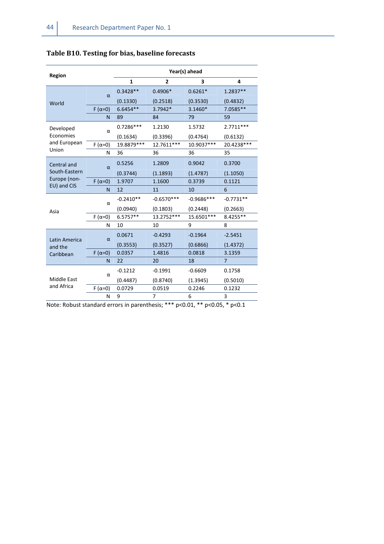| $\overline{2}$<br>1<br>3<br>4<br>$0.4906*$<br>$0.3428**$<br>$0.6261*$<br>1.2837**<br>$\alpha$<br>(0.3530)<br>(0.1330)<br>(0.2518)<br>(0.4832)<br>World<br>$6.6454**$<br>3.7942*<br>3.1460*<br>7.0585**<br>$F(\alpha=0)$<br>89<br>59<br>N<br>84<br>79<br>$0.7286***$<br>1.2130<br>1.5732<br>2.7711***<br>Developed<br>$\alpha$<br>Economies<br>(0.1634)<br>(0.3396)<br>(0.4764)<br>(0.6132)<br>and European<br>12.7611 ***<br>10.9037***<br>19.8879 ***<br>20.4238***<br>$F(\alpha=0)$<br>Union<br>36<br>36<br>36<br>35<br>N<br>0.5256<br>1.2809<br>0.9042<br>0.3700<br>Central and<br>$\alpha$<br>South-Eastern<br>(0.3744)<br>(1.1893)<br>(1.4787)<br>(1.1050)<br>Europe (non-<br>1.9707<br>1.1600<br>0.3739<br>0.1121<br>$F(\alpha=0)$<br>EU) and CIS<br>12<br>11<br>N<br>10<br>6<br>$-0.2410**$<br>$-0.6570***$<br>$-0.9686***$<br>$-0.7731**$<br>$\alpha$<br>(0.1803)<br>(0.0940)<br>(0.2448)<br>(0.2663)<br>Asia<br>13.2752***<br>6.5757**<br>15.6501 ***<br>8.4255**<br>$F(\alpha=0)$<br>8<br>10<br>10<br>9<br>N<br>$-0.4293$<br>$-0.1964$<br>$-2.5451$<br>0.0671<br>$\alpha$<br>Latin America<br>(0.3553)<br>(0.3527)<br>(0.6866)<br>(1.4372)<br>and the<br>1.4816<br>3.1359<br>0.0357<br>0.0818<br>$F(\alpha=0)$<br>Caribbean<br>22<br>18<br>20<br>$\overline{7}$<br>N<br>$-0.1212$<br>$-0.1991$<br>$-0.6609$<br>0.1758 | <b>Region</b> |          | Year(s) ahead |  |  |  |  |  |
|---------------------------------------------------------------------------------------------------------------------------------------------------------------------------------------------------------------------------------------------------------------------------------------------------------------------------------------------------------------------------------------------------------------------------------------------------------------------------------------------------------------------------------------------------------------------------------------------------------------------------------------------------------------------------------------------------------------------------------------------------------------------------------------------------------------------------------------------------------------------------------------------------------------------------------------------------------------------------------------------------------------------------------------------------------------------------------------------------------------------------------------------------------------------------------------------------------------------------------------------------------------------------------------------------------------------------------|---------------|----------|---------------|--|--|--|--|--|
|                                                                                                                                                                                                                                                                                                                                                                                                                                                                                                                                                                                                                                                                                                                                                                                                                                                                                                                                                                                                                                                                                                                                                                                                                                                                                                                                 |               |          |               |  |  |  |  |  |
|                                                                                                                                                                                                                                                                                                                                                                                                                                                                                                                                                                                                                                                                                                                                                                                                                                                                                                                                                                                                                                                                                                                                                                                                                                                                                                                                 |               |          |               |  |  |  |  |  |
|                                                                                                                                                                                                                                                                                                                                                                                                                                                                                                                                                                                                                                                                                                                                                                                                                                                                                                                                                                                                                                                                                                                                                                                                                                                                                                                                 |               |          |               |  |  |  |  |  |
|                                                                                                                                                                                                                                                                                                                                                                                                                                                                                                                                                                                                                                                                                                                                                                                                                                                                                                                                                                                                                                                                                                                                                                                                                                                                                                                                 |               |          |               |  |  |  |  |  |
|                                                                                                                                                                                                                                                                                                                                                                                                                                                                                                                                                                                                                                                                                                                                                                                                                                                                                                                                                                                                                                                                                                                                                                                                                                                                                                                                 |               |          |               |  |  |  |  |  |
|                                                                                                                                                                                                                                                                                                                                                                                                                                                                                                                                                                                                                                                                                                                                                                                                                                                                                                                                                                                                                                                                                                                                                                                                                                                                                                                                 |               |          |               |  |  |  |  |  |
|                                                                                                                                                                                                                                                                                                                                                                                                                                                                                                                                                                                                                                                                                                                                                                                                                                                                                                                                                                                                                                                                                                                                                                                                                                                                                                                                 |               |          |               |  |  |  |  |  |
|                                                                                                                                                                                                                                                                                                                                                                                                                                                                                                                                                                                                                                                                                                                                                                                                                                                                                                                                                                                                                                                                                                                                                                                                                                                                                                                                 |               |          |               |  |  |  |  |  |
|                                                                                                                                                                                                                                                                                                                                                                                                                                                                                                                                                                                                                                                                                                                                                                                                                                                                                                                                                                                                                                                                                                                                                                                                                                                                                                                                 |               |          |               |  |  |  |  |  |
|                                                                                                                                                                                                                                                                                                                                                                                                                                                                                                                                                                                                                                                                                                                                                                                                                                                                                                                                                                                                                                                                                                                                                                                                                                                                                                                                 |               |          |               |  |  |  |  |  |
|                                                                                                                                                                                                                                                                                                                                                                                                                                                                                                                                                                                                                                                                                                                                                                                                                                                                                                                                                                                                                                                                                                                                                                                                                                                                                                                                 |               |          |               |  |  |  |  |  |
|                                                                                                                                                                                                                                                                                                                                                                                                                                                                                                                                                                                                                                                                                                                                                                                                                                                                                                                                                                                                                                                                                                                                                                                                                                                                                                                                 |               |          |               |  |  |  |  |  |
|                                                                                                                                                                                                                                                                                                                                                                                                                                                                                                                                                                                                                                                                                                                                                                                                                                                                                                                                                                                                                                                                                                                                                                                                                                                                                                                                 |               |          |               |  |  |  |  |  |
|                                                                                                                                                                                                                                                                                                                                                                                                                                                                                                                                                                                                                                                                                                                                                                                                                                                                                                                                                                                                                                                                                                                                                                                                                                                                                                                                 |               |          |               |  |  |  |  |  |
|                                                                                                                                                                                                                                                                                                                                                                                                                                                                                                                                                                                                                                                                                                                                                                                                                                                                                                                                                                                                                                                                                                                                                                                                                                                                                                                                 |               |          |               |  |  |  |  |  |
|                                                                                                                                                                                                                                                                                                                                                                                                                                                                                                                                                                                                                                                                                                                                                                                                                                                                                                                                                                                                                                                                                                                                                                                                                                                                                                                                 |               |          |               |  |  |  |  |  |
|                                                                                                                                                                                                                                                                                                                                                                                                                                                                                                                                                                                                                                                                                                                                                                                                                                                                                                                                                                                                                                                                                                                                                                                                                                                                                                                                 |               |          |               |  |  |  |  |  |
|                                                                                                                                                                                                                                                                                                                                                                                                                                                                                                                                                                                                                                                                                                                                                                                                                                                                                                                                                                                                                                                                                                                                                                                                                                                                                                                                 |               |          |               |  |  |  |  |  |
|                                                                                                                                                                                                                                                                                                                                                                                                                                                                                                                                                                                                                                                                                                                                                                                                                                                                                                                                                                                                                                                                                                                                                                                                                                                                                                                                 |               |          |               |  |  |  |  |  |
|                                                                                                                                                                                                                                                                                                                                                                                                                                                                                                                                                                                                                                                                                                                                                                                                                                                                                                                                                                                                                                                                                                                                                                                                                                                                                                                                 |               |          |               |  |  |  |  |  |
|                                                                                                                                                                                                                                                                                                                                                                                                                                                                                                                                                                                                                                                                                                                                                                                                                                                                                                                                                                                                                                                                                                                                                                                                                                                                                                                                 |               |          |               |  |  |  |  |  |
|                                                                                                                                                                                                                                                                                                                                                                                                                                                                                                                                                                                                                                                                                                                                                                                                                                                                                                                                                                                                                                                                                                                                                                                                                                                                                                                                 |               | $\alpha$ |               |  |  |  |  |  |
| Middle East<br>(1.3945)<br>(0.5010)<br>(0.4487)<br>(0.8740)                                                                                                                                                                                                                                                                                                                                                                                                                                                                                                                                                                                                                                                                                                                                                                                                                                                                                                                                                                                                                                                                                                                                                                                                                                                                     |               |          |               |  |  |  |  |  |
| and Africa<br>0.0729<br>0.0519<br>0.2246<br>0.1232<br>F ( $\alpha$ =0)                                                                                                                                                                                                                                                                                                                                                                                                                                                                                                                                                                                                                                                                                                                                                                                                                                                                                                                                                                                                                                                                                                                                                                                                                                                          |               |          |               |  |  |  |  |  |
| 3<br>9<br>7<br>6<br>Ν                                                                                                                                                                                                                                                                                                                                                                                                                                                                                                                                                                                                                                                                                                                                                                                                                                                                                                                                                                                                                                                                                                                                                                                                                                                                                                           |               |          |               |  |  |  |  |  |

## **Table B10. Testing for bias, baseline forecasts**

Note: Robust standard errors in parenthesis; \*\*\* p<0.01, \*\* p<0.05, \* p<0.1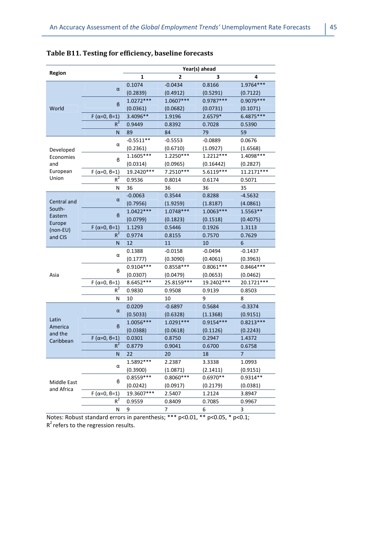|                   |                        | Year(s) ahead |             |             |             |  |  |
|-------------------|------------------------|---------------|-------------|-------------|-------------|--|--|
| <b>Region</b>     |                        | 1             | 2           | 3           | 4           |  |  |
|                   |                        | 0.1074        | $-0.0434$   | 0.8166      | 1.9764***   |  |  |
|                   | α                      | (0.2839)      | (0.4912)    | (0.5291)    | (0.7122)    |  |  |
|                   | $\boldsymbol{\beta}$   | 1.0272 ***    | $1.0607***$ | 0.9787***   | 0.9079 ***  |  |  |
| World             |                        | (0.0361)      | (0.0682)    | (0.0731)    | (0.1071)    |  |  |
|                   | $F(\alpha=0, \beta=1)$ | 3.4096**      | 1.9196      | 2.6579*     | 6.4875***   |  |  |
|                   | $R^2$                  | 0.9449        | 0.8392      | 0.7028      | 0.5390      |  |  |
|                   | N                      | 89            | 84          | 79          | 59          |  |  |
|                   | α                      | $-0.5511**$   | $-0.5553$   | $-0.0889$   | 0.0676      |  |  |
| Developed         |                        | (0.2361)      | (0.6710)    | (1.0927)    | (1.6568)    |  |  |
| Economies         | в                      | 1.1605***     | 1.2250***   | 1.2212***   | 1.4098***   |  |  |
| and               |                        | (0.0314)      | (0.0965)    | (0.16442)   | (0.2827)    |  |  |
| European          | $F(\alpha=0, \beta=1)$ | 19.2420***    | 7.2510***   | 5.6119 ***  | 11.2171***  |  |  |
| Union             | $R^2$                  | 0.9536        | 0.8014      | 0.6174      | 0.5071      |  |  |
|                   | Ν                      | 36            | 36          | 36          | 35          |  |  |
|                   | α                      | $-0.0063$     | 0.3544      | 0.8288      | $-4.5632$   |  |  |
| Central and       |                        | (0.7956)      | (1.9259)    | (1.8187)    | (4.0861)    |  |  |
| South-            | в                      | $1.0422***$   | $1.0748***$ | $1.0063***$ | 1.5563**    |  |  |
| Eastern<br>Europe |                        | (0.0799)      | (0.1823)    | (0.1518)    | (0.4075)    |  |  |
| $(non-EU)$        | $F(\alpha=0, \beta=1)$ | 1.1293        | 0.5446      | 0.1926      | 1.3113      |  |  |
| and CIS           | $R^2$                  | 0.9774        | 0.8155      | 0.7570      | 0.7629      |  |  |
|                   | N                      | 12            | 11          | 10          | 6           |  |  |
|                   | α                      | 0.1388        | $-0.0158$   | $-0.0494$   | $-0.1437$   |  |  |
|                   |                        | (0.1777)      | (0.3090)    | (0.4061)    | (0.3963)    |  |  |
|                   |                        | $0.9104***$   | $0.8558***$ | $0.8061***$ | $0.8464***$ |  |  |
|                   |                        |               |             |             |             |  |  |
| Asia              | в                      | (0.0307)      | (0.0479)    | (0.0653)    | (0.0462)    |  |  |
|                   | $F(\alpha=0, \beta=1)$ | 8.6452 ***    | 25.8159***  | 19.2402 *** | 20.1721 *** |  |  |
|                   | $R^2$                  | 0.9830        | 0.9508      | 0.9139      | 0.8503      |  |  |
|                   | N                      | 10            | 10          | 9           | 8           |  |  |
|                   |                        | 0.0209        | $-0.6897$   | 0.5684      | $-0.3374$   |  |  |
|                   | α                      | (0.5033)      | (0.6328)    | (1.1368)    | (0.9151)    |  |  |
| Latin             |                        | $1.0056***$   | 1.0291 ***  | $0.9154***$ | $0.8213***$ |  |  |
| America           | $\boldsymbol{\beta}$   | (0.0388)      | (0.0618)    | (0.1126)    | (0.2243)    |  |  |
| and the           | $F(\alpha=0, \beta=1)$ | 0.0301        | 0.8750      | 0.2947      | 1.4372      |  |  |
| Caribbean         | $R^2$                  | 0.8779        | 0.9041      | 0.6700      | 0.6758      |  |  |
|                   | Ν                      | 22            | 20          | 18          | 7           |  |  |
|                   |                        | 1.5892 ***    | 2.2387      | 3.3338      | 1.0993      |  |  |
|                   | α                      | (0.3900)      | (1.0871)    | (2.1411)    | (0.9151)    |  |  |
|                   |                        | $0.8559***$   | $0.8060***$ | 0.6970**    | 0.9314**    |  |  |
| Middle East       | B                      | (0.0242)      | (0.0917)    | (0.2179)    | (0.0381)    |  |  |
| and Africa        | $F(\alpha=0, \beta=1)$ | 19.3607***    | 2.5407      | 1.2124      | 3.8947      |  |  |
|                   | $R^2$                  | 0.9559        | 0.8409      | 0.7085      | 0.9967      |  |  |

## **Table B11. Testing for efficiency, baseline forecasts**

Notes: Robust standard errors in parenthesis; \*\*\* p<0.01, \*\* p<0.05, \* p<0.1;  $R^2$  refers to the regression results.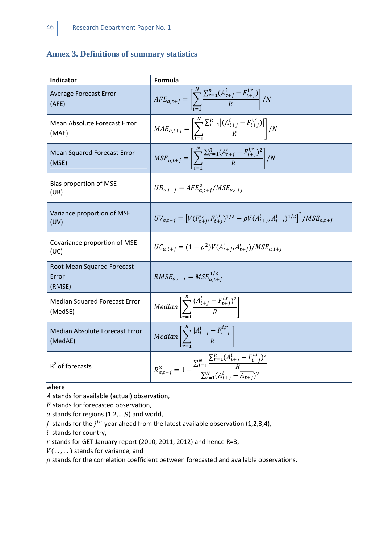## **Annex 3. Definitions of summary statistics**

| Indicator                                     | Formula                                                                                                                                           |
|-----------------------------------------------|---------------------------------------------------------------------------------------------------------------------------------------------------|
| <b>Average Forecast Error</b><br>(AFE)        | $AFE_{a,t+j} = \left[ \sum_{r=1}^{N} \frac{\sum_{r=1}^{R} (A_{t+j}^{l} - F_{t+j}^{l,r})}{R} \right] / N$                                          |
| Mean Absolute Forecast Error<br>(MAE)         | $MAE_{a,t+j} = \left[ \sum_{r=1}^{N} \frac{\sum_{r=1}^{R}  (A_{t+j}^{l} - F_{t+j}^{t,r}) }{R} \right] / N$                                        |
| <b>Mean Squared Forecast Error</b><br>(MSE)   | $MSE_{a,t+j} = \left[ \sum_{r=1}^{N} \frac{\sum_{r=1}^{R} (A_{t+j}^{i} - F_{t+j}^{i,r})^2}{R} \right] / N$                                        |
| Bias proportion of MSE<br>(UB)                | $UB_{a,t+j} = AFE_{a,t+j}^2 / MSE_{a,t+j}$                                                                                                        |
| Variance proportion of MSE<br>(UV)            | $UV_{a,t+j} = \left[ V(F_{t+j}^{i,r}, F_{t+j}^{i,r})^{1/2} - \rho V(A_{t+j}^i, A_{t+j}^i)^{1/2} \right]^2 / MSE_{a,t+j}$                          |
| Covariance proportion of MSE<br>(UC)          | $UC_{a.t+i} = (1 - \rho^2)V(A_{t+i}^i, A_{t+i}^i)/MSE_{a.t+i}$                                                                                    |
| Root Mean Squared Forecast<br>Error<br>(RMSE) | $RMSE_{a,t+j} = MSE_{a,t+i}^{1/2}$                                                                                                                |
| Median Squared Forecast Error<br>(MedSE)      | <i>Median</i> $\left  \sum_{k=1}^{n} \frac{(A_{t+j}^{i} - F_{t+j}^{i,r})^2}{R} \right $                                                           |
| Median Absolute Forecast Error<br>(MedAE)     | <i>Median</i> $\left[\sum_{t=1}^{R} \frac{ A_{t+j}^{l} - F_{t+j}^{l,r} }{R}\right]$                                                               |
| $R^2$ of forecasts                            | $R_{a,t+j}^2 = 1 - \frac{\sum_{i=1}^{N} \frac{\sum_{r=1}^{K} (A_{t+j}^l - F_{t+j}^{i,r})^2}{R}}{\sum_{i=1}^{N} (A_{t}^i - \overline{A_{t-1}})^2}$ |

**where** 

 $A$  stands for available (actual) observation,

 $F$  stands for forecasted observation,

 $a$  stands for regions (1,2,...,9) and world,

 $j$  stands for the  $j^{th}$  year ahead from the latest available observation (1,2,3,4),

 $i$  stands for country,

 $r$  stands for GET January report (2010, 2011, 2012) and hence R=3,

 $V(... , ... )$  stands for variance, and

 $\rho$  stands for the correlation coefficient between forecasted and available observations.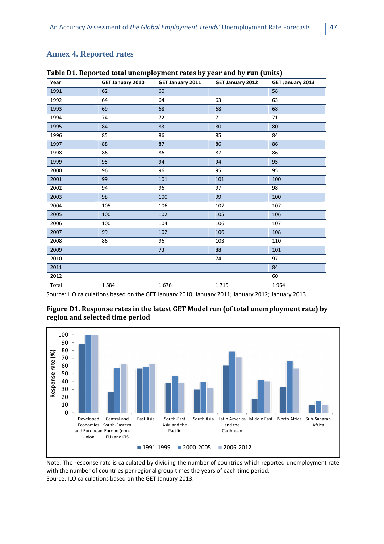#### **Annex 4. Reported rates**

| Year  | GET January 2010 | GET January 2011 | GET January 2012 | GET January 2013 |
|-------|------------------|------------------|------------------|------------------|
| 1991  | 62               | 60               |                  | 58               |
| 1992  | 64               | 64               | 63               | 63               |
| 1993  | 69               | 68               | 68               | 68               |
| 1994  | 74               | 72               | 71               | 71               |
| 1995  | 84               | 83               | 80               | 80               |
| 1996  | 85               | 86               | 85               | 84               |
| 1997  | 88               | 87               | 86               | 86               |
| 1998  | 86               | 86               | 87               | 86               |
| 1999  | 95               | 94               | 94               | 95               |
| 2000  | 96               | 96               | 95               | 95               |
| 2001  | 99               | 101              | 101              | 100              |
| 2002  | 94               | 96               | 97               | 98               |
| 2003  | 98               | 100              | 99               | 100              |
| 2004  | 105              | 106              | 107              | 107              |
| 2005  | 100              | 102              | 105              | 106              |
| 2006  | 100              | 104              | 106              | 107              |
| 2007  | 99               | 102              | 106              | 108              |
| 2008  | 86               | 96               | 103              | 110              |
| 2009  |                  | 73               | 88               | 101              |
| 2010  |                  |                  | 74               | 97               |
| 2011  |                  |                  |                  | 84               |
| 2012  |                  |                  |                  | 60               |
| Total | 1584             | 1676             | 1715             | 1964             |

**Table D1. Reported total unemployment rates by year and by run (units)** 

Source: ILO calculations based on the GET January 2010; January 2011; January 2012; January 2013.





Note: The response rate is calculated by dividing the number of countries which reported unemployment rate with the number of countries per regional group times the years of each time period. Source: ILO calculations based on the GET January 2013.